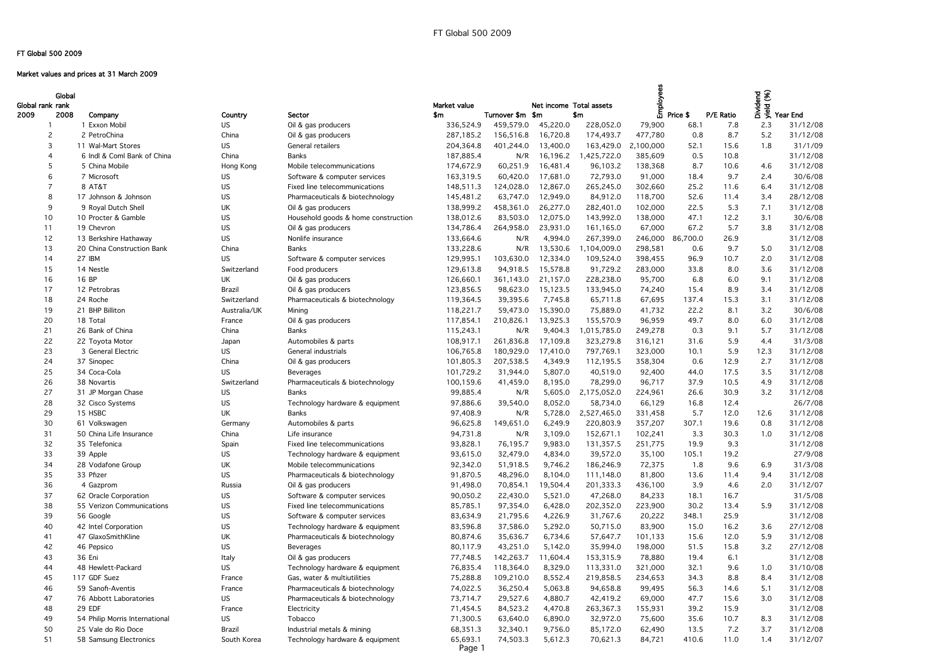# Market values and prices at 31 March 2009

| P/E Ratio | <b>UNidend</b><br>$\hat{\mathscr{E}}$ | Year End |
|-----------|---------------------------------------|----------|
| 7.8       | 2.3                                   | 31/12/08 |
| 8.7       | 5.2                                   | 31/12/08 |
| 15.6      | 1.8                                   | 31/1/09  |
| 10.8      |                                       | 31/12/08 |
| 10.6      | 4.6                                   | 31/12/08 |
| 9.7       | 2.4                                   | 30/6/08  |
| 11.6      | 6.4                                   | 31/12/08 |
| 11.4      | 3.4                                   | 28/12/08 |
| 5.3       | 7.1                                   | 31/12/08 |
| 12.2      | 3.1                                   | 30/6/08  |
| 5.7       | 3.8                                   | 31/12/08 |
| 26.9      |                                       | 31/12/08 |
| 9.7       | 5.0                                   | 31/12/08 |
| 10.7      | 2.0                                   | 31/12/08 |
| 8.0       | 3.6                                   | 31/12/08 |
| 6.0       | 9.1                                   | 31/12/08 |
| 8.9       | 3.4                                   | 31/12/08 |
| 15.3      | 3.1                                   | 31/12/08 |
| 8.1       | 3.2                                   | 30/6/08  |
| 8.0       | 6.0                                   | 31/12/08 |
| 9.1       | 5.7                                   | 31/12/08 |
| 5.9       | 4.4                                   | 31/3/08  |
| 5.9       | 12.3                                  | 31/12/08 |
| 12.9      | 2.7                                   | 31/12/08 |
| 17.5      | 3.5                                   | 31/12/08 |
| 10.5      | 4.9                                   | 31/12/08 |
| 30.9      | 3.2                                   | 31/12/08 |
| 12.4      |                                       | 26/7/08  |
| 12.0      | 12.6                                  | 31/12/08 |
| 19.6      | 0.8                                   | 31/12/08 |
| 30.3      | 1.0                                   | 31/12/08 |
| 9.3       |                                       | 31/12/08 |
| 19.2      |                                       | 27/9/08  |
| 9.6       | 6.9                                   | 31/3/08  |
| 11.4      | 9.4                                   | 31/12/08 |
| 4.6       | 2.0                                   | 31/12/07 |
| 16.7      |                                       | 31/5/08  |
| 13.4      | 5.9                                   | 31/12/08 |
| 25.9      |                                       | 31/12/08 |
| 16.2      | 3.6                                   | 27/12/08 |
| 12.0      | 5.9                                   | 31/12/08 |
| 15.8      | 3.2                                   | 27/12/08 |
| 6.1       |                                       | 31/12/08 |
| 9.6       | 1.0                                   | 31/10/08 |
| 8.8       | 8.4                                   | 31/12/08 |
| 14.6      | 5.1                                   | 31/12/08 |
| 15.6      | 3.0                                   | 31/12/08 |
| 15.9      |                                       | 31/12/08 |
| 10.7      | 8.3                                   | 31/12/08 |
| 7.2       | 3.7                                   | 31/12/08 |
| 11 N      | $1\,d$                                | 31/12/07 |

| Global<br>Global rank rank |                                       |                    |                                            | Market value       |                  | Net income Total assets |             | ees<br>Employ |          |           |             | The Sea<br>Single Sear End<br>The Year End |
|----------------------------|---------------------------------------|--------------------|--------------------------------------------|--------------------|------------------|-------------------------|-------------|---------------|----------|-----------|-------------|--------------------------------------------|
| 2008<br>2009               | Company                               | Country            | Sector                                     | \$m                | Turnover \$m \$m |                         | \$m         |               | Price \$ | P/E Ratio |             |                                            |
|                            | 1 Exxon Mobil                         | <b>US</b>          | Oil & gas producers                        | 336,524.9          | 459,579.0        | 45,220.0                | 228,052.0   | 79,900        | 68.1     | 7.8       | 2.3         | 31/12/08                                   |
| 2                          | 2 PetroChina                          | China              | Oil & gas producers                        | 287,185.2          | 156,516.8        | 16,720.8                | 174,493.7   | 477,780       | 0.8      | 8.7       | 5.2         | 31/12/08                                   |
| 3                          | 11 Wal-Mart Stores                    | <b>US</b>          | General retailers                          | 204,364.8          | 401,244.0        | 13,400.0                | 163,429.0   | 2,100,000     | 52.1     | 15.6      | 1.8         | 31/1/09                                    |
|                            | 6 Indl & Coml Bank of China           | China              | <b>Banks</b>                               | 187,885.4          | N/R              | 16,196.2                | 1,425,722.0 | 385,609       | 0.5      | 10.8      |             | 31/12/08                                   |
|                            | 5 China Mobile                        | Hong Kong          | Mobile telecommunications                  | 174,672.9          | 60,251.9         | 16,481.4                | 96,103.2    | 138,368       | 8.7      | 10.6      | 4.6         | 31/12/08                                   |
| 6                          | 7 Microsoft                           | US.                | Software & computer services               | 163,319.5          | 60,420.0         | 17,681.0                | 72,793.0    | 91,000        | 18.4     | 9.7       | 2.4         | 30/6/08                                    |
|                            | 8 AT&T                                | US                 | Fixed line telecommunications              | 148,511.3          | 124,028.0        | 12,867.0                | 265,245.0   | 302,660       | 25.2     | 11.6      | 6.4         | 31/12/08                                   |
| 8                          | 17 Johnson & Johnson                  | US                 | Pharmaceuticals & biotechnology            | 145,481.2          | 63,747.0         | 12,949.0                | 84,912.0    | 118,700       | 52.6     | 11.4      | 3.4         | 28/12/08                                   |
| 9                          | 9 Royal Dutch Shell                   | UK                 | Oil & gas producers                        | 138,999.2          | 458,361.0        | 26,277.0                | 282,401.0   | 102,000       | 22.5     | 5.3       | 7.1         | 31/12/08                                   |
| 10                         | 10 Procter & Gamble                   | US                 | Household goods & home construction        | 138,012.6          | 83,503.0         | 12,075.0                | 143,992.0   | 138,000       | 47.1     | 12.2      | 3.1         | 30/6/08                                    |
| 11                         | 19 Chevron                            | <b>US</b>          | Oil & gas producers                        | 134,786.4          | 264,958.0        | 23,931.0                | 161,165.0   | 67,000        | 67.2     | 5.7       | 3.8         | 31/12/08                                   |
| 12                         | 13 Berkshire Hathaway                 | <b>US</b>          | Nonlife insurance                          | 133,664.6          | N/R              | 4,994.0                 | 267,399.0   | 246,000       | 86,700.0 | 26.9      |             | 31/12/08                                   |
| 13                         | 20 China Construction Bank            | China              | <b>Banks</b>                               | 133,228.6          | N/R              | 13,530.6                | ,104,009.0  | 298,581       | 0.6      | 9.7       | 5.0         | 31/12/08                                   |
| 14                         | 27 IBM                                | US.                | Software & computer services               | 129,995.1          | 103,630.0        | 12,334.0                | 109,524.0   | 398,455       | 96.9     | 10.7      | 2.0         | 31/12/08                                   |
| 15                         | 14 Nestle                             | Switzerland        | Food producers                             | 129,613.8          | 94,918.5         | 15,578.8                | 91,729.2    | 283,000       | 33.8     | 8.0       | 3.6         | 31/12/08                                   |
| 16                         | 16 BP                                 | UK                 | Oil & gas producers                        | 126,660.1          | 361,143.0        | 21,157.0                | 228,238.0   | 95,700        | 6.8      | 6.0       | 9.1         | 31/12/08                                   |
| 17                         | 12 Petrobras                          | Brazil             | Oil & gas producers                        | 123,856.5          | 98,623.0         | 15,123.5                | 133,945.0   | 74,240        | 15.4     | 8.9       | 3.4         | 31/12/08                                   |
| 18                         | 24 Roche                              | Switzerland        | Pharmaceuticals & biotechnology            | 119,364.5          | 39,395.6         | 7,745.8                 | 65,711.8    | 67,695        | 137.4    | 15.3      | 3.1         | 31/12/08                                   |
| 19                         | 21 BHP Billiton                       | Australia/UK       | Mining                                     | 118,221.7          | 59,473.0         | 15,390.0                | 75,889.0    | 41,732        | 22.2     | 8.1       | 3.2         | 30/6/08                                    |
| 20                         | 18 Total                              | France             | Oil & gas producers                        | 117,854.1          | 210,826.1        | 13,925.3                | 155,570.9   | 96,959        | 49.7     | 8.0       | 6.0         | 31/12/08                                   |
| 21                         | 26 Bank of China                      | China              | <b>Banks</b>                               | 115,243.1          | N/R              | 9,404.3                 | ,015,785.0  | 249,278       | 0.3      | 9.1       | 5.7         | 31/12/08                                   |
|                            |                                       |                    |                                            | 108,917.1          | 261,836.8        |                         | 323,279.8   |               |          | 5.9       |             | 31/3/08                                    |
| 22                         | 22 Toyota Motor<br>3 General Electric | Japan<br><b>US</b> | Automobiles & parts<br>General industrials |                    | 180,929.0        | 17,109.8                |             | 316,121       | 31.6     |           | 4.4<br>12.3 | 31/12/08                                   |
| 23                         |                                       |                    |                                            | 106,765.8          |                  | 17,410.0                | 797,769.1   | 323,000       | 10.1     | 5.9       |             |                                            |
| 24                         | 37 Sinopec                            | China              | Oil & gas producers                        | 101,805.3          | 207,538.5        | 4,349.9                 | 112,195.5   | 358,304       | 0.6      | 12.9      | 2.7         | 31/12/08                                   |
| 25                         | 34 Coca-Cola                          | <b>US</b>          | Beverages                                  | 101,729.2          | 31,944.0         | 5,807.0                 | 40,519.0    | 92,400        | 44.0     | 17.5      | 3.5         | 31/12/08                                   |
| 26                         | 38 Novartis                           | Switzerland        | Pharmaceuticals & biotechnology            | 100,159.6          | 41,459.0         | 8,195.0                 | 78,299.0    | 96,717        | 37.9     | 10.5      | 4.9         | 31/12/08                                   |
| 27                         | 31 JP Morgan Chase                    | US                 | <b>Banks</b>                               | 99,885.4           | N/R              | 5,605.0                 | 2,175,052.0 | 224,961       | 26.6     | 30.9      | 3.2         | 31/12/08                                   |
| 28                         | 32 Cisco Systems                      | <b>US</b>          | Technology hardware & equipment            | 97,886.6           | 39,540.0         | 8,052.0                 | 58,734.0    | 66,129        | 16.8     | 12.4      |             | 26/7/08                                    |
| 29                         | 15 HSBC                               | UK                 | <b>Banks</b>                               | 97,408.9           | N/R              | 5,728.0                 | 2,527,465.0 | 331,458       | 5.7      | 12.0      | 12.6        | 31/12/08                                   |
| 30                         | 61 Volkswagen                         | Germany            | Automobiles & parts                        | 96,625.8           | 149,651.0        | 6,249.9                 | 220,803.9   | 357,207       | 307.1    | 19.6      | 0.8         | 31/12/08                                   |
| 31                         | 50 China Life Insurance               | China              | Life insurance                             | 94,731.8           | N/R              | 3,109.0                 | 152,671.1   | 102,241       | 3.3      | 30.3      | 1.0         | 31/12/08                                   |
| 32                         | 35 Telefonica                         | Spain              | Fixed line telecommunications              | 93,828.1           | 76,195.7         | 9,983.0                 | 131,357.5   | 251,775       | 19.9     | 9.3       |             | 31/12/08                                   |
| 33                         | 39 Apple                              | US                 | Technology hardware & equipment            | 93,615.0           | 32,479.0         | 4,834.0                 | 39,572.0    | 35,100        | 105.1    | 19.2      |             | 27/9/08                                    |
| 34                         | 28 Vodafone Group                     | UK                 | Mobile telecommunications                  | 92,342.0           | 51,918.5         | 9,746.2                 | 186,246.9   | 72,375        | 1.8      | 9.6       | 6.9         | 31/3/08                                    |
| 35                         | 33 Pfizer                             | <b>US</b>          | Pharmaceuticals & biotechnology            | 91,870.5           | 48,296.0         | 8,104.0                 | 111,148.0   | 81,800        | 13.6     | 11.4      | 9.4         | 31/12/08                                   |
| 36                         | 4 Gazprom                             | Russia             | Oil & gas producers                        | 91,498.0           | 70,854.1         | 19,504.4                | 201,333.3   | 436,100       | 3.9      | 4.6       | 2.0         | 31/12/07                                   |
| 37                         | 62 Oracle Corporation                 | US                 | Software & computer services               | 90,050.2           | 22,430.0         | 5,521.0                 | 47,268.0    | 84,233        | 18.1     | 16.7      |             | 31/5/08                                    |
| 38                         | 55 Verizon Communications             | <b>US</b>          | Fixed line telecommunications              | 85,785.1           | 97,354.0         | 6,428.0                 | 202,352.0   | 223,900       | 30.2     | 13.4      | 5.9         | 31/12/08                                   |
| 39                         | 56 Google                             | US                 | Software & computer services               | 83,634.9           | 21,795.6         | 4,226.9                 | 31,767.6    | 20,222        | 348.1    | 25.9      |             | 31/12/08                                   |
| 40                         | 42 Intel Corporation                  | <b>US</b>          | Technology hardware & equipment            | 83,596.8           | 37,586.0         | 5,292.0                 | 50,715.0    | 83,900        | 15.0     | 16.2      | 3.6         | 27/12/08                                   |
| 41                         | 47 GlaxoSmithKline                    | UK                 | Pharmaceuticals & biotechnology            | 80,874.6           | 35,636.7         | 6,734.6                 | 57,647.7    | 101,133       | 15.6     | 12.0      | 5.9         | 31/12/08                                   |
| 42                         | 46 Pepsico                            | <b>US</b>          | Beverages                                  | 80,117.9           | 43,251.0         | 5,142.0                 | 35,994.0    | 198,000       | 51.5     | 15.8      | 3.2         | 27/12/08                                   |
| 43                         | 36 Eni                                | Italy              | Oil & gas producers                        | 77,748.5           | 142,263.7        | 11,604.4                | 153,315.9   | 78,880        | 19.4     | 6.1       |             | 31/12/08                                   |
| 44                         | 48 Hewlett-Packard                    | <b>US</b>          | Technology hardware & equipment            | 76,835.4           | 118,364.0        | 8,329.0                 | 113,331.0   | 321,000       | 32.1     | 9.6       | 1.0         | 31/10/08                                   |
| 45                         | 117 GDF Suez                          | France             | Gas, water & multiutilities                | 75,288.8           | 109,210.0        | 8,552.4                 | 219,858.5   | 234,653       | 34.3     | 8.8       | 8.4         | 31/12/08                                   |
| 46                         | 59 Sanofi-Aventis                     | France             | Pharmaceuticals & biotechnology            | 74,022.5           | 36,250.4         | 5,063.8                 | 94,658.8    | 99,495        | 56.3     | 14.6      | 5.1         | 31/12/08                                   |
| 47                         | 76 Abbott Laboratories                | <b>US</b>          | Pharmaceuticals & biotechnology            | 73,714.7           | 29,527.6         | 4,880.7                 | 42,419.2    | 69,000        | 47.7     | 15.6      | 3.0         | 31/12/08                                   |
| 48                         | 29 EDF                                | France             | Electricity                                | 71,454.5           | 84,523.2         | 4,470.8                 | 263,367.3   | 155,931       | 39.2     | 15.9      |             | 31/12/08                                   |
| 49                         | 54 Philip Morris International        | <b>US</b>          | Tobacco                                    | 71,300.5           | 63,640.0         | 6,890.0                 | 32,972.0    | 75,600        | 35.6     | 10.7      | 8.3         | 31/12/08                                   |
| 50                         | 25 Vale do Rio Doce                   | Brazil             | Industrial metals & mining                 | 68,351.3           | 32,340.1         | 9,756.0                 | 85,172.0    | 62,490        | 13.5     | 7.2       | 3.7         | 31/12/08                                   |
| 51                         | 58 Samsung Electronics                | South Korea        | Technology hardware & equipment            | 65,693.1<br>Page 1 | 74,503.3         | 5,612.3                 | 70,621.3    | 84,721        | 410.6    | 11.0      | 1.4         | 31/12/07                                   |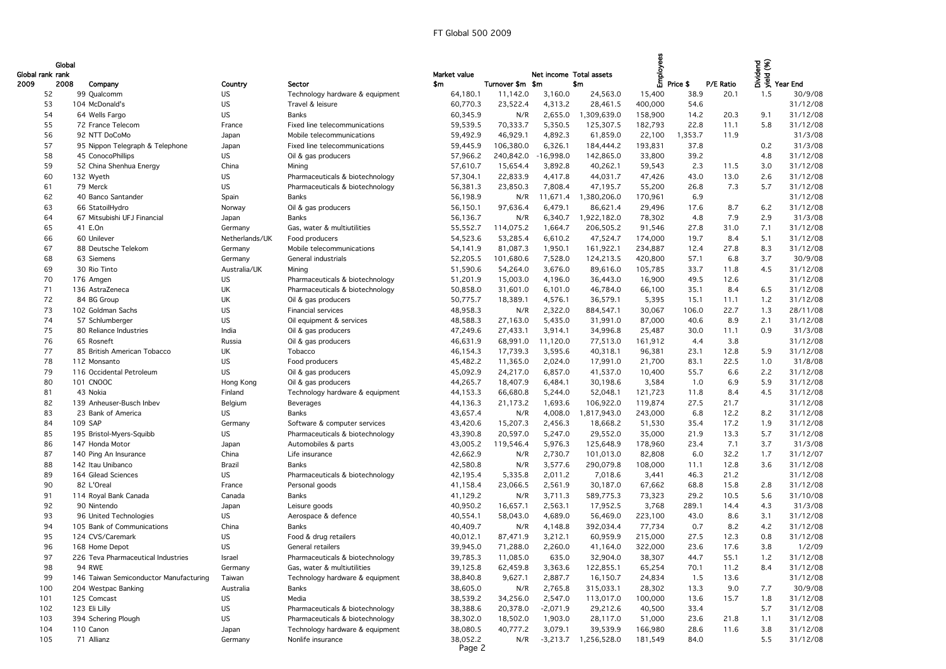| Global rank rank<br>2009 | Global<br>2008<br>Company              | Country        | Sector                          | Market value<br>\$m | Turnover \$m \$m | Net income Total assets | \$m         | ᅙ                 | 톱 Price \$ | P/E Ratio | Person<br>Person<br>The Year End |          |
|--------------------------|----------------------------------------|----------------|---------------------------------|---------------------|------------------|-------------------------|-------------|-------------------|------------|-----------|----------------------------------|----------|
| 52                       | 99 Qualcomm                            | US             | Technology hardware & equipment | 64,180.1            | 11,142.0         | 3,160.0                 | 24,563.0    | 15,400            | 38.9       | 20.1      | 1.5                              | 30/9/08  |
| 53                       | 104 McDonald's                         | US.            | Travel & leisure                | 60,770.3            | 23,522.4         | 4,313.2                 | 28,461.5    | 400,000           | 54.6       |           |                                  | 31/12/08 |
| 54                       | 64 Wells Fargo                         | <b>US</b>      | <b>Banks</b>                    | 60,345.9            | N/R              | 2,655.0                 | ,309,639.0  | 158,900           | 14.2       | 20.3      | 9.1                              | 31/12/08 |
| 55                       | 72 France Telecom                      | France         | Fixed line telecommunications   | 59,539.5            | 70,333.7         | 5,350.5                 | 125,307.5   | 182,793           | 22.8       | 11.1      | 5.8                              | 31/12/08 |
| 56                       | 92 NTT DoCoMo                          | Japan          | Mobile telecommunications       | 59,492.9            | 46,929.1         | 4,892.3                 | 61,859.0    | 22,100            | ,353.7     | 11.9      |                                  | 31/3/08  |
| 57                       | 95 Nippon Telegraph & Telephone        | Japan          | Fixed line telecommunications   | 59,445.9            | 106,380.0        | 6,326.1                 | 184,444.2   | 193,831           | 37.8       |           | 0.2                              | 31/3/08  |
| 58                       | 45 ConocoPhillips                      | US             | Oil & gas producers             | 57,966.2            | 240,842.0        | $-16,998.0$             | 142,865.0   | 33,800            | 39.2       |           | 4.8                              | 31/12/08 |
| 59                       | 52 China Shenhua Energy                | China          | Mining                          | 57,610.7            | 15,654.4         | 3,892.8                 | 40,262.1    | 59,543            | 2.3        | 11.5      | 3.0                              | 31/12/08 |
| 60                       | 132 Wyeth                              | US.            | Pharmaceuticals & biotechnology | 57,304.1            | 22,833.9         | 4,417.8                 | 44,031.7    | 47,426            | 43.0       | 13.0      | 2.6                              | 31/12/08 |
| 61                       | 79 Merck                               | <b>US</b>      | Pharmaceuticals & biotechnology | 56,381.3            | 23,850.3         | 7,808.4                 | 47,195.7    | 55,200            | 26.8       | 7.3       | 5.7                              | 31/12/08 |
| 62                       | 40 Banco Santander                     | Spain          | Banks                           | 56,198.9            | N/R              | 11,671.4                | 1,380,206.0 | 170,961           | 6.9        |           |                                  | 31/12/08 |
| 63                       | 66 StatoilHydro                        | Norway         | Oil & gas producers             | 56,150.1            | 97,636.4         | 6,479.1                 | 86,621.4    | 29,496            | 17.6       | 8.7       | 6.2                              | 31/12/08 |
| 64                       | 67 Mitsubishi UFJ Financial            | Japan          | Banks                           | 56,136.7            | N/R              | 6,340.7                 | 1,922,182.0 | 78,302            | 4.8        | 7.9       | 2.9                              | 31/3/08  |
| 65                       | 41 E.On                                | Germany        | Gas, water & multiutilities     | 55,552.7            | 114,075.2        | 1,664.7                 | 206,505.2   | 91,546            | 27.8       | 31.0      | 7.1                              | 31/12/08 |
| 66                       | 60 Unilever                            | Netherlands/UK | Food producers                  | 54,523.6            | 53,285.4         | 6,610.2                 | 47,524.7    | 174,000           | 19.7       | 8.4       | 5.1                              | 31/12/08 |
| 67                       | 88 Deutsche Telekom                    |                | Mobile telecommunications       | 54,141.9            | 81,087.3         | 1,950.1                 | 161,922.1   | 234,887           | 12.4       | 27.8      | 8.3                              | 31/12/08 |
| 68                       | 63 Siemens                             | Germany        | General industrials             | 52,205.5            | 101,680.6        | 7,528.0                 | 124,213.5   | 420,800           | 57.1       | 6.8       | 3.7                              | 30/9/08  |
| 69                       | 30 Rio Tinto                           | Germany        |                                 |                     | 54,264.0         | 3,676.0                 | 89,616.0    |                   | 33.7       | 11.8      | 4.5                              | 31/12/08 |
| 70                       |                                        | Australia/UK   | Mining                          | 51,590.6            |                  | 4,196.0                 | 36,443.0    | 105,785<br>16,900 | 49.5       | 12.6      |                                  | 31/12/08 |
|                          | 176 Amgen                              | US             | Pharmaceuticals & biotechnology | 51,201.9            | 15,003.0         |                         |             |                   | 35.1       | 8.4       |                                  | 31/12/08 |
| 71                       | 136 AstraZeneca                        | UK             | Pharmaceuticals & biotechnology | 50,858.0            | 31,601.0         | 6,101.0                 | 46,784.0    | 66,100            |            |           | 6.5                              |          |
| 72                       | 84 BG Group                            | UK             | Oil & gas producers             | 50,775.7            | 18,389.1         | 4,576.1                 | 36,579.1    | 5,395             | 15.1       | 11.1      | 1.2                              | 31/12/08 |
| 73                       | 102 Goldman Sachs                      | <b>US</b>      | <b>Financial services</b>       | 48,958.3            | N/R              | 2,322.0                 | 884,547.1   | 30,067            | 106.0      | 22.7      | 1.3                              | 28/11/08 |
| 74                       | 57 Schlumberger                        | <b>US</b>      | Oil equipment & services        | 48,588.3            | 27,163.0         | 5,435.0                 | 31,991.0    | 87,000            | 40.6       | 8.9       | 2.1                              | 31/12/08 |
| 75                       | 80 Reliance Industries                 | India          | Oil & gas producers             | 47,249.6            | 27,433.1         | 3,914.1                 | 34,996.8    | 25,487            | 30.0       | 11.1      | 0.9                              | 31/3/08  |
| 76                       | 65 Rosneft                             | Russia         | Oil & gas producers             | 46,631.9            | 68,991.0         | 11,120.0                | 77,513.0    | 161,912           | 4.4        | 3.8       |                                  | 31/12/08 |
| 77                       | 85 British American Tobacco            | UK             | Tobacco                         | 46,154.3            | 17,739.3         | 3,595.6                 | 40,318.1    | 96,381            | 23.1       | 12.8      | 5.9                              | 31/12/08 |
| 78                       | 112 Monsanto                           | <b>US</b>      | Food producers                  | 45,482.2            | 11,365.0         | 2,024.0                 | 17,991.0    | 21,700            | 83.1       | 22.5      | 1.0                              | 31/8/08  |
| 79                       | 116 Occidental Petroleum               | US.            | Oil & gas producers             | 45,092.9            | 24,217.0         | 6,857.0                 | 41,537.0    | 10,400            | 55.7       | 6.6       | 2.2                              | 31/12/08 |
| 80                       | 101 CNOOC                              | Hong Kong      | Oil & gas producers             | 44,265.7            | 18,407.9         | 6,484.1                 | 30,198.6    | 3,584             | 1.0        | 6.9       | 5.9                              | 31/12/08 |
| 81                       | 43 Nokia                               | Finland        | Technology hardware & equipment | 44,153.3            | 66,680.8         | 5,244.0                 | 52,048.1    | 121,723           | 11.8       | 8.4       | 4.5                              | 31/12/08 |
| 82                       | 139 Anheuser-Busch Inbev               | Belgium        | Beverages                       | 44,136.3            | 21,173.2         | 1,693.6                 | 106,922.0   | 119,874           | 27.5       | 21.7      |                                  | 31/12/08 |
| 83                       | 23 Bank of America                     | US.            | <b>Banks</b>                    | 43,657.4            | N/R              | 4,008.0                 | 1,817,943.0 | 243,000           | 6.8        | 12.2      | 8.2                              | 31/12/08 |
| 84                       | 109 SAP                                | Germany        | Software & computer services    | 43,420.6            | 15,207.3         | 2,456.3                 | 18,668.2    | 51,530            | 35.4       | 17.2      | 1.9                              | 31/12/08 |
| 85                       | 195 Bristol-Myers-Squibb               | US.            | Pharmaceuticals & biotechnology | 43,390.8            | 20,597.0         | 5,247.0                 | 29,552.0    | 35,000            | 21.9       | 13.3      | 5.7                              | 31/12/08 |
| 86                       | 147 Honda Motor                        | Japan          | Automobiles & parts             | 43,005.2            | 119,546.4        | 5,976.3                 | 125,648.9   | 178,960           | 23.4       | 7.1       | 3.7                              | 31/3/08  |
| 87                       | 140 Ping An Insurance                  | China          | Life insurance                  | 42,662.9            | N/R              | 2,730.7                 | 101,013.0   | 82,808            | 6.0        | 32.2      | 1.7                              | 31/12/07 |
| 88                       | 142 Itau Unibanco                      | Brazil         | Banks                           | 42,580.8            | N/R              | 3,577.6                 | 290,079.8   | 108,000           | 11.1       | 12.8      | 3.6                              | 31/12/08 |
| 89                       | 164 Gilead Sciences                    | <b>US</b>      | Pharmaceuticals & biotechnology | 42,195.4            | 5,335.8          | 2,011.2                 | 7,018.6     | 3,441             | 46.3       | 21.2      |                                  | 31/12/08 |
| 90                       | 82 L'Oreal                             | France         | Personal goods                  | 41,158.4            | 23,066.5         | 2,561.9                 | 30,187.0    | 67,662            | 68.8       | 15.8      | 2.8                              | 31/12/08 |
| 91                       | 114 Royal Bank Canada                  | Canada         | Banks                           | 41,129.2            | N/R              | 3,711.3                 | 589,775.3   | 73,323            | 29.2       | 10.5      | 5.6                              | 31/10/08 |
| 92                       | 90 Nintendo                            | Japan          | Leisure goods                   | 40,950.2            | 16,657.1         | 2,563.1                 | 17,952.5    | 3,768             | 289.1      | 14.4      | 4.3                              | 31/3/08  |
| 93                       | 96 United Technologies                 | <b>US</b>      | Aerospace & defence             | 40,554.1            | 58,043.0         | 4,689.0                 | 56,469.0    | 223,100           | 43.0       | 8.6       | 3.1                              | 31/12/08 |
| 94                       | 105 Bank of Communications             | China          | <b>Banks</b>                    | 40,409.7            | N/R              | 4,148.8                 | 392,034.4   | 77,734            | 0.7        | 8.2       | 4.2                              | 31/12/08 |
| 95                       | 124 CVS/Caremark                       | US             | Food & drug retailers           | 40,012.1            | 87,471.9         | 3,212.1                 | 60,959.9    | 215,000           | 27.5       | 12.3      | 0.8                              | 31/12/08 |
| 96                       | 168 Home Depot                         | <b>US</b>      | General retailers               | 39,945.0            | 71,288.0         | 2,260.0                 | 41,164.0    | 322,000           | 23.6       | 17.6      | 3.8                              | 1/2/09   |
| 97                       | 226 Teva Pharmaceutical Industries     | Israel         | Pharmaceuticals & biotechnology | 39,785.3            | 11,085.0         | 635.0                   | 32,904.0    | 38,307            | 44.7       | 55.1      | 1.2                              | 31/12/08 |
| 98                       | <b>94 RWE</b>                          | Germany        | Gas, water & multiutilities     | 39,125.8            | 62,459.8         | 3,363.6                 | 122,855.1   | 65,254            | 70.1       | 11.2      | 8.4                              | 31/12/08 |
| 99                       | 146 Taiwan Semiconductor Manufacturing | Taiwan         | Technology hardware & equipment | 38,840.8            | 9,627.1          | 2,887.7                 | 16,150.7    | 24,834            | 1.5        | 13.6      |                                  | 31/12/08 |
| 100                      | 204 Westpac Banking                    | Australia      | <b>Banks</b>                    | 38,605.0            | N/R              | 2,765.8                 | 315,033.1   | 28,302            | 13.3       | 9.0       | 7.7                              | 30/9/08  |
| 101                      | 125 Comcast                            | US             | Media                           | 38,539.2            | 34,256.0         | 2,547.0                 | 113,017.0   | 100,000           | 13.6       | 15.7      | 1.8                              | 31/12/08 |
| 102                      | 123 Eli Lilly                          | <b>US</b>      | Pharmaceuticals & biotechnology | 38,388.6            | 20,378.0         | $-2,071.9$              | 29,212.6    | 40,500            | 33.4       |           | 5.7                              | 31/12/08 |
| 103                      | 394 Schering Plough                    | US.            | Pharmaceuticals & biotechnology | 38,302.0            | 18,502.0         | 1,903.0                 | 28,117.0    | 51,000            | 23.6       | 21.8      | 1.1                              | 31/12/08 |

| sidend<br>Sidend<br>The Year End<br>2008<br>Sector<br>Turnover \$m \$m<br>\$m<br>Price \$<br>P/E Ratio<br>Company<br>\$m<br>Country<br>38.9<br>64,180.1<br>3,160.0<br>24,563.0<br>20.1<br>30/9/08<br>99 Qualcomm<br><b>US</b><br>11,142.0<br>15,400<br>1.5<br>52<br>Technology hardware & equipment<br>31/12/08<br>104 McDonald's<br><b>US</b><br>Travel & leisure<br>60,770.3<br>23,522.4<br>4,313.2<br>28,461.5<br>400,000<br>54.6<br>53<br><b>US</b><br>31/12/08<br><b>Banks</b><br>2,655.0<br>1,309,639.0<br>14.2<br>9.1<br>54<br>64 Wells Fargo<br>60,345.9<br>N/R<br>158,900<br>20.3<br>31/12/08<br>70,333.7<br>5,350.5<br>182,793<br>22.8<br>11.1<br>72 France Telecom<br>Fixed line telecommunications<br>59,539.5<br>125,307.5<br>5.8<br>55<br>France<br>92 NTT DoCoMo<br>59,492.9<br>46,929.1<br>4,892.3<br>61,859.0<br>22,100<br>1,353.7<br>11.9<br>31/3/08<br>56<br>Mobile telecommunications<br>Japan<br>184,444.2<br>193,831<br>37.8<br>0.2<br>31/3/08<br>57<br>95 Nippon Telegraph & Telephone<br>Fixed line telecommunications<br>59,445.9<br>106,380.0<br>6,326.1<br>Japan<br><b>US</b><br>57,966.2<br>$-16,998.0$<br>33,800<br>39.2<br>31/12/08<br>58<br>45 ConocoPhillips<br>Oil & gas producers<br>240,842.0<br>142,865.0<br>4.8<br>52 China Shenhua Energy<br>3,892.8<br>40,262.1<br>2.3<br>31/12/08<br>59<br>China<br>57,610.7<br>15,654.4<br>59,543<br>11.5<br>3.0<br>Mining<br>US<br>Pharmaceuticals & biotechnology<br>57,304.1<br>44,031.7<br>13.0<br>31/12/08<br>132 Wyeth<br>22,833.9<br>4,417.8<br>47,426<br>43.0<br>2.6<br>60<br><b>US</b><br>79 Merck<br>Pharmaceuticals & biotechnology<br>56,381.3<br>23,850.3<br>7,808.4<br>47,195.7<br>55,200<br>26.8<br>7.3<br>5.7<br>31/12/08<br>61<br>6.9<br>40 Banco Santander<br><b>Banks</b><br>56,198.9<br>11,671.4<br>1,380,206.0<br>170,961<br>31/12/08<br>62<br>Spain<br>N/R<br>66 StatoilHydro<br>6,479.1<br>8.7<br>31/12/08<br>56,150.1<br>97,636.4<br>86,621.4<br>29,496<br>17.6<br>6.2<br>63<br>Norway<br>Oil & gas producers<br>67 Mitsubishi UFJ Financial<br>56,136.7<br>6,340.7<br>1,922,182.0<br>78,302<br>7.9<br>31/3/08<br><b>Banks</b><br>N/R<br>4.8<br>2.9<br>64<br>Japan<br>41 E.On<br>114,075.2<br>1,664.7<br>206,505.2<br>27.8<br>31.0<br>31/12/08<br>65<br>Gas, water & multiutilities<br>55,552.7<br>91,546<br>7.1<br>Germany<br>60 Unilever<br>47,524.7<br>19.7<br>31/12/08<br>Netherlands/UK<br>Food producers<br>54,523.6<br>53,285.4<br>6,610.2<br>174,000<br>8.4<br>5.1<br>66<br>Mobile telecommunications<br>81,087.3<br>1,950.1<br>161,922.1<br>27.8<br>31/12/08<br>67<br>88 Deutsche Telekom<br>54,141.9<br>234,887<br>12.4<br>8.3<br>Germany<br>7,528.0<br>124,213.5<br>420,800<br>57.1<br>6.8<br>3.7<br>30/9/08<br>68<br>63 Siemens<br>General industrials<br>52,205.5<br>101,680.6<br>Germany<br>51,590.6<br>54,264.0<br>3,676.0<br>89,616.0<br>105,785<br>33.7<br>11.8<br>4.5<br>31/12/08<br>30 Rio Tinto<br>Australia/UK<br>69<br>Mining<br>12.6<br><b>US</b><br>51,201.9<br>15,003.0<br>4,196.0<br>16,900<br>49.5<br>31/12/08<br>70<br>176 Amgen<br>Pharmaceuticals & biotechnology<br>36,443.0<br>136 AstraZeneca<br>UK<br>Pharmaceuticals & biotechnology<br>46,784.0<br>35.1<br>8.4<br>6.5<br>31/12/08<br>71<br>50,858.0<br>31,601.0<br>6,101.0<br>66,100<br>31/12/08<br>72<br>84 BG Group<br>UK<br>50,775.7<br>4,576.1<br>36,579.1<br>Oil & gas producers<br>18,389.1<br>5,395<br>15.1<br>11.1<br>1.2<br><b>US</b><br>Financial services<br>22.7<br>73<br>102 Goldman Sachs<br>48,958.3<br>2,322.0<br>884,547.1<br>30,067<br>106.0<br>28/11/08<br>N/R<br>1.3<br>US<br>57 Schlumberger<br>48,588.3<br>27,163.0<br>5,435.0<br>31,991.0<br>87,000<br>40.6<br>8.9<br>2.1<br>31/12/08<br>74<br>Oil equipment & services<br>47,249.6<br>3,914.1<br>34,996.8<br>30.0<br>0.9<br>31/3/08<br>75<br>80 Reliance Industries<br>India<br>Oil & gas producers<br>27,433.1<br>25,487<br>11.1<br>3.8<br>65 Rosneft<br>46,631.9<br>68,991.0<br>11,120.0<br>77,513.0<br>161,912<br>31/12/08<br>76<br>Oil & gas producers<br>4.4<br>Russia<br>UK<br>23.1<br>12.8<br>31/12/08<br>77<br>85 British American Tobacco<br>Tobacco<br>46,154.3<br>17,739.3<br>3,595.6<br>40,318.1<br>96,381<br>5.9<br><b>US</b><br>17,991.0<br>83.1<br>22.5<br>31/8/08<br>78<br>112 Monsanto<br>Food producers<br>45,482.2<br>11,365.0<br>2,024.0<br>21,700<br>1.0<br>116 Occidental Petroleum<br><b>US</b><br>45,092.9<br>24,217.0<br>6,857.0<br>41,537.0<br>55.7<br>6.6<br>2.2<br>31/12/08<br>79<br>Oil & gas producers<br>10,400<br>101 CNOOC<br>18,407.9<br>30,198.6<br>31/12/08<br>Hong Kong<br>Oil & gas producers<br>44,265.7<br>6,484.1<br>3,584<br>1.0<br>6.9<br>5.9<br>80<br>121,723<br>8.4<br>4.5<br>31/12/08<br>81<br>43 Nokia<br>Finland<br>Technology hardware & equipment<br>44,153.3<br>66,680.8<br>5,244.0<br>52,048.1<br>11.8<br>44,136.3<br>21,173.2<br>1,693.6<br>119,874<br>27.5<br>21.7<br>31/12/08<br>82<br>106,922.0<br>139 Anheuser-Busch Inbev<br>Belgium<br><b>Beverages</b><br><b>US</b><br>243,000<br>6.8<br>12.2<br>31/12/08<br>83<br>23 Bank of America<br><b>Banks</b><br>43,657.4<br>N/R<br>4,008.0<br>1,817,943.0<br>8.2<br>109 SAP<br>43,420.6<br>15,207.3<br>2,456.3<br>18,668.2<br>17.2<br>31/12/08<br>Software & computer services<br>51,530<br>35.4<br>1.9<br>84<br>Germany<br>195 Bristol-Myers-Squibb<br><b>US</b><br>Pharmaceuticals & biotechnology<br>43,390.8<br>20,597.0<br>5,247.0<br>29,552.0<br>21.9<br>13.3<br>31/12/08<br>35,000<br>5.7<br>85<br>147 Honda Motor<br>7.1<br>31/3/08<br>Automobiles & parts<br>43,005.2<br>119,546.4<br>5,976.3<br>125,648.9<br>178,960<br>23.4<br>3.7<br>86<br>Japan<br>32.2<br>42,662.9<br>2,730.7<br>101,013.0<br>82,808<br>6.0<br>31/12/07<br>87<br>140 Ping An Insurance<br>China<br>Life insurance<br>1.7<br>N/R<br>42,580.8<br>3,577.6<br>12.8<br>3.6<br>31/12/08<br>142 Itau Unibanco<br>Brazil<br><b>Banks</b><br>N/R<br>290,079.8<br>108,000<br>11.1<br>88<br>21.2<br>164 Gilead Sciences<br><b>US</b><br>2,011.2<br>31/12/08<br>Pharmaceuticals & biotechnology<br>42,195.4<br>5,335.8<br>7,018.6<br>3,441<br>46.3<br>89<br>82 L'Oreal<br>23,066.5<br>2,561.9<br>30,187.0<br>68.8<br>15.8<br>31/12/08<br>Personal goods<br>41,158.4<br>67,662<br>2.8<br>90<br>France<br>3,711.3<br>29.2<br>31/10/08<br>114 Royal Bank Canada<br><b>Banks</b><br>41,129.2<br>N/R<br>589,775.3<br>73,323<br>10.5<br>5.6<br>91<br>Canada<br>90 Nintendo<br>40,950.2<br>2,563.1<br>17,952.5<br>3,768<br>31/3/08<br>92<br>Leisure goods<br>16,657.1<br>289.1<br>14.4<br>4.3<br>Japan<br>96 United Technologies<br>US<br>40,554.1<br>4,689.0<br>56,469.0<br>223,100<br>43.0<br>8.6<br>31/12/08<br>Aerospace & defence<br>58,043.0<br>3.1<br>93<br>105 Bank of Communications<br>4,148.8<br>77,734<br>0.7<br>8.2<br>4.2<br>31/12/08<br>China<br><b>Banks</b><br>40,409.7<br>392,034.4<br>94<br>N/R<br>124 CVS/Caremark<br><b>US</b><br>Food & drug retailers<br>40,012.1<br>87,471.9<br>3,212.1<br>215,000<br>27.5<br>12.3<br>31/12/08<br>95<br>60,959.9<br>0.8<br><b>US</b><br>General retailers<br>17.6<br>1/2/09<br>168 Home Depot<br>39,945.0<br>71,288.0<br>2,260.0<br>41,164.0<br>322,000<br>23.6<br>3.8<br>96<br>226 Teva Pharmaceutical Industries<br>Pharmaceuticals & biotechnology<br>55.1<br>31/12/08<br>97<br>39,785.3<br>11,085.0<br>635.0<br>32,904.0<br>38,307<br>44.7<br>Israel<br>1.2<br><b>94 RWE</b><br>Gas, water & multiutilities<br>65,254<br>11.2<br>31/12/08<br>Germany<br>39,125.8<br>62,459.8<br>3,363.6<br>122,855.1<br>70.1<br>8.4<br>98<br>9,627.1<br>16,150.7<br>13.6<br>31/12/08<br>99<br>146 Taiwan Semiconductor Manufacturing<br>Technology hardware & equipment<br>38,840.8<br>2,887.7<br>24,834<br>1.5<br>Taiwan<br>2,765.8<br>28,302<br>13.3<br>9.0<br>30/9/08<br>204 Westpac Banking<br>Australia<br><b>Banks</b><br>38,605.0<br>N/R<br>315,033.1<br>7.7<br>100<br>US<br>Media<br>38,539.2<br>2,547.0<br>13.6<br>15.7<br>31/12/08<br>101<br>125 Comcast<br>34,256.0<br>113,017.0<br>100,000<br>1.8<br>US<br>20,378.0<br>31/12/08<br>102<br>123 Eli Lilly<br>Pharmaceuticals & biotechnology<br>38,388.6<br>$-2,071.9$<br>29,212.6<br>40,500<br>33.4<br>5.7<br>US<br>Pharmaceuticals & biotechnology<br>28,117.0<br>23.6<br>31/12/08<br>103<br>394 Schering Plough<br>38,302.0<br>18,502.0<br>1,903.0<br>51,000<br>21.8<br>1.1<br>110 Canon<br>Technology hardware & equipment<br>38,080.5<br>40,777.2<br>3,079.1<br>39,539.9<br>28.6<br>3.8<br>31/12/08<br>104<br>166,980<br>11.6<br>Japan<br>-3,213.7 | rank rank | Global |            |         |                   | Market value |     | Net income Total assets |             | Employ  |      |     |          |
|--------------------------------------------------------------------------------------------------------------------------------------------------------------------------------------------------------------------------------------------------------------------------------------------------------------------------------------------------------------------------------------------------------------------------------------------------------------------------------------------------------------------------------------------------------------------------------------------------------------------------------------------------------------------------------------------------------------------------------------------------------------------------------------------------------------------------------------------------------------------------------------------------------------------------------------------------------------------------------------------------------------------------------------------------------------------------------------------------------------------------------------------------------------------------------------------------------------------------------------------------------------------------------------------------------------------------------------------------------------------------------------------------------------------------------------------------------------------------------------------------------------------------------------------------------------------------------------------------------------------------------------------------------------------------------------------------------------------------------------------------------------------------------------------------------------------------------------------------------------------------------------------------------------------------------------------------------------------------------------------------------------------------------------------------------------------------------------------------------------------------------------------------------------------------------------------------------------------------------------------------------------------------------------------------------------------------------------------------------------------------------------------------------------------------------------------------------------------------------------------------------------------------------------------------------------------------------------------------------------------------------------------------------------------------------------------------------------------------------------------------------------------------------------------------------------------------------------------------------------------------------------------------------------------------------------------------------------------------------------------------------------------------------------------------------------------------------------------------------------------------------------------------------------------------------------------------------------------------------------------------------------------------------------------------------------------------------------------------------------------------------------------------------------------------------------------------------------------------------------------------------------------------------------------------------------------------------------------------------------------------------------------------------------------------------------------------------------------------------------------------------------------------------------------------------------------------------------------------------------------------------------------------------------------------------------------------------------------------------------------------------------------------------------------------------------------------------------------------------------------------------------------------------------------------------------------------------------------------------------------------------------------------------------------------------------------------------------------------------------------------------------------------------------------------------------------------------------------------------------------------------------------------------------------------------------------------------------------------------------------------------------------------------------------------------------------------------------------------------------------------------------------------------------------------------------------------------------------------------------------------------------------------------------------------------------------------------------------------------------------------------------------------------------------------------------------------------------------------------------------------------------------------------------------------------------------------------------------------------------------------------------------------------------------------------------------------------------------------------------------------------------------------------------------------------------------------------------------------------------------------------------------------------------------------------------------------------------------------------------------------------------------------------------------------------------------------------------------------------------------------------------------------------------------------------------------------------------------------------------------------------------------------------------------------------------------------------------------------------------------------------------------------------------------------------------------------------------------------------------------------------------------------------------------------------------------------------------------------------------------------------------------------------------------------------------------------------------------------------------------------------------------------------------------------------------------------------------------------------------------------------------------------------------------------------------------------------------------------------------------------------------------------------------------------------------------------------------------------------------------------------------------------------------------------------------------------------------------------------------------------------------------------------------------------------------------------------------------------------------------------------------------------------------------------------------------------------------------------------------------------------------------------------------------------------------------------------------------------------------------------------------------------------------------------------------------------------------------------------------------------------------------------------------------------------------------------------------------------------------------------------------------------------------------------------------------------------------------------------------------------------------------------------------------------------------------------------------------------------------------------------------------------------------------------------------------------------------------------------------------------------------------------------------------------------------------------------------------------------------------------------------------------------------------------------------------------------------------------------------------------------------------------------------------------------------------------------------------------------------------------------------------------------------------------------------------------------------------------------------------------------------------------------------------------------------------------------------------------------------------|-----------|--------|------------|---------|-------------------|--------------|-----|-------------------------|-------------|---------|------|-----|----------|
|                                                                                                                                                                                                                                                                                                                                                                                                                                                                                                                                                                                                                                                                                                                                                                                                                                                                                                                                                                                                                                                                                                                                                                                                                                                                                                                                                                                                                                                                                                                                                                                                                                                                                                                                                                                                                                                                                                                                                                                                                                                                                                                                                                                                                                                                                                                                                                                                                                                                                                                                                                                                                                                                                                                                                                                                                                                                                                                                                                                                                                                                                                                                                                                                                                                                                                                                                                                                                                                                                                                                                                                                                                                                                                                                                                                                                                                                                                                                                                                                                                                                                                                                                                                                                                                                                                                                                                                                                                                                                                                                                                                                                                                                                                                                                                                                                                                                                                                                                                                                                                                                                                                                                                                                                                                                                                                                                                                                                                                                                                                                                                                                                                                                                                                                                                                                                                                                                                                                                                                                                                                                                                                                                                                                                                                                                                                                                                                                                                                                                                                                                                                                                                                                                                                                                                                                                                                                                                                                                                                                                                                                                                                                                                                                                                                                                                                                                                                                                                                                                                                                                                                                                                                                                                                                                                                                                                                                                                                                                                                                                                                                                                                                                                                                                                                                                                                                                                                                                                                                                            |           |        |            |         |                   |              |     |                         |             |         |      |     |          |
|                                                                                                                                                                                                                                                                                                                                                                                                                                                                                                                                                                                                                                                                                                                                                                                                                                                                                                                                                                                                                                                                                                                                                                                                                                                                                                                                                                                                                                                                                                                                                                                                                                                                                                                                                                                                                                                                                                                                                                                                                                                                                                                                                                                                                                                                                                                                                                                                                                                                                                                                                                                                                                                                                                                                                                                                                                                                                                                                                                                                                                                                                                                                                                                                                                                                                                                                                                                                                                                                                                                                                                                                                                                                                                                                                                                                                                                                                                                                                                                                                                                                                                                                                                                                                                                                                                                                                                                                                                                                                                                                                                                                                                                                                                                                                                                                                                                                                                                                                                                                                                                                                                                                                                                                                                                                                                                                                                                                                                                                                                                                                                                                                                                                                                                                                                                                                                                                                                                                                                                                                                                                                                                                                                                                                                                                                                                                                                                                                                                                                                                                                                                                                                                                                                                                                                                                                                                                                                                                                                                                                                                                                                                                                                                                                                                                                                                                                                                                                                                                                                                                                                                                                                                                                                                                                                                                                                                                                                                                                                                                                                                                                                                                                                                                                                                                                                                                                                                                                                                                                            |           |        |            |         |                   |              |     |                         |             |         |      |     |          |
|                                                                                                                                                                                                                                                                                                                                                                                                                                                                                                                                                                                                                                                                                                                                                                                                                                                                                                                                                                                                                                                                                                                                                                                                                                                                                                                                                                                                                                                                                                                                                                                                                                                                                                                                                                                                                                                                                                                                                                                                                                                                                                                                                                                                                                                                                                                                                                                                                                                                                                                                                                                                                                                                                                                                                                                                                                                                                                                                                                                                                                                                                                                                                                                                                                                                                                                                                                                                                                                                                                                                                                                                                                                                                                                                                                                                                                                                                                                                                                                                                                                                                                                                                                                                                                                                                                                                                                                                                                                                                                                                                                                                                                                                                                                                                                                                                                                                                                                                                                                                                                                                                                                                                                                                                                                                                                                                                                                                                                                                                                                                                                                                                                                                                                                                                                                                                                                                                                                                                                                                                                                                                                                                                                                                                                                                                                                                                                                                                                                                                                                                                                                                                                                                                                                                                                                                                                                                                                                                                                                                                                                                                                                                                                                                                                                                                                                                                                                                                                                                                                                                                                                                                                                                                                                                                                                                                                                                                                                                                                                                                                                                                                                                                                                                                                                                                                                                                                                                                                                                                            |           |        |            |         |                   |              |     |                         |             |         |      |     |          |
|                                                                                                                                                                                                                                                                                                                                                                                                                                                                                                                                                                                                                                                                                                                                                                                                                                                                                                                                                                                                                                                                                                                                                                                                                                                                                                                                                                                                                                                                                                                                                                                                                                                                                                                                                                                                                                                                                                                                                                                                                                                                                                                                                                                                                                                                                                                                                                                                                                                                                                                                                                                                                                                                                                                                                                                                                                                                                                                                                                                                                                                                                                                                                                                                                                                                                                                                                                                                                                                                                                                                                                                                                                                                                                                                                                                                                                                                                                                                                                                                                                                                                                                                                                                                                                                                                                                                                                                                                                                                                                                                                                                                                                                                                                                                                                                                                                                                                                                                                                                                                                                                                                                                                                                                                                                                                                                                                                                                                                                                                                                                                                                                                                                                                                                                                                                                                                                                                                                                                                                                                                                                                                                                                                                                                                                                                                                                                                                                                                                                                                                                                                                                                                                                                                                                                                                                                                                                                                                                                                                                                                                                                                                                                                                                                                                                                                                                                                                                                                                                                                                                                                                                                                                                                                                                                                                                                                                                                                                                                                                                                                                                                                                                                                                                                                                                                                                                                                                                                                                                                            |           |        |            |         |                   |              |     |                         |             |         |      |     |          |
|                                                                                                                                                                                                                                                                                                                                                                                                                                                                                                                                                                                                                                                                                                                                                                                                                                                                                                                                                                                                                                                                                                                                                                                                                                                                                                                                                                                                                                                                                                                                                                                                                                                                                                                                                                                                                                                                                                                                                                                                                                                                                                                                                                                                                                                                                                                                                                                                                                                                                                                                                                                                                                                                                                                                                                                                                                                                                                                                                                                                                                                                                                                                                                                                                                                                                                                                                                                                                                                                                                                                                                                                                                                                                                                                                                                                                                                                                                                                                                                                                                                                                                                                                                                                                                                                                                                                                                                                                                                                                                                                                                                                                                                                                                                                                                                                                                                                                                                                                                                                                                                                                                                                                                                                                                                                                                                                                                                                                                                                                                                                                                                                                                                                                                                                                                                                                                                                                                                                                                                                                                                                                                                                                                                                                                                                                                                                                                                                                                                                                                                                                                                                                                                                                                                                                                                                                                                                                                                                                                                                                                                                                                                                                                                                                                                                                                                                                                                                                                                                                                                                                                                                                                                                                                                                                                                                                                                                                                                                                                                                                                                                                                                                                                                                                                                                                                                                                                                                                                                                                            |           |        |            |         |                   |              |     |                         |             |         |      |     |          |
|                                                                                                                                                                                                                                                                                                                                                                                                                                                                                                                                                                                                                                                                                                                                                                                                                                                                                                                                                                                                                                                                                                                                                                                                                                                                                                                                                                                                                                                                                                                                                                                                                                                                                                                                                                                                                                                                                                                                                                                                                                                                                                                                                                                                                                                                                                                                                                                                                                                                                                                                                                                                                                                                                                                                                                                                                                                                                                                                                                                                                                                                                                                                                                                                                                                                                                                                                                                                                                                                                                                                                                                                                                                                                                                                                                                                                                                                                                                                                                                                                                                                                                                                                                                                                                                                                                                                                                                                                                                                                                                                                                                                                                                                                                                                                                                                                                                                                                                                                                                                                                                                                                                                                                                                                                                                                                                                                                                                                                                                                                                                                                                                                                                                                                                                                                                                                                                                                                                                                                                                                                                                                                                                                                                                                                                                                                                                                                                                                                                                                                                                                                                                                                                                                                                                                                                                                                                                                                                                                                                                                                                                                                                                                                                                                                                                                                                                                                                                                                                                                                                                                                                                                                                                                                                                                                                                                                                                                                                                                                                                                                                                                                                                                                                                                                                                                                                                                                                                                                                                                            |           |        |            |         |                   |              |     |                         |             |         |      |     |          |
|                                                                                                                                                                                                                                                                                                                                                                                                                                                                                                                                                                                                                                                                                                                                                                                                                                                                                                                                                                                                                                                                                                                                                                                                                                                                                                                                                                                                                                                                                                                                                                                                                                                                                                                                                                                                                                                                                                                                                                                                                                                                                                                                                                                                                                                                                                                                                                                                                                                                                                                                                                                                                                                                                                                                                                                                                                                                                                                                                                                                                                                                                                                                                                                                                                                                                                                                                                                                                                                                                                                                                                                                                                                                                                                                                                                                                                                                                                                                                                                                                                                                                                                                                                                                                                                                                                                                                                                                                                                                                                                                                                                                                                                                                                                                                                                                                                                                                                                                                                                                                                                                                                                                                                                                                                                                                                                                                                                                                                                                                                                                                                                                                                                                                                                                                                                                                                                                                                                                                                                                                                                                                                                                                                                                                                                                                                                                                                                                                                                                                                                                                                                                                                                                                                                                                                                                                                                                                                                                                                                                                                                                                                                                                                                                                                                                                                                                                                                                                                                                                                                                                                                                                                                                                                                                                                                                                                                                                                                                                                                                                                                                                                                                                                                                                                                                                                                                                                                                                                                                                            |           |        |            |         |                   |              |     |                         |             |         |      |     |          |
|                                                                                                                                                                                                                                                                                                                                                                                                                                                                                                                                                                                                                                                                                                                                                                                                                                                                                                                                                                                                                                                                                                                                                                                                                                                                                                                                                                                                                                                                                                                                                                                                                                                                                                                                                                                                                                                                                                                                                                                                                                                                                                                                                                                                                                                                                                                                                                                                                                                                                                                                                                                                                                                                                                                                                                                                                                                                                                                                                                                                                                                                                                                                                                                                                                                                                                                                                                                                                                                                                                                                                                                                                                                                                                                                                                                                                                                                                                                                                                                                                                                                                                                                                                                                                                                                                                                                                                                                                                                                                                                                                                                                                                                                                                                                                                                                                                                                                                                                                                                                                                                                                                                                                                                                                                                                                                                                                                                                                                                                                                                                                                                                                                                                                                                                                                                                                                                                                                                                                                                                                                                                                                                                                                                                                                                                                                                                                                                                                                                                                                                                                                                                                                                                                                                                                                                                                                                                                                                                                                                                                                                                                                                                                                                                                                                                                                                                                                                                                                                                                                                                                                                                                                                                                                                                                                                                                                                                                                                                                                                                                                                                                                                                                                                                                                                                                                                                                                                                                                                                                            |           |        |            |         |                   |              |     |                         |             |         |      |     |          |
|                                                                                                                                                                                                                                                                                                                                                                                                                                                                                                                                                                                                                                                                                                                                                                                                                                                                                                                                                                                                                                                                                                                                                                                                                                                                                                                                                                                                                                                                                                                                                                                                                                                                                                                                                                                                                                                                                                                                                                                                                                                                                                                                                                                                                                                                                                                                                                                                                                                                                                                                                                                                                                                                                                                                                                                                                                                                                                                                                                                                                                                                                                                                                                                                                                                                                                                                                                                                                                                                                                                                                                                                                                                                                                                                                                                                                                                                                                                                                                                                                                                                                                                                                                                                                                                                                                                                                                                                                                                                                                                                                                                                                                                                                                                                                                                                                                                                                                                                                                                                                                                                                                                                                                                                                                                                                                                                                                                                                                                                                                                                                                                                                                                                                                                                                                                                                                                                                                                                                                                                                                                                                                                                                                                                                                                                                                                                                                                                                                                                                                                                                                                                                                                                                                                                                                                                                                                                                                                                                                                                                                                                                                                                                                                                                                                                                                                                                                                                                                                                                                                                                                                                                                                                                                                                                                                                                                                                                                                                                                                                                                                                                                                                                                                                                                                                                                                                                                                                                                                                                            |           |        |            |         |                   |              |     |                         |             |         |      |     |          |
|                                                                                                                                                                                                                                                                                                                                                                                                                                                                                                                                                                                                                                                                                                                                                                                                                                                                                                                                                                                                                                                                                                                                                                                                                                                                                                                                                                                                                                                                                                                                                                                                                                                                                                                                                                                                                                                                                                                                                                                                                                                                                                                                                                                                                                                                                                                                                                                                                                                                                                                                                                                                                                                                                                                                                                                                                                                                                                                                                                                                                                                                                                                                                                                                                                                                                                                                                                                                                                                                                                                                                                                                                                                                                                                                                                                                                                                                                                                                                                                                                                                                                                                                                                                                                                                                                                                                                                                                                                                                                                                                                                                                                                                                                                                                                                                                                                                                                                                                                                                                                                                                                                                                                                                                                                                                                                                                                                                                                                                                                                                                                                                                                                                                                                                                                                                                                                                                                                                                                                                                                                                                                                                                                                                                                                                                                                                                                                                                                                                                                                                                                                                                                                                                                                                                                                                                                                                                                                                                                                                                                                                                                                                                                                                                                                                                                                                                                                                                                                                                                                                                                                                                                                                                                                                                                                                                                                                                                                                                                                                                                                                                                                                                                                                                                                                                                                                                                                                                                                                                                            |           |        |            |         |                   |              |     |                         |             |         |      |     |          |
|                                                                                                                                                                                                                                                                                                                                                                                                                                                                                                                                                                                                                                                                                                                                                                                                                                                                                                                                                                                                                                                                                                                                                                                                                                                                                                                                                                                                                                                                                                                                                                                                                                                                                                                                                                                                                                                                                                                                                                                                                                                                                                                                                                                                                                                                                                                                                                                                                                                                                                                                                                                                                                                                                                                                                                                                                                                                                                                                                                                                                                                                                                                                                                                                                                                                                                                                                                                                                                                                                                                                                                                                                                                                                                                                                                                                                                                                                                                                                                                                                                                                                                                                                                                                                                                                                                                                                                                                                                                                                                                                                                                                                                                                                                                                                                                                                                                                                                                                                                                                                                                                                                                                                                                                                                                                                                                                                                                                                                                                                                                                                                                                                                                                                                                                                                                                                                                                                                                                                                                                                                                                                                                                                                                                                                                                                                                                                                                                                                                                                                                                                                                                                                                                                                                                                                                                                                                                                                                                                                                                                                                                                                                                                                                                                                                                                                                                                                                                                                                                                                                                                                                                                                                                                                                                                                                                                                                                                                                                                                                                                                                                                                                                                                                                                                                                                                                                                                                                                                                                                            |           |        |            |         |                   |              |     |                         |             |         |      |     |          |
|                                                                                                                                                                                                                                                                                                                                                                                                                                                                                                                                                                                                                                                                                                                                                                                                                                                                                                                                                                                                                                                                                                                                                                                                                                                                                                                                                                                                                                                                                                                                                                                                                                                                                                                                                                                                                                                                                                                                                                                                                                                                                                                                                                                                                                                                                                                                                                                                                                                                                                                                                                                                                                                                                                                                                                                                                                                                                                                                                                                                                                                                                                                                                                                                                                                                                                                                                                                                                                                                                                                                                                                                                                                                                                                                                                                                                                                                                                                                                                                                                                                                                                                                                                                                                                                                                                                                                                                                                                                                                                                                                                                                                                                                                                                                                                                                                                                                                                                                                                                                                                                                                                                                                                                                                                                                                                                                                                                                                                                                                                                                                                                                                                                                                                                                                                                                                                                                                                                                                                                                                                                                                                                                                                                                                                                                                                                                                                                                                                                                                                                                                                                                                                                                                                                                                                                                                                                                                                                                                                                                                                                                                                                                                                                                                                                                                                                                                                                                                                                                                                                                                                                                                                                                                                                                                                                                                                                                                                                                                                                                                                                                                                                                                                                                                                                                                                                                                                                                                                                                                            |           |        |            |         |                   |              |     |                         |             |         |      |     |          |
|                                                                                                                                                                                                                                                                                                                                                                                                                                                                                                                                                                                                                                                                                                                                                                                                                                                                                                                                                                                                                                                                                                                                                                                                                                                                                                                                                                                                                                                                                                                                                                                                                                                                                                                                                                                                                                                                                                                                                                                                                                                                                                                                                                                                                                                                                                                                                                                                                                                                                                                                                                                                                                                                                                                                                                                                                                                                                                                                                                                                                                                                                                                                                                                                                                                                                                                                                                                                                                                                                                                                                                                                                                                                                                                                                                                                                                                                                                                                                                                                                                                                                                                                                                                                                                                                                                                                                                                                                                                                                                                                                                                                                                                                                                                                                                                                                                                                                                                                                                                                                                                                                                                                                                                                                                                                                                                                                                                                                                                                                                                                                                                                                                                                                                                                                                                                                                                                                                                                                                                                                                                                                                                                                                                                                                                                                                                                                                                                                                                                                                                                                                                                                                                                                                                                                                                                                                                                                                                                                                                                                                                                                                                                                                                                                                                                                                                                                                                                                                                                                                                                                                                                                                                                                                                                                                                                                                                                                                                                                                                                                                                                                                                                                                                                                                                                                                                                                                                                                                                                                            |           |        |            |         |                   |              |     |                         |             |         |      |     |          |
|                                                                                                                                                                                                                                                                                                                                                                                                                                                                                                                                                                                                                                                                                                                                                                                                                                                                                                                                                                                                                                                                                                                                                                                                                                                                                                                                                                                                                                                                                                                                                                                                                                                                                                                                                                                                                                                                                                                                                                                                                                                                                                                                                                                                                                                                                                                                                                                                                                                                                                                                                                                                                                                                                                                                                                                                                                                                                                                                                                                                                                                                                                                                                                                                                                                                                                                                                                                                                                                                                                                                                                                                                                                                                                                                                                                                                                                                                                                                                                                                                                                                                                                                                                                                                                                                                                                                                                                                                                                                                                                                                                                                                                                                                                                                                                                                                                                                                                                                                                                                                                                                                                                                                                                                                                                                                                                                                                                                                                                                                                                                                                                                                                                                                                                                                                                                                                                                                                                                                                                                                                                                                                                                                                                                                                                                                                                                                                                                                                                                                                                                                                                                                                                                                                                                                                                                                                                                                                                                                                                                                                                                                                                                                                                                                                                                                                                                                                                                                                                                                                                                                                                                                                                                                                                                                                                                                                                                                                                                                                                                                                                                                                                                                                                                                                                                                                                                                                                                                                                                                            |           |        |            |         |                   |              |     |                         |             |         |      |     |          |
|                                                                                                                                                                                                                                                                                                                                                                                                                                                                                                                                                                                                                                                                                                                                                                                                                                                                                                                                                                                                                                                                                                                                                                                                                                                                                                                                                                                                                                                                                                                                                                                                                                                                                                                                                                                                                                                                                                                                                                                                                                                                                                                                                                                                                                                                                                                                                                                                                                                                                                                                                                                                                                                                                                                                                                                                                                                                                                                                                                                                                                                                                                                                                                                                                                                                                                                                                                                                                                                                                                                                                                                                                                                                                                                                                                                                                                                                                                                                                                                                                                                                                                                                                                                                                                                                                                                                                                                                                                                                                                                                                                                                                                                                                                                                                                                                                                                                                                                                                                                                                                                                                                                                                                                                                                                                                                                                                                                                                                                                                                                                                                                                                                                                                                                                                                                                                                                                                                                                                                                                                                                                                                                                                                                                                                                                                                                                                                                                                                                                                                                                                                                                                                                                                                                                                                                                                                                                                                                                                                                                                                                                                                                                                                                                                                                                                                                                                                                                                                                                                                                                                                                                                                                                                                                                                                                                                                                                                                                                                                                                                                                                                                                                                                                                                                                                                                                                                                                                                                                                                            |           |        |            |         |                   |              |     |                         |             |         |      |     |          |
|                                                                                                                                                                                                                                                                                                                                                                                                                                                                                                                                                                                                                                                                                                                                                                                                                                                                                                                                                                                                                                                                                                                                                                                                                                                                                                                                                                                                                                                                                                                                                                                                                                                                                                                                                                                                                                                                                                                                                                                                                                                                                                                                                                                                                                                                                                                                                                                                                                                                                                                                                                                                                                                                                                                                                                                                                                                                                                                                                                                                                                                                                                                                                                                                                                                                                                                                                                                                                                                                                                                                                                                                                                                                                                                                                                                                                                                                                                                                                                                                                                                                                                                                                                                                                                                                                                                                                                                                                                                                                                                                                                                                                                                                                                                                                                                                                                                                                                                                                                                                                                                                                                                                                                                                                                                                                                                                                                                                                                                                                                                                                                                                                                                                                                                                                                                                                                                                                                                                                                                                                                                                                                                                                                                                                                                                                                                                                                                                                                                                                                                                                                                                                                                                                                                                                                                                                                                                                                                                                                                                                                                                                                                                                                                                                                                                                                                                                                                                                                                                                                                                                                                                                                                                                                                                                                                                                                                                                                                                                                                                                                                                                                                                                                                                                                                                                                                                                                                                                                                                                            |           |        |            |         |                   |              |     |                         |             |         |      |     |          |
|                                                                                                                                                                                                                                                                                                                                                                                                                                                                                                                                                                                                                                                                                                                                                                                                                                                                                                                                                                                                                                                                                                                                                                                                                                                                                                                                                                                                                                                                                                                                                                                                                                                                                                                                                                                                                                                                                                                                                                                                                                                                                                                                                                                                                                                                                                                                                                                                                                                                                                                                                                                                                                                                                                                                                                                                                                                                                                                                                                                                                                                                                                                                                                                                                                                                                                                                                                                                                                                                                                                                                                                                                                                                                                                                                                                                                                                                                                                                                                                                                                                                                                                                                                                                                                                                                                                                                                                                                                                                                                                                                                                                                                                                                                                                                                                                                                                                                                                                                                                                                                                                                                                                                                                                                                                                                                                                                                                                                                                                                                                                                                                                                                                                                                                                                                                                                                                                                                                                                                                                                                                                                                                                                                                                                                                                                                                                                                                                                                                                                                                                                                                                                                                                                                                                                                                                                                                                                                                                                                                                                                                                                                                                                                                                                                                                                                                                                                                                                                                                                                                                                                                                                                                                                                                                                                                                                                                                                                                                                                                                                                                                                                                                                                                                                                                                                                                                                                                                                                                                                            |           |        |            |         |                   |              |     |                         |             |         |      |     |          |
|                                                                                                                                                                                                                                                                                                                                                                                                                                                                                                                                                                                                                                                                                                                                                                                                                                                                                                                                                                                                                                                                                                                                                                                                                                                                                                                                                                                                                                                                                                                                                                                                                                                                                                                                                                                                                                                                                                                                                                                                                                                                                                                                                                                                                                                                                                                                                                                                                                                                                                                                                                                                                                                                                                                                                                                                                                                                                                                                                                                                                                                                                                                                                                                                                                                                                                                                                                                                                                                                                                                                                                                                                                                                                                                                                                                                                                                                                                                                                                                                                                                                                                                                                                                                                                                                                                                                                                                                                                                                                                                                                                                                                                                                                                                                                                                                                                                                                                                                                                                                                                                                                                                                                                                                                                                                                                                                                                                                                                                                                                                                                                                                                                                                                                                                                                                                                                                                                                                                                                                                                                                                                                                                                                                                                                                                                                                                                                                                                                                                                                                                                                                                                                                                                                                                                                                                                                                                                                                                                                                                                                                                                                                                                                                                                                                                                                                                                                                                                                                                                                                                                                                                                                                                                                                                                                                                                                                                                                                                                                                                                                                                                                                                                                                                                                                                                                                                                                                                                                                                                            |           |        |            |         |                   |              |     |                         |             |         |      |     |          |
|                                                                                                                                                                                                                                                                                                                                                                                                                                                                                                                                                                                                                                                                                                                                                                                                                                                                                                                                                                                                                                                                                                                                                                                                                                                                                                                                                                                                                                                                                                                                                                                                                                                                                                                                                                                                                                                                                                                                                                                                                                                                                                                                                                                                                                                                                                                                                                                                                                                                                                                                                                                                                                                                                                                                                                                                                                                                                                                                                                                                                                                                                                                                                                                                                                                                                                                                                                                                                                                                                                                                                                                                                                                                                                                                                                                                                                                                                                                                                                                                                                                                                                                                                                                                                                                                                                                                                                                                                                                                                                                                                                                                                                                                                                                                                                                                                                                                                                                                                                                                                                                                                                                                                                                                                                                                                                                                                                                                                                                                                                                                                                                                                                                                                                                                                                                                                                                                                                                                                                                                                                                                                                                                                                                                                                                                                                                                                                                                                                                                                                                                                                                                                                                                                                                                                                                                                                                                                                                                                                                                                                                                                                                                                                                                                                                                                                                                                                                                                                                                                                                                                                                                                                                                                                                                                                                                                                                                                                                                                                                                                                                                                                                                                                                                                                                                                                                                                                                                                                                                                            |           |        |            |         |                   |              |     |                         |             |         |      |     |          |
|                                                                                                                                                                                                                                                                                                                                                                                                                                                                                                                                                                                                                                                                                                                                                                                                                                                                                                                                                                                                                                                                                                                                                                                                                                                                                                                                                                                                                                                                                                                                                                                                                                                                                                                                                                                                                                                                                                                                                                                                                                                                                                                                                                                                                                                                                                                                                                                                                                                                                                                                                                                                                                                                                                                                                                                                                                                                                                                                                                                                                                                                                                                                                                                                                                                                                                                                                                                                                                                                                                                                                                                                                                                                                                                                                                                                                                                                                                                                                                                                                                                                                                                                                                                                                                                                                                                                                                                                                                                                                                                                                                                                                                                                                                                                                                                                                                                                                                                                                                                                                                                                                                                                                                                                                                                                                                                                                                                                                                                                                                                                                                                                                                                                                                                                                                                                                                                                                                                                                                                                                                                                                                                                                                                                                                                                                                                                                                                                                                                                                                                                                                                                                                                                                                                                                                                                                                                                                                                                                                                                                                                                                                                                                                                                                                                                                                                                                                                                                                                                                                                                                                                                                                                                                                                                                                                                                                                                                                                                                                                                                                                                                                                                                                                                                                                                                                                                                                                                                                                                                            |           |        |            |         |                   |              |     |                         |             |         |      |     |          |
|                                                                                                                                                                                                                                                                                                                                                                                                                                                                                                                                                                                                                                                                                                                                                                                                                                                                                                                                                                                                                                                                                                                                                                                                                                                                                                                                                                                                                                                                                                                                                                                                                                                                                                                                                                                                                                                                                                                                                                                                                                                                                                                                                                                                                                                                                                                                                                                                                                                                                                                                                                                                                                                                                                                                                                                                                                                                                                                                                                                                                                                                                                                                                                                                                                                                                                                                                                                                                                                                                                                                                                                                                                                                                                                                                                                                                                                                                                                                                                                                                                                                                                                                                                                                                                                                                                                                                                                                                                                                                                                                                                                                                                                                                                                                                                                                                                                                                                                                                                                                                                                                                                                                                                                                                                                                                                                                                                                                                                                                                                                                                                                                                                                                                                                                                                                                                                                                                                                                                                                                                                                                                                                                                                                                                                                                                                                                                                                                                                                                                                                                                                                                                                                                                                                                                                                                                                                                                                                                                                                                                                                                                                                                                                                                                                                                                                                                                                                                                                                                                                                                                                                                                                                                                                                                                                                                                                                                                                                                                                                                                                                                                                                                                                                                                                                                                                                                                                                                                                                                                            |           |        |            |         |                   |              |     |                         |             |         |      |     |          |
|                                                                                                                                                                                                                                                                                                                                                                                                                                                                                                                                                                                                                                                                                                                                                                                                                                                                                                                                                                                                                                                                                                                                                                                                                                                                                                                                                                                                                                                                                                                                                                                                                                                                                                                                                                                                                                                                                                                                                                                                                                                                                                                                                                                                                                                                                                                                                                                                                                                                                                                                                                                                                                                                                                                                                                                                                                                                                                                                                                                                                                                                                                                                                                                                                                                                                                                                                                                                                                                                                                                                                                                                                                                                                                                                                                                                                                                                                                                                                                                                                                                                                                                                                                                                                                                                                                                                                                                                                                                                                                                                                                                                                                                                                                                                                                                                                                                                                                                                                                                                                                                                                                                                                                                                                                                                                                                                                                                                                                                                                                                                                                                                                                                                                                                                                                                                                                                                                                                                                                                                                                                                                                                                                                                                                                                                                                                                                                                                                                                                                                                                                                                                                                                                                                                                                                                                                                                                                                                                                                                                                                                                                                                                                                                                                                                                                                                                                                                                                                                                                                                                                                                                                                                                                                                                                                                                                                                                                                                                                                                                                                                                                                                                                                                                                                                                                                                                                                                                                                                                                            |           |        |            |         |                   |              |     |                         |             |         |      |     |          |
|                                                                                                                                                                                                                                                                                                                                                                                                                                                                                                                                                                                                                                                                                                                                                                                                                                                                                                                                                                                                                                                                                                                                                                                                                                                                                                                                                                                                                                                                                                                                                                                                                                                                                                                                                                                                                                                                                                                                                                                                                                                                                                                                                                                                                                                                                                                                                                                                                                                                                                                                                                                                                                                                                                                                                                                                                                                                                                                                                                                                                                                                                                                                                                                                                                                                                                                                                                                                                                                                                                                                                                                                                                                                                                                                                                                                                                                                                                                                                                                                                                                                                                                                                                                                                                                                                                                                                                                                                                                                                                                                                                                                                                                                                                                                                                                                                                                                                                                                                                                                                                                                                                                                                                                                                                                                                                                                                                                                                                                                                                                                                                                                                                                                                                                                                                                                                                                                                                                                                                                                                                                                                                                                                                                                                                                                                                                                                                                                                                                                                                                                                                                                                                                                                                                                                                                                                                                                                                                                                                                                                                                                                                                                                                                                                                                                                                                                                                                                                                                                                                                                                                                                                                                                                                                                                                                                                                                                                                                                                                                                                                                                                                                                                                                                                                                                                                                                                                                                                                                                                            |           |        |            |         |                   |              |     |                         |             |         |      |     |          |
|                                                                                                                                                                                                                                                                                                                                                                                                                                                                                                                                                                                                                                                                                                                                                                                                                                                                                                                                                                                                                                                                                                                                                                                                                                                                                                                                                                                                                                                                                                                                                                                                                                                                                                                                                                                                                                                                                                                                                                                                                                                                                                                                                                                                                                                                                                                                                                                                                                                                                                                                                                                                                                                                                                                                                                                                                                                                                                                                                                                                                                                                                                                                                                                                                                                                                                                                                                                                                                                                                                                                                                                                                                                                                                                                                                                                                                                                                                                                                                                                                                                                                                                                                                                                                                                                                                                                                                                                                                                                                                                                                                                                                                                                                                                                                                                                                                                                                                                                                                                                                                                                                                                                                                                                                                                                                                                                                                                                                                                                                                                                                                                                                                                                                                                                                                                                                                                                                                                                                                                                                                                                                                                                                                                                                                                                                                                                                                                                                                                                                                                                                                                                                                                                                                                                                                                                                                                                                                                                                                                                                                                                                                                                                                                                                                                                                                                                                                                                                                                                                                                                                                                                                                                                                                                                                                                                                                                                                                                                                                                                                                                                                                                                                                                                                                                                                                                                                                                                                                                                                            |           |        |            |         |                   |              |     |                         |             |         |      |     |          |
|                                                                                                                                                                                                                                                                                                                                                                                                                                                                                                                                                                                                                                                                                                                                                                                                                                                                                                                                                                                                                                                                                                                                                                                                                                                                                                                                                                                                                                                                                                                                                                                                                                                                                                                                                                                                                                                                                                                                                                                                                                                                                                                                                                                                                                                                                                                                                                                                                                                                                                                                                                                                                                                                                                                                                                                                                                                                                                                                                                                                                                                                                                                                                                                                                                                                                                                                                                                                                                                                                                                                                                                                                                                                                                                                                                                                                                                                                                                                                                                                                                                                                                                                                                                                                                                                                                                                                                                                                                                                                                                                                                                                                                                                                                                                                                                                                                                                                                                                                                                                                                                                                                                                                                                                                                                                                                                                                                                                                                                                                                                                                                                                                                                                                                                                                                                                                                                                                                                                                                                                                                                                                                                                                                                                                                                                                                                                                                                                                                                                                                                                                                                                                                                                                                                                                                                                                                                                                                                                                                                                                                                                                                                                                                                                                                                                                                                                                                                                                                                                                                                                                                                                                                                                                                                                                                                                                                                                                                                                                                                                                                                                                                                                                                                                                                                                                                                                                                                                                                                                                            |           |        |            |         |                   |              |     |                         |             |         |      |     |          |
|                                                                                                                                                                                                                                                                                                                                                                                                                                                                                                                                                                                                                                                                                                                                                                                                                                                                                                                                                                                                                                                                                                                                                                                                                                                                                                                                                                                                                                                                                                                                                                                                                                                                                                                                                                                                                                                                                                                                                                                                                                                                                                                                                                                                                                                                                                                                                                                                                                                                                                                                                                                                                                                                                                                                                                                                                                                                                                                                                                                                                                                                                                                                                                                                                                                                                                                                                                                                                                                                                                                                                                                                                                                                                                                                                                                                                                                                                                                                                                                                                                                                                                                                                                                                                                                                                                                                                                                                                                                                                                                                                                                                                                                                                                                                                                                                                                                                                                                                                                                                                                                                                                                                                                                                                                                                                                                                                                                                                                                                                                                                                                                                                                                                                                                                                                                                                                                                                                                                                                                                                                                                                                                                                                                                                                                                                                                                                                                                                                                                                                                                                                                                                                                                                                                                                                                                                                                                                                                                                                                                                                                                                                                                                                                                                                                                                                                                                                                                                                                                                                                                                                                                                                                                                                                                                                                                                                                                                                                                                                                                                                                                                                                                                                                                                                                                                                                                                                                                                                                                                            |           |        |            |         |                   |              |     |                         |             |         |      |     |          |
|                                                                                                                                                                                                                                                                                                                                                                                                                                                                                                                                                                                                                                                                                                                                                                                                                                                                                                                                                                                                                                                                                                                                                                                                                                                                                                                                                                                                                                                                                                                                                                                                                                                                                                                                                                                                                                                                                                                                                                                                                                                                                                                                                                                                                                                                                                                                                                                                                                                                                                                                                                                                                                                                                                                                                                                                                                                                                                                                                                                                                                                                                                                                                                                                                                                                                                                                                                                                                                                                                                                                                                                                                                                                                                                                                                                                                                                                                                                                                                                                                                                                                                                                                                                                                                                                                                                                                                                                                                                                                                                                                                                                                                                                                                                                                                                                                                                                                                                                                                                                                                                                                                                                                                                                                                                                                                                                                                                                                                                                                                                                                                                                                                                                                                                                                                                                                                                                                                                                                                                                                                                                                                                                                                                                                                                                                                                                                                                                                                                                                                                                                                                                                                                                                                                                                                                                                                                                                                                                                                                                                                                                                                                                                                                                                                                                                                                                                                                                                                                                                                                                                                                                                                                                                                                                                                                                                                                                                                                                                                                                                                                                                                                                                                                                                                                                                                                                                                                                                                                                                            |           |        |            |         |                   |              |     |                         |             |         |      |     |          |
|                                                                                                                                                                                                                                                                                                                                                                                                                                                                                                                                                                                                                                                                                                                                                                                                                                                                                                                                                                                                                                                                                                                                                                                                                                                                                                                                                                                                                                                                                                                                                                                                                                                                                                                                                                                                                                                                                                                                                                                                                                                                                                                                                                                                                                                                                                                                                                                                                                                                                                                                                                                                                                                                                                                                                                                                                                                                                                                                                                                                                                                                                                                                                                                                                                                                                                                                                                                                                                                                                                                                                                                                                                                                                                                                                                                                                                                                                                                                                                                                                                                                                                                                                                                                                                                                                                                                                                                                                                                                                                                                                                                                                                                                                                                                                                                                                                                                                                                                                                                                                                                                                                                                                                                                                                                                                                                                                                                                                                                                                                                                                                                                                                                                                                                                                                                                                                                                                                                                                                                                                                                                                                                                                                                                                                                                                                                                                                                                                                                                                                                                                                                                                                                                                                                                                                                                                                                                                                                                                                                                                                                                                                                                                                                                                                                                                                                                                                                                                                                                                                                                                                                                                                                                                                                                                                                                                                                                                                                                                                                                                                                                                                                                                                                                                                                                                                                                                                                                                                                                                            |           |        |            |         |                   |              |     |                         |             |         |      |     |          |
|                                                                                                                                                                                                                                                                                                                                                                                                                                                                                                                                                                                                                                                                                                                                                                                                                                                                                                                                                                                                                                                                                                                                                                                                                                                                                                                                                                                                                                                                                                                                                                                                                                                                                                                                                                                                                                                                                                                                                                                                                                                                                                                                                                                                                                                                                                                                                                                                                                                                                                                                                                                                                                                                                                                                                                                                                                                                                                                                                                                                                                                                                                                                                                                                                                                                                                                                                                                                                                                                                                                                                                                                                                                                                                                                                                                                                                                                                                                                                                                                                                                                                                                                                                                                                                                                                                                                                                                                                                                                                                                                                                                                                                                                                                                                                                                                                                                                                                                                                                                                                                                                                                                                                                                                                                                                                                                                                                                                                                                                                                                                                                                                                                                                                                                                                                                                                                                                                                                                                                                                                                                                                                                                                                                                                                                                                                                                                                                                                                                                                                                                                                                                                                                                                                                                                                                                                                                                                                                                                                                                                                                                                                                                                                                                                                                                                                                                                                                                                                                                                                                                                                                                                                                                                                                                                                                                                                                                                                                                                                                                                                                                                                                                                                                                                                                                                                                                                                                                                                                                                            |           |        |            |         |                   |              |     |                         |             |         |      |     |          |
|                                                                                                                                                                                                                                                                                                                                                                                                                                                                                                                                                                                                                                                                                                                                                                                                                                                                                                                                                                                                                                                                                                                                                                                                                                                                                                                                                                                                                                                                                                                                                                                                                                                                                                                                                                                                                                                                                                                                                                                                                                                                                                                                                                                                                                                                                                                                                                                                                                                                                                                                                                                                                                                                                                                                                                                                                                                                                                                                                                                                                                                                                                                                                                                                                                                                                                                                                                                                                                                                                                                                                                                                                                                                                                                                                                                                                                                                                                                                                                                                                                                                                                                                                                                                                                                                                                                                                                                                                                                                                                                                                                                                                                                                                                                                                                                                                                                                                                                                                                                                                                                                                                                                                                                                                                                                                                                                                                                                                                                                                                                                                                                                                                                                                                                                                                                                                                                                                                                                                                                                                                                                                                                                                                                                                                                                                                                                                                                                                                                                                                                                                                                                                                                                                                                                                                                                                                                                                                                                                                                                                                                                                                                                                                                                                                                                                                                                                                                                                                                                                                                                                                                                                                                                                                                                                                                                                                                                                                                                                                                                                                                                                                                                                                                                                                                                                                                                                                                                                                                                                            |           |        |            |         |                   |              |     |                         |             |         |      |     |          |
|                                                                                                                                                                                                                                                                                                                                                                                                                                                                                                                                                                                                                                                                                                                                                                                                                                                                                                                                                                                                                                                                                                                                                                                                                                                                                                                                                                                                                                                                                                                                                                                                                                                                                                                                                                                                                                                                                                                                                                                                                                                                                                                                                                                                                                                                                                                                                                                                                                                                                                                                                                                                                                                                                                                                                                                                                                                                                                                                                                                                                                                                                                                                                                                                                                                                                                                                                                                                                                                                                                                                                                                                                                                                                                                                                                                                                                                                                                                                                                                                                                                                                                                                                                                                                                                                                                                                                                                                                                                                                                                                                                                                                                                                                                                                                                                                                                                                                                                                                                                                                                                                                                                                                                                                                                                                                                                                                                                                                                                                                                                                                                                                                                                                                                                                                                                                                                                                                                                                                                                                                                                                                                                                                                                                                                                                                                                                                                                                                                                                                                                                                                                                                                                                                                                                                                                                                                                                                                                                                                                                                                                                                                                                                                                                                                                                                                                                                                                                                                                                                                                                                                                                                                                                                                                                                                                                                                                                                                                                                                                                                                                                                                                                                                                                                                                                                                                                                                                                                                                                                            |           |        |            |         |                   |              |     |                         |             |         |      |     |          |
|                                                                                                                                                                                                                                                                                                                                                                                                                                                                                                                                                                                                                                                                                                                                                                                                                                                                                                                                                                                                                                                                                                                                                                                                                                                                                                                                                                                                                                                                                                                                                                                                                                                                                                                                                                                                                                                                                                                                                                                                                                                                                                                                                                                                                                                                                                                                                                                                                                                                                                                                                                                                                                                                                                                                                                                                                                                                                                                                                                                                                                                                                                                                                                                                                                                                                                                                                                                                                                                                                                                                                                                                                                                                                                                                                                                                                                                                                                                                                                                                                                                                                                                                                                                                                                                                                                                                                                                                                                                                                                                                                                                                                                                                                                                                                                                                                                                                                                                                                                                                                                                                                                                                                                                                                                                                                                                                                                                                                                                                                                                                                                                                                                                                                                                                                                                                                                                                                                                                                                                                                                                                                                                                                                                                                                                                                                                                                                                                                                                                                                                                                                                                                                                                                                                                                                                                                                                                                                                                                                                                                                                                                                                                                                                                                                                                                                                                                                                                                                                                                                                                                                                                                                                                                                                                                                                                                                                                                                                                                                                                                                                                                                                                                                                                                                                                                                                                                                                                                                                                                            |           |        |            |         |                   |              |     |                         |             |         |      |     |          |
|                                                                                                                                                                                                                                                                                                                                                                                                                                                                                                                                                                                                                                                                                                                                                                                                                                                                                                                                                                                                                                                                                                                                                                                                                                                                                                                                                                                                                                                                                                                                                                                                                                                                                                                                                                                                                                                                                                                                                                                                                                                                                                                                                                                                                                                                                                                                                                                                                                                                                                                                                                                                                                                                                                                                                                                                                                                                                                                                                                                                                                                                                                                                                                                                                                                                                                                                                                                                                                                                                                                                                                                                                                                                                                                                                                                                                                                                                                                                                                                                                                                                                                                                                                                                                                                                                                                                                                                                                                                                                                                                                                                                                                                                                                                                                                                                                                                                                                                                                                                                                                                                                                                                                                                                                                                                                                                                                                                                                                                                                                                                                                                                                                                                                                                                                                                                                                                                                                                                                                                                                                                                                                                                                                                                                                                                                                                                                                                                                                                                                                                                                                                                                                                                                                                                                                                                                                                                                                                                                                                                                                                                                                                                                                                                                                                                                                                                                                                                                                                                                                                                                                                                                                                                                                                                                                                                                                                                                                                                                                                                                                                                                                                                                                                                                                                                                                                                                                                                                                                                                            |           |        |            |         |                   |              |     |                         |             |         |      |     |          |
|                                                                                                                                                                                                                                                                                                                                                                                                                                                                                                                                                                                                                                                                                                                                                                                                                                                                                                                                                                                                                                                                                                                                                                                                                                                                                                                                                                                                                                                                                                                                                                                                                                                                                                                                                                                                                                                                                                                                                                                                                                                                                                                                                                                                                                                                                                                                                                                                                                                                                                                                                                                                                                                                                                                                                                                                                                                                                                                                                                                                                                                                                                                                                                                                                                                                                                                                                                                                                                                                                                                                                                                                                                                                                                                                                                                                                                                                                                                                                                                                                                                                                                                                                                                                                                                                                                                                                                                                                                                                                                                                                                                                                                                                                                                                                                                                                                                                                                                                                                                                                                                                                                                                                                                                                                                                                                                                                                                                                                                                                                                                                                                                                                                                                                                                                                                                                                                                                                                                                                                                                                                                                                                                                                                                                                                                                                                                                                                                                                                                                                                                                                                                                                                                                                                                                                                                                                                                                                                                                                                                                                                                                                                                                                                                                                                                                                                                                                                                                                                                                                                                                                                                                                                                                                                                                                                                                                                                                                                                                                                                                                                                                                                                                                                                                                                                                                                                                                                                                                                                                            |           |        |            |         |                   |              |     |                         |             |         |      |     |          |
|                                                                                                                                                                                                                                                                                                                                                                                                                                                                                                                                                                                                                                                                                                                                                                                                                                                                                                                                                                                                                                                                                                                                                                                                                                                                                                                                                                                                                                                                                                                                                                                                                                                                                                                                                                                                                                                                                                                                                                                                                                                                                                                                                                                                                                                                                                                                                                                                                                                                                                                                                                                                                                                                                                                                                                                                                                                                                                                                                                                                                                                                                                                                                                                                                                                                                                                                                                                                                                                                                                                                                                                                                                                                                                                                                                                                                                                                                                                                                                                                                                                                                                                                                                                                                                                                                                                                                                                                                                                                                                                                                                                                                                                                                                                                                                                                                                                                                                                                                                                                                                                                                                                                                                                                                                                                                                                                                                                                                                                                                                                                                                                                                                                                                                                                                                                                                                                                                                                                                                                                                                                                                                                                                                                                                                                                                                                                                                                                                                                                                                                                                                                                                                                                                                                                                                                                                                                                                                                                                                                                                                                                                                                                                                                                                                                                                                                                                                                                                                                                                                                                                                                                                                                                                                                                                                                                                                                                                                                                                                                                                                                                                                                                                                                                                                                                                                                                                                                                                                                                                            |           |        |            |         |                   |              |     |                         |             |         |      |     |          |
|                                                                                                                                                                                                                                                                                                                                                                                                                                                                                                                                                                                                                                                                                                                                                                                                                                                                                                                                                                                                                                                                                                                                                                                                                                                                                                                                                                                                                                                                                                                                                                                                                                                                                                                                                                                                                                                                                                                                                                                                                                                                                                                                                                                                                                                                                                                                                                                                                                                                                                                                                                                                                                                                                                                                                                                                                                                                                                                                                                                                                                                                                                                                                                                                                                                                                                                                                                                                                                                                                                                                                                                                                                                                                                                                                                                                                                                                                                                                                                                                                                                                                                                                                                                                                                                                                                                                                                                                                                                                                                                                                                                                                                                                                                                                                                                                                                                                                                                                                                                                                                                                                                                                                                                                                                                                                                                                                                                                                                                                                                                                                                                                                                                                                                                                                                                                                                                                                                                                                                                                                                                                                                                                                                                                                                                                                                                                                                                                                                                                                                                                                                                                                                                                                                                                                                                                                                                                                                                                                                                                                                                                                                                                                                                                                                                                                                                                                                                                                                                                                                                                                                                                                                                                                                                                                                                                                                                                                                                                                                                                                                                                                                                                                                                                                                                                                                                                                                                                                                                                                            |           |        |            |         |                   |              |     |                         |             |         |      |     |          |
|                                                                                                                                                                                                                                                                                                                                                                                                                                                                                                                                                                                                                                                                                                                                                                                                                                                                                                                                                                                                                                                                                                                                                                                                                                                                                                                                                                                                                                                                                                                                                                                                                                                                                                                                                                                                                                                                                                                                                                                                                                                                                                                                                                                                                                                                                                                                                                                                                                                                                                                                                                                                                                                                                                                                                                                                                                                                                                                                                                                                                                                                                                                                                                                                                                                                                                                                                                                                                                                                                                                                                                                                                                                                                                                                                                                                                                                                                                                                                                                                                                                                                                                                                                                                                                                                                                                                                                                                                                                                                                                                                                                                                                                                                                                                                                                                                                                                                                                                                                                                                                                                                                                                                                                                                                                                                                                                                                                                                                                                                                                                                                                                                                                                                                                                                                                                                                                                                                                                                                                                                                                                                                                                                                                                                                                                                                                                                                                                                                                                                                                                                                                                                                                                                                                                                                                                                                                                                                                                                                                                                                                                                                                                                                                                                                                                                                                                                                                                                                                                                                                                                                                                                                                                                                                                                                                                                                                                                                                                                                                                                                                                                                                                                                                                                                                                                                                                                                                                                                                                                            |           |        |            |         |                   |              |     |                         |             |         |      |     |          |
|                                                                                                                                                                                                                                                                                                                                                                                                                                                                                                                                                                                                                                                                                                                                                                                                                                                                                                                                                                                                                                                                                                                                                                                                                                                                                                                                                                                                                                                                                                                                                                                                                                                                                                                                                                                                                                                                                                                                                                                                                                                                                                                                                                                                                                                                                                                                                                                                                                                                                                                                                                                                                                                                                                                                                                                                                                                                                                                                                                                                                                                                                                                                                                                                                                                                                                                                                                                                                                                                                                                                                                                                                                                                                                                                                                                                                                                                                                                                                                                                                                                                                                                                                                                                                                                                                                                                                                                                                                                                                                                                                                                                                                                                                                                                                                                                                                                                                                                                                                                                                                                                                                                                                                                                                                                                                                                                                                                                                                                                                                                                                                                                                                                                                                                                                                                                                                                                                                                                                                                                                                                                                                                                                                                                                                                                                                                                                                                                                                                                                                                                                                                                                                                                                                                                                                                                                                                                                                                                                                                                                                                                                                                                                                                                                                                                                                                                                                                                                                                                                                                                                                                                                                                                                                                                                                                                                                                                                                                                                                                                                                                                                                                                                                                                                                                                                                                                                                                                                                                                                            |           |        |            |         |                   |              |     |                         |             |         |      |     |          |
|                                                                                                                                                                                                                                                                                                                                                                                                                                                                                                                                                                                                                                                                                                                                                                                                                                                                                                                                                                                                                                                                                                                                                                                                                                                                                                                                                                                                                                                                                                                                                                                                                                                                                                                                                                                                                                                                                                                                                                                                                                                                                                                                                                                                                                                                                                                                                                                                                                                                                                                                                                                                                                                                                                                                                                                                                                                                                                                                                                                                                                                                                                                                                                                                                                                                                                                                                                                                                                                                                                                                                                                                                                                                                                                                                                                                                                                                                                                                                                                                                                                                                                                                                                                                                                                                                                                                                                                                                                                                                                                                                                                                                                                                                                                                                                                                                                                                                                                                                                                                                                                                                                                                                                                                                                                                                                                                                                                                                                                                                                                                                                                                                                                                                                                                                                                                                                                                                                                                                                                                                                                                                                                                                                                                                                                                                                                                                                                                                                                                                                                                                                                                                                                                                                                                                                                                                                                                                                                                                                                                                                                                                                                                                                                                                                                                                                                                                                                                                                                                                                                                                                                                                                                                                                                                                                                                                                                                                                                                                                                                                                                                                                                                                                                                                                                                                                                                                                                                                                                                                            |           |        |            |         |                   |              |     |                         |             |         |      |     |          |
|                                                                                                                                                                                                                                                                                                                                                                                                                                                                                                                                                                                                                                                                                                                                                                                                                                                                                                                                                                                                                                                                                                                                                                                                                                                                                                                                                                                                                                                                                                                                                                                                                                                                                                                                                                                                                                                                                                                                                                                                                                                                                                                                                                                                                                                                                                                                                                                                                                                                                                                                                                                                                                                                                                                                                                                                                                                                                                                                                                                                                                                                                                                                                                                                                                                                                                                                                                                                                                                                                                                                                                                                                                                                                                                                                                                                                                                                                                                                                                                                                                                                                                                                                                                                                                                                                                                                                                                                                                                                                                                                                                                                                                                                                                                                                                                                                                                                                                                                                                                                                                                                                                                                                                                                                                                                                                                                                                                                                                                                                                                                                                                                                                                                                                                                                                                                                                                                                                                                                                                                                                                                                                                                                                                                                                                                                                                                                                                                                                                                                                                                                                                                                                                                                                                                                                                                                                                                                                                                                                                                                                                                                                                                                                                                                                                                                                                                                                                                                                                                                                                                                                                                                                                                                                                                                                                                                                                                                                                                                                                                                                                                                                                                                                                                                                                                                                                                                                                                                                                                                            |           |        |            |         |                   |              |     |                         |             |         |      |     |          |
|                                                                                                                                                                                                                                                                                                                                                                                                                                                                                                                                                                                                                                                                                                                                                                                                                                                                                                                                                                                                                                                                                                                                                                                                                                                                                                                                                                                                                                                                                                                                                                                                                                                                                                                                                                                                                                                                                                                                                                                                                                                                                                                                                                                                                                                                                                                                                                                                                                                                                                                                                                                                                                                                                                                                                                                                                                                                                                                                                                                                                                                                                                                                                                                                                                                                                                                                                                                                                                                                                                                                                                                                                                                                                                                                                                                                                                                                                                                                                                                                                                                                                                                                                                                                                                                                                                                                                                                                                                                                                                                                                                                                                                                                                                                                                                                                                                                                                                                                                                                                                                                                                                                                                                                                                                                                                                                                                                                                                                                                                                                                                                                                                                                                                                                                                                                                                                                                                                                                                                                                                                                                                                                                                                                                                                                                                                                                                                                                                                                                                                                                                                                                                                                                                                                                                                                                                                                                                                                                                                                                                                                                                                                                                                                                                                                                                                                                                                                                                                                                                                                                                                                                                                                                                                                                                                                                                                                                                                                                                                                                                                                                                                                                                                                                                                                                                                                                                                                                                                                                                            |           |        |            |         |                   |              |     |                         |             |         |      |     |          |
|                                                                                                                                                                                                                                                                                                                                                                                                                                                                                                                                                                                                                                                                                                                                                                                                                                                                                                                                                                                                                                                                                                                                                                                                                                                                                                                                                                                                                                                                                                                                                                                                                                                                                                                                                                                                                                                                                                                                                                                                                                                                                                                                                                                                                                                                                                                                                                                                                                                                                                                                                                                                                                                                                                                                                                                                                                                                                                                                                                                                                                                                                                                                                                                                                                                                                                                                                                                                                                                                                                                                                                                                                                                                                                                                                                                                                                                                                                                                                                                                                                                                                                                                                                                                                                                                                                                                                                                                                                                                                                                                                                                                                                                                                                                                                                                                                                                                                                                                                                                                                                                                                                                                                                                                                                                                                                                                                                                                                                                                                                                                                                                                                                                                                                                                                                                                                                                                                                                                                                                                                                                                                                                                                                                                                                                                                                                                                                                                                                                                                                                                                                                                                                                                                                                                                                                                                                                                                                                                                                                                                                                                                                                                                                                                                                                                                                                                                                                                                                                                                                                                                                                                                                                                                                                                                                                                                                                                                                                                                                                                                                                                                                                                                                                                                                                                                                                                                                                                                                                                                            |           |        |            |         |                   |              |     |                         |             |         |      |     |          |
|                                                                                                                                                                                                                                                                                                                                                                                                                                                                                                                                                                                                                                                                                                                                                                                                                                                                                                                                                                                                                                                                                                                                                                                                                                                                                                                                                                                                                                                                                                                                                                                                                                                                                                                                                                                                                                                                                                                                                                                                                                                                                                                                                                                                                                                                                                                                                                                                                                                                                                                                                                                                                                                                                                                                                                                                                                                                                                                                                                                                                                                                                                                                                                                                                                                                                                                                                                                                                                                                                                                                                                                                                                                                                                                                                                                                                                                                                                                                                                                                                                                                                                                                                                                                                                                                                                                                                                                                                                                                                                                                                                                                                                                                                                                                                                                                                                                                                                                                                                                                                                                                                                                                                                                                                                                                                                                                                                                                                                                                                                                                                                                                                                                                                                                                                                                                                                                                                                                                                                                                                                                                                                                                                                                                                                                                                                                                                                                                                                                                                                                                                                                                                                                                                                                                                                                                                                                                                                                                                                                                                                                                                                                                                                                                                                                                                                                                                                                                                                                                                                                                                                                                                                                                                                                                                                                                                                                                                                                                                                                                                                                                                                                                                                                                                                                                                                                                                                                                                                                                                            |           |        |            |         |                   |              |     |                         |             |         |      |     |          |
|                                                                                                                                                                                                                                                                                                                                                                                                                                                                                                                                                                                                                                                                                                                                                                                                                                                                                                                                                                                                                                                                                                                                                                                                                                                                                                                                                                                                                                                                                                                                                                                                                                                                                                                                                                                                                                                                                                                                                                                                                                                                                                                                                                                                                                                                                                                                                                                                                                                                                                                                                                                                                                                                                                                                                                                                                                                                                                                                                                                                                                                                                                                                                                                                                                                                                                                                                                                                                                                                                                                                                                                                                                                                                                                                                                                                                                                                                                                                                                                                                                                                                                                                                                                                                                                                                                                                                                                                                                                                                                                                                                                                                                                                                                                                                                                                                                                                                                                                                                                                                                                                                                                                                                                                                                                                                                                                                                                                                                                                                                                                                                                                                                                                                                                                                                                                                                                                                                                                                                                                                                                                                                                                                                                                                                                                                                                                                                                                                                                                                                                                                                                                                                                                                                                                                                                                                                                                                                                                                                                                                                                                                                                                                                                                                                                                                                                                                                                                                                                                                                                                                                                                                                                                                                                                                                                                                                                                                                                                                                                                                                                                                                                                                                                                                                                                                                                                                                                                                                                                                            |           |        |            |         |                   |              |     |                         |             |         |      |     |          |
|                                                                                                                                                                                                                                                                                                                                                                                                                                                                                                                                                                                                                                                                                                                                                                                                                                                                                                                                                                                                                                                                                                                                                                                                                                                                                                                                                                                                                                                                                                                                                                                                                                                                                                                                                                                                                                                                                                                                                                                                                                                                                                                                                                                                                                                                                                                                                                                                                                                                                                                                                                                                                                                                                                                                                                                                                                                                                                                                                                                                                                                                                                                                                                                                                                                                                                                                                                                                                                                                                                                                                                                                                                                                                                                                                                                                                                                                                                                                                                                                                                                                                                                                                                                                                                                                                                                                                                                                                                                                                                                                                                                                                                                                                                                                                                                                                                                                                                                                                                                                                                                                                                                                                                                                                                                                                                                                                                                                                                                                                                                                                                                                                                                                                                                                                                                                                                                                                                                                                                                                                                                                                                                                                                                                                                                                                                                                                                                                                                                                                                                                                                                                                                                                                                                                                                                                                                                                                                                                                                                                                                                                                                                                                                                                                                                                                                                                                                                                                                                                                                                                                                                                                                                                                                                                                                                                                                                                                                                                                                                                                                                                                                                                                                                                                                                                                                                                                                                                                                                                                            |           |        |            |         |                   |              |     |                         |             |         |      |     |          |
|                                                                                                                                                                                                                                                                                                                                                                                                                                                                                                                                                                                                                                                                                                                                                                                                                                                                                                                                                                                                                                                                                                                                                                                                                                                                                                                                                                                                                                                                                                                                                                                                                                                                                                                                                                                                                                                                                                                                                                                                                                                                                                                                                                                                                                                                                                                                                                                                                                                                                                                                                                                                                                                                                                                                                                                                                                                                                                                                                                                                                                                                                                                                                                                                                                                                                                                                                                                                                                                                                                                                                                                                                                                                                                                                                                                                                                                                                                                                                                                                                                                                                                                                                                                                                                                                                                                                                                                                                                                                                                                                                                                                                                                                                                                                                                                                                                                                                                                                                                                                                                                                                                                                                                                                                                                                                                                                                                                                                                                                                                                                                                                                                                                                                                                                                                                                                                                                                                                                                                                                                                                                                                                                                                                                                                                                                                                                                                                                                                                                                                                                                                                                                                                                                                                                                                                                                                                                                                                                                                                                                                                                                                                                                                                                                                                                                                                                                                                                                                                                                                                                                                                                                                                                                                                                                                                                                                                                                                                                                                                                                                                                                                                                                                                                                                                                                                                                                                                                                                                                                            |           |        |            |         |                   |              |     |                         |             |         |      |     |          |
|                                                                                                                                                                                                                                                                                                                                                                                                                                                                                                                                                                                                                                                                                                                                                                                                                                                                                                                                                                                                                                                                                                                                                                                                                                                                                                                                                                                                                                                                                                                                                                                                                                                                                                                                                                                                                                                                                                                                                                                                                                                                                                                                                                                                                                                                                                                                                                                                                                                                                                                                                                                                                                                                                                                                                                                                                                                                                                                                                                                                                                                                                                                                                                                                                                                                                                                                                                                                                                                                                                                                                                                                                                                                                                                                                                                                                                                                                                                                                                                                                                                                                                                                                                                                                                                                                                                                                                                                                                                                                                                                                                                                                                                                                                                                                                                                                                                                                                                                                                                                                                                                                                                                                                                                                                                                                                                                                                                                                                                                                                                                                                                                                                                                                                                                                                                                                                                                                                                                                                                                                                                                                                                                                                                                                                                                                                                                                                                                                                                                                                                                                                                                                                                                                                                                                                                                                                                                                                                                                                                                                                                                                                                                                                                                                                                                                                                                                                                                                                                                                                                                                                                                                                                                                                                                                                                                                                                                                                                                                                                                                                                                                                                                                                                                                                                                                                                                                                                                                                                                                            |           |        |            |         |                   |              |     |                         |             |         |      |     |          |
|                                                                                                                                                                                                                                                                                                                                                                                                                                                                                                                                                                                                                                                                                                                                                                                                                                                                                                                                                                                                                                                                                                                                                                                                                                                                                                                                                                                                                                                                                                                                                                                                                                                                                                                                                                                                                                                                                                                                                                                                                                                                                                                                                                                                                                                                                                                                                                                                                                                                                                                                                                                                                                                                                                                                                                                                                                                                                                                                                                                                                                                                                                                                                                                                                                                                                                                                                                                                                                                                                                                                                                                                                                                                                                                                                                                                                                                                                                                                                                                                                                                                                                                                                                                                                                                                                                                                                                                                                                                                                                                                                                                                                                                                                                                                                                                                                                                                                                                                                                                                                                                                                                                                                                                                                                                                                                                                                                                                                                                                                                                                                                                                                                                                                                                                                                                                                                                                                                                                                                                                                                                                                                                                                                                                                                                                                                                                                                                                                                                                                                                                                                                                                                                                                                                                                                                                                                                                                                                                                                                                                                                                                                                                                                                                                                                                                                                                                                                                                                                                                                                                                                                                                                                                                                                                                                                                                                                                                                                                                                                                                                                                                                                                                                                                                                                                                                                                                                                                                                                                                            |           |        |            |         |                   |              |     |                         |             |         |      |     |          |
|                                                                                                                                                                                                                                                                                                                                                                                                                                                                                                                                                                                                                                                                                                                                                                                                                                                                                                                                                                                                                                                                                                                                                                                                                                                                                                                                                                                                                                                                                                                                                                                                                                                                                                                                                                                                                                                                                                                                                                                                                                                                                                                                                                                                                                                                                                                                                                                                                                                                                                                                                                                                                                                                                                                                                                                                                                                                                                                                                                                                                                                                                                                                                                                                                                                                                                                                                                                                                                                                                                                                                                                                                                                                                                                                                                                                                                                                                                                                                                                                                                                                                                                                                                                                                                                                                                                                                                                                                                                                                                                                                                                                                                                                                                                                                                                                                                                                                                                                                                                                                                                                                                                                                                                                                                                                                                                                                                                                                                                                                                                                                                                                                                                                                                                                                                                                                                                                                                                                                                                                                                                                                                                                                                                                                                                                                                                                                                                                                                                                                                                                                                                                                                                                                                                                                                                                                                                                                                                                                                                                                                                                                                                                                                                                                                                                                                                                                                                                                                                                                                                                                                                                                                                                                                                                                                                                                                                                                                                                                                                                                                                                                                                                                                                                                                                                                                                                                                                                                                                                                            |           |        |            |         |                   |              |     |                         |             |         |      |     |          |
|                                                                                                                                                                                                                                                                                                                                                                                                                                                                                                                                                                                                                                                                                                                                                                                                                                                                                                                                                                                                                                                                                                                                                                                                                                                                                                                                                                                                                                                                                                                                                                                                                                                                                                                                                                                                                                                                                                                                                                                                                                                                                                                                                                                                                                                                                                                                                                                                                                                                                                                                                                                                                                                                                                                                                                                                                                                                                                                                                                                                                                                                                                                                                                                                                                                                                                                                                                                                                                                                                                                                                                                                                                                                                                                                                                                                                                                                                                                                                                                                                                                                                                                                                                                                                                                                                                                                                                                                                                                                                                                                                                                                                                                                                                                                                                                                                                                                                                                                                                                                                                                                                                                                                                                                                                                                                                                                                                                                                                                                                                                                                                                                                                                                                                                                                                                                                                                                                                                                                                                                                                                                                                                                                                                                                                                                                                                                                                                                                                                                                                                                                                                                                                                                                                                                                                                                                                                                                                                                                                                                                                                                                                                                                                                                                                                                                                                                                                                                                                                                                                                                                                                                                                                                                                                                                                                                                                                                                                                                                                                                                                                                                                                                                                                                                                                                                                                                                                                                                                                                                            |           |        |            |         |                   |              |     |                         |             |         |      |     |          |
|                                                                                                                                                                                                                                                                                                                                                                                                                                                                                                                                                                                                                                                                                                                                                                                                                                                                                                                                                                                                                                                                                                                                                                                                                                                                                                                                                                                                                                                                                                                                                                                                                                                                                                                                                                                                                                                                                                                                                                                                                                                                                                                                                                                                                                                                                                                                                                                                                                                                                                                                                                                                                                                                                                                                                                                                                                                                                                                                                                                                                                                                                                                                                                                                                                                                                                                                                                                                                                                                                                                                                                                                                                                                                                                                                                                                                                                                                                                                                                                                                                                                                                                                                                                                                                                                                                                                                                                                                                                                                                                                                                                                                                                                                                                                                                                                                                                                                                                                                                                                                                                                                                                                                                                                                                                                                                                                                                                                                                                                                                                                                                                                                                                                                                                                                                                                                                                                                                                                                                                                                                                                                                                                                                                                                                                                                                                                                                                                                                                                                                                                                                                                                                                                                                                                                                                                                                                                                                                                                                                                                                                                                                                                                                                                                                                                                                                                                                                                                                                                                                                                                                                                                                                                                                                                                                                                                                                                                                                                                                                                                                                                                                                                                                                                                                                                                                                                                                                                                                                                                            |           |        |            |         |                   |              |     |                         |             |         |      |     |          |
|                                                                                                                                                                                                                                                                                                                                                                                                                                                                                                                                                                                                                                                                                                                                                                                                                                                                                                                                                                                                                                                                                                                                                                                                                                                                                                                                                                                                                                                                                                                                                                                                                                                                                                                                                                                                                                                                                                                                                                                                                                                                                                                                                                                                                                                                                                                                                                                                                                                                                                                                                                                                                                                                                                                                                                                                                                                                                                                                                                                                                                                                                                                                                                                                                                                                                                                                                                                                                                                                                                                                                                                                                                                                                                                                                                                                                                                                                                                                                                                                                                                                                                                                                                                                                                                                                                                                                                                                                                                                                                                                                                                                                                                                                                                                                                                                                                                                                                                                                                                                                                                                                                                                                                                                                                                                                                                                                                                                                                                                                                                                                                                                                                                                                                                                                                                                                                                                                                                                                                                                                                                                                                                                                                                                                                                                                                                                                                                                                                                                                                                                                                                                                                                                                                                                                                                                                                                                                                                                                                                                                                                                                                                                                                                                                                                                                                                                                                                                                                                                                                                                                                                                                                                                                                                                                                                                                                                                                                                                                                                                                                                                                                                                                                                                                                                                                                                                                                                                                                                                                            |           |        |            |         |                   |              |     |                         |             |         |      |     |          |
|                                                                                                                                                                                                                                                                                                                                                                                                                                                                                                                                                                                                                                                                                                                                                                                                                                                                                                                                                                                                                                                                                                                                                                                                                                                                                                                                                                                                                                                                                                                                                                                                                                                                                                                                                                                                                                                                                                                                                                                                                                                                                                                                                                                                                                                                                                                                                                                                                                                                                                                                                                                                                                                                                                                                                                                                                                                                                                                                                                                                                                                                                                                                                                                                                                                                                                                                                                                                                                                                                                                                                                                                                                                                                                                                                                                                                                                                                                                                                                                                                                                                                                                                                                                                                                                                                                                                                                                                                                                                                                                                                                                                                                                                                                                                                                                                                                                                                                                                                                                                                                                                                                                                                                                                                                                                                                                                                                                                                                                                                                                                                                                                                                                                                                                                                                                                                                                                                                                                                                                                                                                                                                                                                                                                                                                                                                                                                                                                                                                                                                                                                                                                                                                                                                                                                                                                                                                                                                                                                                                                                                                                                                                                                                                                                                                                                                                                                                                                                                                                                                                                                                                                                                                                                                                                                                                                                                                                                                                                                                                                                                                                                                                                                                                                                                                                                                                                                                                                                                                                                            |           |        |            |         |                   |              |     |                         |             |         |      |     |          |
|                                                                                                                                                                                                                                                                                                                                                                                                                                                                                                                                                                                                                                                                                                                                                                                                                                                                                                                                                                                                                                                                                                                                                                                                                                                                                                                                                                                                                                                                                                                                                                                                                                                                                                                                                                                                                                                                                                                                                                                                                                                                                                                                                                                                                                                                                                                                                                                                                                                                                                                                                                                                                                                                                                                                                                                                                                                                                                                                                                                                                                                                                                                                                                                                                                                                                                                                                                                                                                                                                                                                                                                                                                                                                                                                                                                                                                                                                                                                                                                                                                                                                                                                                                                                                                                                                                                                                                                                                                                                                                                                                                                                                                                                                                                                                                                                                                                                                                                                                                                                                                                                                                                                                                                                                                                                                                                                                                                                                                                                                                                                                                                                                                                                                                                                                                                                                                                                                                                                                                                                                                                                                                                                                                                                                                                                                                                                                                                                                                                                                                                                                                                                                                                                                                                                                                                                                                                                                                                                                                                                                                                                                                                                                                                                                                                                                                                                                                                                                                                                                                                                                                                                                                                                                                                                                                                                                                                                                                                                                                                                                                                                                                                                                                                                                                                                                                                                                                                                                                                                                            |           |        |            |         |                   |              |     |                         |             |         |      |     |          |
|                                                                                                                                                                                                                                                                                                                                                                                                                                                                                                                                                                                                                                                                                                                                                                                                                                                                                                                                                                                                                                                                                                                                                                                                                                                                                                                                                                                                                                                                                                                                                                                                                                                                                                                                                                                                                                                                                                                                                                                                                                                                                                                                                                                                                                                                                                                                                                                                                                                                                                                                                                                                                                                                                                                                                                                                                                                                                                                                                                                                                                                                                                                                                                                                                                                                                                                                                                                                                                                                                                                                                                                                                                                                                                                                                                                                                                                                                                                                                                                                                                                                                                                                                                                                                                                                                                                                                                                                                                                                                                                                                                                                                                                                                                                                                                                                                                                                                                                                                                                                                                                                                                                                                                                                                                                                                                                                                                                                                                                                                                                                                                                                                                                                                                                                                                                                                                                                                                                                                                                                                                                                                                                                                                                                                                                                                                                                                                                                                                                                                                                                                                                                                                                                                                                                                                                                                                                                                                                                                                                                                                                                                                                                                                                                                                                                                                                                                                                                                                                                                                                                                                                                                                                                                                                                                                                                                                                                                                                                                                                                                                                                                                                                                                                                                                                                                                                                                                                                                                                                                            | 105       |        | 71 Allianz | Germany | Nonlife insurance | 38,052.2     | N/R |                         | 1,256,528.0 | 181,549 | 84.0 | 5.5 | 31/12/08 |

Page 2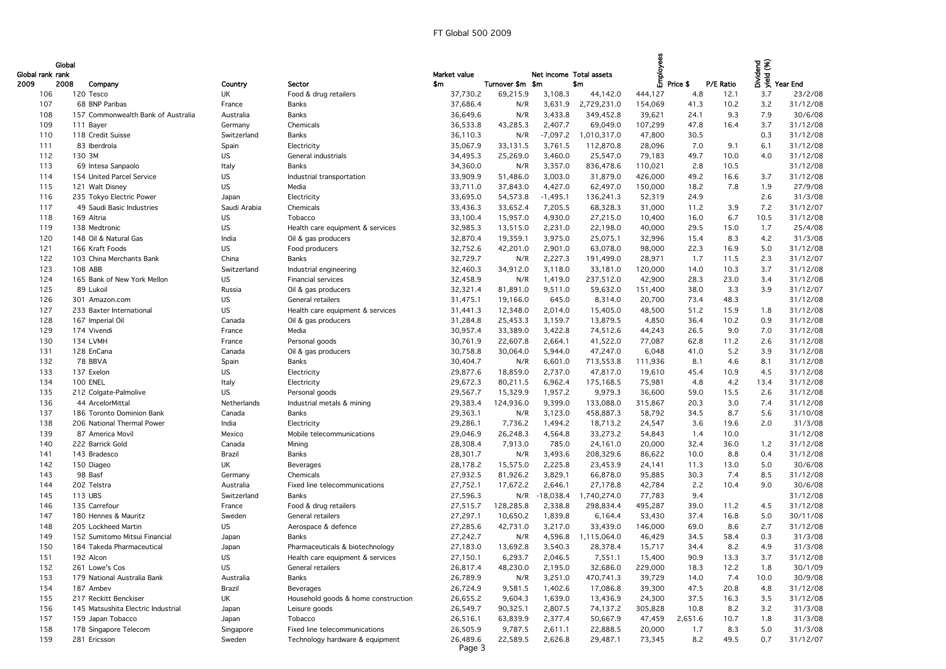| Global rank rank | Global |                                    |                        |                                     | Market value |                  | Net income Total assets |             | Employees |          |           |      | berd<br>Sole<br>Sole<br>Sole Year End |
|------------------|--------|------------------------------------|------------------------|-------------------------------------|--------------|------------------|-------------------------|-------------|-----------|----------|-----------|------|---------------------------------------|
| 2009             | 2008   | Company                            | Country                | Sector                              | \$m          | Turnover \$m \$m |                         | \$m         |           | Price \$ | P/E Ratio |      |                                       |
| 106              |        | 120 Tesco                          | UK                     | Food & drug retailers               | 37,730.2     | 69,215.9         | 3,108.3                 | 44,142.0    | 444,127   | 4.8      | 12.1      | 3.7  | 23/2/08                               |
| 107              |        | 68 BNP Paribas                     | France                 | <b>Banks</b>                        | 37,686.4     | N/R              | 3,631.9                 | 2,729,231.0 | 154,069   | 41.3     | 10.2      | 3.2  | 31/12/08                              |
| 108              |        | 157 Commonwealth Bank of Australia | Australia              | <b>Banks</b>                        | 36,649.6     | N/R              | 3,433.8                 | 349,452.8   | 39,621    | 24.1     | 9.3       | 7.9  | 30/6/08                               |
| 109              |        | 111 Bayer                          | Germany                | Chemicals                           | 36,533.8     | 43,285.3         | 2,407.7                 | 69,049.0    | 107,299   | 47.8     | 16.4      | 3.7  | 31/12/08                              |
| 110              |        | 118 Credit Suisse                  | Switzerland            | <b>Banks</b>                        | 36,110.3     | N/R              | $-7,097.2$              | 1,010,317.0 | 47,800    | 30.5     |           | 0.3  | 31/12/08                              |
| 111              |        | 83 Iberdrola                       | Spain                  | Electricity                         | 35,067.9     | 33,131.5         | 3,761.5                 | 112,870.8   | 28,096    | 7.0      | 9.1       | 6.1  | 31/12/08                              |
| 112              | 130 3M |                                    | <b>US</b>              | General industrials                 | 34,495.3     | 25,269.0         | 3,460.0                 | 25,547.0    | 79,183    | 49.7     | 10.0      | 4.0  | 31/12/08                              |
| 113              |        | 69 Intesa Sanpaolo                 | Italy                  | <b>Banks</b>                        | 34,360.0     | N/R              | 3,357.0                 | 836,478.6   | 110,021   | 2.8      | 10.5      |      | 31/12/08                              |
| 114              |        | 154 United Parcel Service          | <b>US</b>              | Industrial transportation           | 33,909.9     | 51,486.0         | 3,003.0                 | 31,879.0    | 426,000   | 49.2     | 16.6      | 3.7  | 31/12/08                              |
| 115              |        | 121 Walt Disney                    | <b>US</b>              | Media                               | 33,711.0     | 37,843.0         | 4,427.0                 | 62,497.0    | 150,000   | 18.2     | 7.8       | 1.9  | 27/9/08                               |
| 116              |        | 235 Tokyo Electric Power           | Japan                  | Electricity                         | 33,695.0     | 54,573.8         | $-1,495.1$              | 136,241.3   | 52,319    | 24.9     |           | 2.6  | 31/3/08                               |
| 117              |        | 49 Saudi Basic Industries          | Saudi Arabia           | Chemicals                           | 33,436.3     | 33,652.4         | 7,205.5                 | 68,328.3    | 31,000    | 11.2     | 3.9       | 7.2  | 31/12/07                              |
| 118              |        | 169 Altria                         | <b>US</b>              | Tobacco                             | 33,100.4     | 15,957.0         | 4,930.0                 | 27,215.0    | 10,400    | 16.0     | 6.7       | 10.5 | 31/12/08                              |
| 119              |        | 138 Medtronic                      | <b>US</b>              | Health care equipment & services    | 32,985.3     | 13,515.0         | 2,231.0                 | 22,198.0    | 40,000    | 29.5     | 15.0      | 1.7  | 25/4/08                               |
| 120              |        | 148 Oil & Natural Gas              | India                  | Oil & gas producers                 | 32,870.4     | 19,359.1         | 3,975.0                 | 25,075.1    | 32,996    | 15.4     | 8.3       | 4.2  | 31/3/08                               |
| 121              |        | 166 Kraft Foods                    | <b>US</b>              | Food producers                      | 32,752.6     | 42,201.0         | 2,901.0                 | 63,078.0    | 98,000    | 22.3     | 16.9      | 5.0  | 31/12/08                              |
| 122              |        | 103 China Merchants Bank           | China                  | <b>Banks</b>                        | 32,729.7     | N/R              | 2,227.3                 | 191,499.0   | 28,971    | 1.7      | 11.5      | 2.3  | 31/12/07                              |
| 123              |        | 108 ABB                            | Switzerland            | Industrial engineering              | 32,460.3     | 34,912.0         | 3,118.0                 | 33,181.0    | 120,000   | 14.0     | 10.3      | 3.7  | 31/12/08                              |
| 124              |        | 165 Bank of New York Mellon        | <b>US</b>              | Financial services                  | 32,458.9     | N/R              | 1,419.0                 | 237,512.0   | 42,900    | 28.3     | 23.0      | 3.4  | 31/12/08                              |
| 125              |        | 89 Lukoil                          | Russia                 | Oil & gas producers                 | 32,321.4     | 81,891.0         | 9,511.0                 | 59,632.0    | 151,400   | 38.0     | 3.3       | 3.9  | 31/12/07                              |
| 126              |        | 301 Amazon.com                     |                        | General retailers                   |              |                  | 645.0                   |             |           | 73.4     | 48.3      |      | 31/12/08                              |
|                  |        |                                    | <b>US</b><br><b>US</b> |                                     | 31,475.1     | 19,166.0         |                         | 8,314.0     | 20,700    | 51.2     |           |      | 31/12/08                              |
| 127              |        | 233 Baxter International           |                        | Health care equipment & services    | 31,441.3     | 12,348.0         | 2,014.0                 | 15,405.0    | 48,500    |          | 15.9      | 1.8  |                                       |
| 128              |        | 167 Imperial Oil                   | Canada                 | Oil & gas producers                 | 31,284.8     | 25,453.3         | 3,159.7                 | 13,879.5    | 4,850     | 36.4     | 10.2      | 0.9  | 31/12/08                              |
| 129              |        | 174 Vivendi                        | France                 | Media                               | 30,957.4     | 33,389.0         | 3,422.8                 | 74,512.6    | 44,243    | 26.5     | 9.0       | 7.0  | 31/12/08                              |
| 130              |        | 134 LVMH                           | France                 | Personal goods                      | 30,761.9     | 22,607.8         | 2,664.1                 | 41,522.0    | 77,087    | 62.8     | 11.2      | 2.6  | 31/12/08                              |
| 131              |        | 128 EnCana                         | Canada                 | Oil & gas producers                 | 30,758.8     | 30,064.0         | 5,944.0                 | 47,247.0    | 6,048     | 41.0     | 5.2       | 3.9  | 31/12/08                              |
| 132              |        | 78 BBVA                            | Spain                  | <b>Banks</b>                        | 30,404.7     | N/R              | 6,601.0                 | 713,553.8   | 111,936   | 8.1      | 4.6       | 8.1  | 31/12/08                              |
| 133              |        | 137 Exelon                         | <b>US</b>              | Electricity                         | 29,877.6     | 18,859.0         | 2,737.0                 | 47,817.0    | 19,610    | 45.4     | 10.9      | 4.5  | 31/12/08                              |
| 134              |        | <b>100 ENEL</b>                    | Italy                  | Electricity                         | 29,672.3     | 80,211.5         | 6,962.4                 | 175,168.5   | 75,981    | 4.8      | 4.2       | 13.4 | 31/12/08                              |
| 135              |        | 212 Colgate-Palmolive              | <b>US</b>              | Personal goods                      | 29,567.7     | 15,329.9         | 1,957.2                 | 9,979.3     | 36,600    | 59.0     | 15.5      | 2.6  | 31/12/08                              |
| 136              |        | 44 ArcelorMittal                   | Netherlands            | Industrial metals & mining          | 29,383.4     | 124,936.0        | 9,399.0                 | 133,088.0   | 315,867   | 20.3     | 3.0       | 7.4  | 31/12/08                              |
| 137              |        | 186 Toronto Dominion Bank          | Canada                 | <b>Banks</b>                        | 29,363.1     | N/R              | 3,123.0                 | 458,887.3   | 58,792    | 34.5     | 8.7       | 5.6  | 31/10/08                              |
| 138              |        | 206 National Thermal Power         | India                  | Electricity                         | 29,286.1     | 7,736.2          | 1,494.2                 | 18,713.2    | 24,547    | 3.6      | 19.6      | 2.0  | 31/3/08                               |
| 139              |        | 87 America Movil                   | Mexico                 | Mobile telecommunications           | 29,046.9     | 26,248.3         | 4,564.8                 | 33,273.2    | 54,843    | 1.4      | 10.0      |      | 31/12/08                              |
| 140              |        | 222 Barrick Gold                   | Canada                 | Mining                              | 28,308.4     | 7,913.0          | 785.0                   | 24,161.0    | 20,000    | 32.4     | 36.0      | 1.2  | 31/12/08                              |
| 141              |        | 143 Bradesco                       | Brazil                 | <b>Banks</b>                        | 28,301.7     | N/R              | 3,493.6                 | 208,329.6   | 86,622    | 10.0     | 8.8       | 0.4  | 31/12/08                              |
| 142              |        | 150 Diageo                         | UK                     | Beverages                           | 28,178.2     | 15,575.0         | 2,225.8                 | 23,453.9    | 24,141    | 11.3     | 13.0      | 5.0  | 30/6/08                               |
| 143              |        | 98 Basf                            | Germany                | Chemicals                           | 27,932.5     | 81,926.2         | 3,829.1                 | 66,878.0    | 95,885    | 30.3     | 7.4       | 8.5  | 31/12/08                              |
| 144              |        | 202 Telstra                        | Australia              | Fixed line telecommunications       | 27,752.1     | 17,672.2         | 2,646.1                 | 27,178.8    | 42,784    | 2.2      | 10.4      | 9.0  | 30/6/08                               |
| 145              |        | 113 UBS                            | Switzerland            | <b>Banks</b>                        | 27,596.3     | N/R              | $-18,038.4$             | 1,740,274.0 | 77,783    | 9.4      |           |      | 31/12/08                              |
| 146              |        | 135 Carrefour                      | France                 | Food & drug retailers               | 27,515.7     | 128,285.8        | 2,338.8                 | 298,834.4   | 495,287   | 39.0     | 11.2      | 4.5  | 31/12/08                              |
| 147              |        | 180 Hennes & Mauritz               | Sweden                 | General retailers                   | 27,297.1     | 10,650.2         | 1,839.8                 | 6,164.4     | 53,430    | 37.4     | 16.8      | 5.0  | 30/11/08                              |
| 148              |        | 205 Lockheed Martin                | <b>US</b>              | Aerospace & defence                 | 27,285.6     | 42,731.0         | 3,217.0                 | 33,439.0    | 146,000   | 69.0     | 8.6       | 2.7  | 31/12/08                              |
| 149              |        | 152 Sumitomo Mitsui Financial      | Japan                  | <b>Banks</b>                        | 27,242.7     | N/R              | 4,596.8                 | 1,115,064.0 | 46,429    | 34.5     | 58.4      | 0.3  | 31/3/08                               |
| 150              |        | 184 Takeda Pharmaceutical          | Japan                  | Pharmaceuticals & biotechnology     | 27,183.0     | 13,692.8         | 3,540.3                 | 28,378.4    | 15,717    | 34.4     | 8.2       | 4.9  | 31/3/08                               |
| 151              |        | 192 Alcon                          | <b>US</b>              | Health care equipment & services    | 27,150.1     | 6,293.7          | 2,046.5                 | 7,551.1     | 15,400    | 90.9     | 13.3      | 3.7  | 31/12/08                              |
| 152              |        | 261 Lowe's Cos                     | <b>US</b>              | General retailers                   | 26,817.4     | 48,230.0         | 2,195.0                 | 32,686.0    | 229,000   | 18.3     | 12.2      | 1.8  | 30/1/09                               |
| 153              |        | 179 National Australia Bank        | Australia              | <b>Banks</b>                        | 26,789.9     | N/R              | 3,251.0                 | 470,741.3   | 39,729    | 14.0     | 7.4       | 10.0 | 30/9/08                               |
| 154              |        | 187 Ambev                          | Brazil                 | Beverages                           | 26,724.9     | 9,581.5          | 1,402.6                 | 17,086.8    | 39,300    | 47.5     | 20.8      | 4.8  | 31/12/08                              |
| 155              |        | 217 Reckitt Benckiser              | UK                     | Household goods & home construction | 26,655.2     | 9,604.3          | 1,639.0                 | 13,436.9    | 24,300    | 37.5     | 16.3      | 3.5  | 31/12/08                              |
| 156              |        | 145 Matsushita Electric Industrial | Japan                  | Leisure goods                       | 26,549.7     | 90,325.1         | 2,807.5                 | 74,137.2    | 305,828   | 10.8     | 8.2       | 3.2  | 31/3/08                               |
| 157              |        | 159 Japan Tobacco                  | Japan                  | Tobacco                             | 26,516.1     | 63,839.9         | 2,377.4                 | 50,667.9    | 47,459    | 2,651.6  | 10.7      | 1.8  | 31/3/08                               |
| 158              |        | 178 Singapore Telecom              | Singapore              | Fixed line telecommunications       | 26,505.9     | 9,787.5          | 2,611.1                 | 22,888.5    | 20,000    | 1.7      | 8.3       | 5.0  | 31/3/08                               |
| 159              |        | 281 Ericsson                       | Sweden                 | Technology hardware & equipment     | 26,489.6     | 22,589.5         | 2,626.8                 | 29,487.1    | 73,345    | 8.2      | 49.5      | 0.7  | 31/12/07                              |
|                  |        |                                    |                        |                                     | Page 3       |                  |                         |             |           |          |           |      |                                       |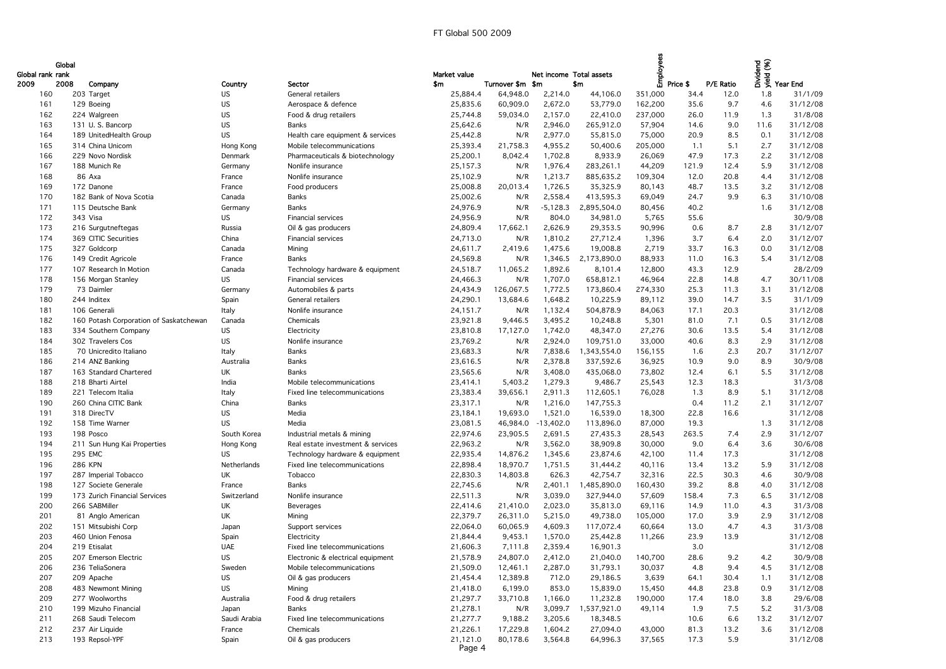| Global rank rank | Global |                                        |              |                                   | Market value |                  | Net income Total assets |             | Employees |          |           | bidend<br>Sidend<br>The Year End |          |
|------------------|--------|----------------------------------------|--------------|-----------------------------------|--------------|------------------|-------------------------|-------------|-----------|----------|-----------|----------------------------------|----------|
| 2009             | 2008   | Company                                | Country      | Sector                            | \$m          | Turnover \$m \$m |                         | \$m\$       |           | Price \$ | P/E Ratio |                                  |          |
| 160              |        | 203 Target                             | US.          | General retailers                 | 25,884.4     | 64,948.0         | 2,214.0                 | 44,106.0    | 351,000   | 34.4     | 12.0      | 1.8                              | 31/1/09  |
| 161              |        | 129 Boeing                             | US           | Aerospace & defence               | 25,835.6     | 60,909.0         | 2,672.0                 | 53,779.0    | 162,200   | 35.6     | 9.7       | 4.6                              | 31/12/08 |
| 162              |        | 224 Walgreen                           | US           | Food & drug retailers             | 25,744.8     | 59,034.0         | 2,157.0                 | 22,410.0    | 237,000   | 26.0     | 11.9      | 1.3                              | 31/8/08  |
| 163              |        | 131 U.S. Bancorp                       | US           | <b>Banks</b>                      | 25,642.6     | N/R              | 2,946.0                 | 265,912.0   | 57,904    | 14.6     | 9.0       | 11.6                             | 31/12/08 |
| 164              |        | 189 UnitedHealth Group                 | <b>US</b>    | Health care equipment & services  | 25,442.8     | N/R              | 2,977.0                 | 55,815.0    | 75,000    | 20.9     | 8.5       | 0.1                              | 31/12/08 |
| 165              |        | 314 China Unicom                       | Hong Kong    | Mobile telecommunications         | 25,393.4     | 21,758.3         | 4,955.2                 | 50,400.6    | 205,000   | 1.1      | 5.1       | 2.7                              | 31/12/08 |
| 166              |        | 229 Novo Nordisk                       | Denmark      | Pharmaceuticals & biotechnology   | 25,200.1     | 8,042.4          | 1,702.8                 | 8,933.9     | 26,069    | 47.9     | 17.3      | 2.2                              | 31/12/08 |
| 167              |        | 188 Munich Re                          | Germany      | Nonlife insurance                 | 25,157.3     | N/R              | 1,976.4                 | 283,261.1   | 44,209    | 121.9    | 12.4      | 5.9                              | 31/12/08 |
| 168              |        | 86 Axa                                 | France       | Nonlife insurance                 | 25,102.9     | N/R              | 1,213.7                 | 885,635.2   | 109,304   | 12.0     | 20.8      | 4.4                              | 31/12/08 |
| 169              |        | 172 Danone                             | France       | Food producers                    | 25,008.8     | 20,013.4         | 1,726.5                 | 35,325.9    | 80,143    | 48.7     | 13.5      | 3.2                              | 31/12/08 |
| 170              |        | 182 Bank of Nova Scotia                | Canada       | Banks                             | 25,002.6     | N/R              | 2,558.4                 | 413,595.3   | 69,049    | 24.7     | 9.9       | 6.3                              | 31/10/08 |
| 171              |        | 115 Deutsche Bank                      | Germany      | <b>Banks</b>                      | 24,976.9     | N/R              | $-5,128.3$              | 2,895,504.0 | 80,456    | 40.2     |           | 1.6                              | 31/12/08 |
| 172              |        | 343 Visa                               | <b>US</b>    | <b>Financial services</b>         | 24,956.9     | N/R              | 804.0                   | 34,981.0    | 5,765     | 55.6     |           |                                  | 30/9/08  |
| 173              |        | 216 Surgutneftegas                     | Russia       | Oil & gas producers               | 24,809.4     | 17,662.1         | 2,626.9                 | 29,353.5    | 90,996    | 0.6      | 8.7       | 2.8                              | 31/12/07 |
| 174              |        | 369 CITIC Securities                   | China        | Financial services                | 24,713.0     | N/R              | 1,810.2                 | 27,712.4    | 1,396     | 3.7      | 6.4       | 2.0                              | 31/12/07 |
| 175              |        | 327 Goldcorp                           | Canada       | Mining                            | 24,611.7     | 2,419.6          | 1,475.6                 | 19,008.8    | 2,719     | 33.7     | 16.3      | 0.0                              | 31/12/08 |
| 176              |        | 149 Credit Agricole                    | France       | <b>Banks</b>                      | 24,569.8     | N/R              | 1,346.5                 | 2,173,890.0 | 88,933    | 11.0     | 16.3      | 5.4                              | 31/12/08 |
| 177              |        | 107 Research In Motion                 |              |                                   |              |                  |                         |             |           |          | 12.9      |                                  | 28/2/09  |
|                  |        |                                        | Canada       | Technology hardware & equipment   | 24,518.7     | 11,065.2         | 1,892.6                 | 8,101.4     | 12,800    | 43.3     |           |                                  |          |
| 178              |        | 156 Morgan Stanley                     | <b>US</b>    | Financial services                | 24,466.3     | N/R              | 1,707.0                 | 658,812.1   | 46,964    | 22.8     | 14.8      | 4.7                              | 30/11/08 |
| 179              |        | 73 Daimler                             | Germany      | Automobiles & parts               | 24,434.9     | 126,067.5        | 1,772.5                 | 173,860.4   | 274,330   | 25.3     | 11.3      | 3.1                              | 31/12/08 |
| 180              |        | 244 Inditex                            | Spain        | General retailers                 | 24,290.1     | 13,684.6         | 1,648.2                 | 10,225.9    | 89,112    | 39.0     | 14.7      | 3.5                              | 31/1/09  |
| 181              |        | 106 Generali                           | Italy        | Nonlife insurance                 | 24,151.7     | N/R              | 1,132.4                 | 504,878.9   | 84,063    | 17.1     | 20.3      |                                  | 31/12/08 |
| 182              |        | 160 Potash Corporation of Saskatchewan | Canada       | Chemicals                         | 23,921.8     | 9,446.5          | 3,495.2                 | 10,248.8    | 5,301     | 81.0     | 7.1       | 0.5                              | 31/12/08 |
| 183              |        | 334 Southern Company                   | <b>US</b>    | Electricity                       | 23,810.8     | 17,127.0         | 1,742.0                 | 48,347.0    | 27,276    | 30.6     | 13.5      | 5.4                              | 31/12/08 |
| 184              |        | 302 Travelers Cos                      | US           | Nonlife insurance                 | 23,769.2     | N/R              | 2,924.0                 | 109,751.0   | 33,000    | 40.6     | 8.3       | 2.9                              | 31/12/08 |
| 185              |        | 70 Unicredito Italiano                 | Italy        | <b>Banks</b>                      | 23,683.3     | N/R              | 7,838.6                 | 1,343,554.0 | 156,155   | 1.6      | 2.3       | 20.7                             | 31/12/07 |
| 186              |        | 214 ANZ Banking                        | Australia    | <b>Banks</b>                      | 23,616.5     | N/R              | 2,378.8                 | 337,592.6   | 36,925    | 10.9     | 9.0       | 8.9                              | 30/9/08  |
| 187              |        | 163 Standard Chartered                 | UK           | <b>Banks</b>                      | 23,565.6     | N/R              | 3,408.0                 | 435,068.0   | 73,802    | 12.4     | 6.1       | 5.5                              | 31/12/08 |
| 188              |        | 218 Bharti Airtel                      | India        | Mobile telecommunications         | 23,414.1     | 5,403.2          | 1,279.3                 | 9,486.7     | 25,543    | 12.3     | 18.3      |                                  | 31/3/08  |
| 189              |        | 221 Telecom Italia                     | Italy        | Fixed line telecommunications     | 23,383.4     | 39,656.1         | 2,911.3                 | 112,605.1   | 76,028    | 1.3      | 8.9       | 5.1                              | 31/12/08 |
| 190              |        | 260 China CITIC Bank                   | China        | Banks                             | 23,317.1     | N/R              | 1,216.0                 | 147,755.3   |           | 0.4      | 11.2      | 2.1                              | 31/12/07 |
| 191              |        | 318 DirecTV                            | US           | Media                             | 23,184.1     | 19,693.0         | 1,521.0                 | 16,539.0    | 18,300    | 22.8     | 16.6      |                                  | 31/12/08 |
| 192              |        | 158 Time Warner                        | <b>US</b>    | Media                             | 23,081.5     | 46,984.0         | $-13,402.0$             | 113,896.0   | 87,000    | 19.3     |           | 1.3                              | 31/12/08 |
| 193              |        | 198 Posco                              | South Korea  | Industrial metals & mining        | 22,974.6     | 23,905.5         | 2,691.5                 | 27,435.3    | 28,543    | 263.5    | 7.4       | 2.9                              | 31/12/07 |
| 194              |        | 211 Sun Hung Kai Properties            | Hong Kong    | Real estate investment & services | 22,963.2     | N/R              | 3,562.0                 | 38,909.8    | 30,000    | 9.0      | 6.4       | 3.6                              | 30/6/08  |
| 195              |        | 295 EMC                                | US.          | Technology hardware & equipment   | 22,935.4     | 14,876.2         | 1,345.6                 | 23,874.6    | 42,100    | 11.4     | 17.3      |                                  | 31/12/08 |
| 196              |        | <b>286 KPN</b>                         | Netherlands  | Fixed line telecommunications     | 22,898.4     | 18,970.7         | 1,751.5                 | 31,444.2    | 40,116    | 13.4     | 13.2      | 5.9                              | 31/12/08 |
| 197              |        | 287 Imperial Tobacco                   | UK           | Tobacco                           | 22,830.3     | 14,803.8         | 626.3                   | 42,754.7    | 32,316    | 22.5     | 30.3      | 4.6                              | 30/9/08  |
| 198              |        | 127 Societe Generale                   | France       | Banks                             | 22,745.6     | N/R              | 2,401.1                 | 1,485,890.0 | 160,430   | 39.2     | 8.8       | 4.0                              | 31/12/08 |
| 199              |        | 173 Zurich Financial Services          | Switzerland  | Nonlife insurance                 | 22,511.3     | N/R              | 3,039.0                 | 327,944.0   | 57,609    | 158.4    | 7.3       | 6.5                              | 31/12/08 |
| 200              |        | 266 SABMiller                          | UK           | Beverages                         | 22,414.6     | 21,410.0         | 2,023.0                 | 35,813.0    | 69,116    | 14.9     | 11.0      | 4.3                              | 31/3/08  |
| 201              |        | 81 Anglo American                      | UK           | Mining                            | 22,379.7     | 26,311.0         | 5,215.0                 | 49,738.0    | 105,000   | 17.0     | 3.9       | 2.9                              | 31/12/08 |
| 202              |        | 151 Mitsubishi Corp                    | Japan        | Support services                  | 22,064.0     | 60,065.9         | 4,609.3                 | 117,072.4   | 60,664    | 13.0     | 4.7       | 4.3                              | 31/3/08  |
| 203              |        | 460 Union Fenosa                       | Spain        | Electricity                       | 21,844.4     | 9,453.1          | 1,570.0                 | 25,442.8    | 11,266    | 23.9     | 13.9      |                                  | 31/12/08 |
| 204              |        | 219 Etisalat                           | <b>UAE</b>   | Fixed line telecommunications     | 21,606.3     | 7,111.8          | 2,359.4                 | 16,901.3    |           | 3.0      |           |                                  | 31/12/08 |
| 205              |        | 207 Emerson Electric                   | <b>US</b>    | Electronic & electrical equipment | 21,578.9     | 24,807.0         | 2,412.0                 | 21,040.0    | 140,700   | 28.6     | 9.2       | 4.2                              | 30/9/08  |
| 206              |        | 236 TeliaSonera                        | Sweden       | Mobile telecommunications         | 21,509.0     | 12,461.1         | 2,287.0                 | 31,793.1    | 30,037    | 4.8      | 9.4       | 4.5                              | 31/12/08 |
| 207              |        | 209 Apache                             | US.          | Oil & gas producers               | 21,454.4     | 12,389.8         | 712.0                   | 29,186.5    | 3,639     | 64.1     | 30.4      | 1.1                              | 31/12/08 |
| 208              |        | 483 Newmont Mining                     | <b>US</b>    | Mining                            | 21,418.0     | 6,199.0          | 853.0                   | 15,839.0    | 15,450    | 44.8     | 23.8      | 0.9                              | 31/12/08 |
| 209              |        | 277 Woolworths                         | Australia    | Food & drug retailers             | 21,297.7     | 33,710.8         | 1,166.0                 | 11,232.8    | 190,000   | 17.4     | 18.0      | 3.8                              | 29/6/08  |
| 210              |        | 199 Mizuho Financial                   | Japan        | Banks                             | 21,278.1     | N/R              | 3,099.7                 | 1,537,921.0 | 49,114    | 1.9      | 7.5       | 5.2                              | 31/3/08  |
| 211              |        | 268 Saudi Telecom                      | Saudi Arabia | Fixed line telecommunications     | 21,277.7     | 9,188.2          | 3,205.6                 | 18,348.5    |           | 10.6     | 6.6       | 13.2                             | 31/12/07 |
| 212              |        | 237 Air Liquide                        | France       | Chemicals                         | 21,226.1     | 17,229.8         | 1,604.2                 | 27,094.0    | 43,000    | 81.3     | 13.2      | 3.6                              | 31/12/08 |
| 213              |        | 193 Repsol-YPF                         | Spain        | Oil & gas producers               | 21,121.0     | 80,178.6         | 3,564.8                 | 64,996.3    | 37,565    | 17.3     | 5.9       |                                  | 31/12/08 |
|                  |        |                                        |              |                                   | Page 4       |                  |                         |             |           |          |           |                                  |          |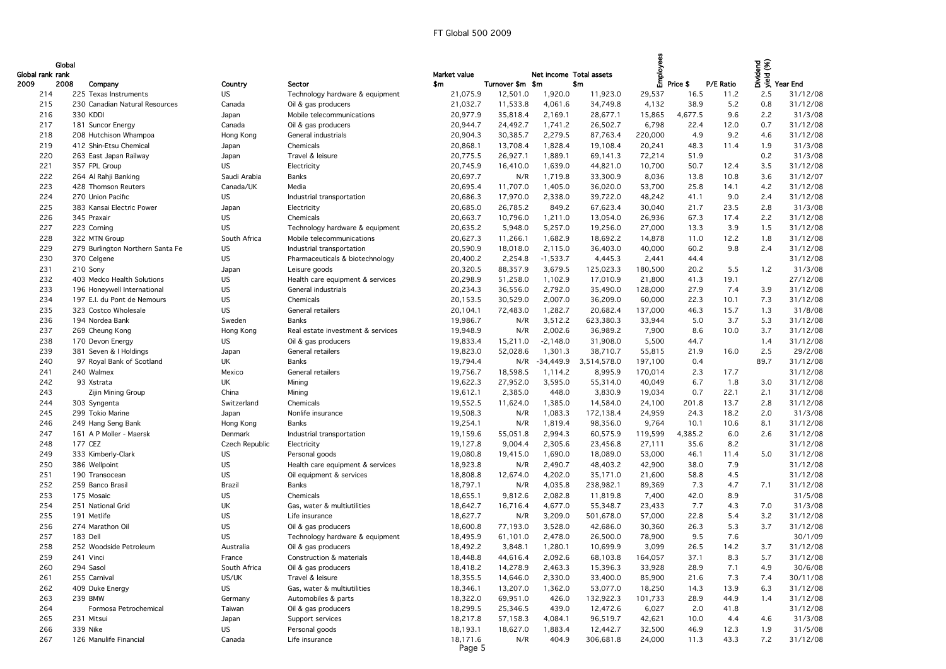|                  | Global |                                  |                |                                   |              |                  |                         |             | Employees |          |           |      | bidend<br>Sidend<br>The Year End |
|------------------|--------|----------------------------------|----------------|-----------------------------------|--------------|------------------|-------------------------|-------------|-----------|----------|-----------|------|----------------------------------|
| Global rank rank |        |                                  |                |                                   | Market value |                  | Net income Total assets |             |           |          |           |      |                                  |
| 2009             | 2008   | Company                          | Country        | Sector                            | \$m          | Turnover \$m \$m |                         | \$m\$       |           | Price \$ | P/E Ratio |      |                                  |
| 214              |        | 225 Texas Instruments            | <b>US</b>      | Technology hardware & equipment   | 21,075.9     | 12,501.0         | 1,920.0                 | 11,923.0    | 29,537    | 16.5     | 11.2      | 2.5  | 31/12/08                         |
| 215              |        | 230 Canadian Natural Resources   | Canada         | Oil & gas producers               | 21,032.7     | 11,533.8         | 4,061.6                 | 34,749.8    | 4,132     | 38.9     | 5.2       | 0.8  | 31/12/08                         |
| 216              |        | 330 KDDI                         | Japan          | Mobile telecommunications         | 20,977.9     | 35,818.4         | 2,169.1                 | 28,677.1    | 15,865    | 4,677.5  | 9.6       | 2.2  | 31/3/08                          |
| 217              |        | 181 Suncor Energy                | Canada         | Oil & gas producers               | 20,944.7     | 24,492.7         | 1,741.2                 | 26,502.7    | 6,798     | 22.4     | 12.0      | 0.7  | 31/12/08                         |
| 218              |        | 208 Hutchison Whampoa            | Hong Kong      | General industrials               | 20,904.3     | 30,385.7         | 2,279.5                 | 87,763.4    | 220,000   | 4.9      | 9.2       | 4.6  | 31/12/08                         |
| 219              |        | 412 Shin-Etsu Chemical           | Japan          | Chemicals                         | 20,868.1     | 13,708.4         | 1,828.4                 | 19,108.4    | 20,241    | 48.3     | 11.4      | 1.9  | 31/3/08                          |
| 220              |        | 263 East Japan Railway           | Japan          | Travel & leisure                  | 20,775.5     | 26,927.1         | 1,889.1                 | 69,141.3    | 72,214    | 51.9     |           | 0.2  | 31/3/08                          |
| 221              |        | 357 FPL Group                    | <b>US</b>      | Electricity                       | 20,745.9     | 16,410.0         | 1,639.0                 | 44,821.0    | 10,700    | 50.7     | 12.4      | 3.5  | 31/12/08                         |
| 222              |        | 264 Al Rahji Banking             | Saudi Arabia   | <b>Banks</b>                      | 20,697.7     | N/R              | 1,719.8                 | 33,300.9    | 8,036     | 13.8     | 10.8      | 3.6  | 31/12/07                         |
| 223              |        | 428 Thomson Reuters              | Canada/UK      | Media                             | 20,695.4     | 11,707.0         | 1,405.0                 | 36,020.0    | 53,700    | 25.8     | 14.1      | 4.2  | 31/12/08                         |
| 224              |        | 270 Union Pacific                | <b>US</b>      | Industrial transportation         | 20,686.3     | 17,970.0         | 2,338.0                 | 39,722.0    | 48,242    | 41.1     | 9.0       | 2.4  | 31/12/08                         |
| 225              |        | 383 Kansai Electric Power        | Japan          | Electricity                       | 20,685.0     | 26,785.2         | 849.2                   | 67,623.4    | 30,040    | 21.7     | 23.5      | 2.8  | 31/3/08                          |
| 226              |        | 345 Praxair                      | <b>US</b>      | Chemicals                         | 20,663.7     | 10,796.0         | 1,211.0                 | 13,054.0    | 26,936    | 67.3     | 17.4      | 2.2  | 31/12/08                         |
| 227              |        | 223 Corning                      | US             | Technology hardware & equipment   | 20,635.2     | 5,948.0          | 5,257.0                 | 19,256.0    | 27,000    | 13.3     | 3.9       | 1.5  | 31/12/08                         |
| 228              |        | 322 MTN Group                    | South Africa   | Mobile telecommunications         | 20,627.3     | 11,266.1         | 1,682.9                 | 18,692.2    | 14,878    | 11.0     | 12.2      | 1.8  | 31/12/08                         |
| 229              |        | 279 Burlington Northern Santa Fe | <b>US</b>      | Industrial transportation         | 20,590.9     | 18,018.0         | 2,115.0                 | 36,403.0    | 40,000    | 60.2     | 9.8       | 2.4  | 31/12/08                         |
| 230              |        | 370 Celgene                      | <b>US</b>      | Pharmaceuticals & biotechnology   | 20,400.2     | 2,254.8          | $-1,533.7$              | 4,445.3     | 2,441     | 44.4     |           |      | 31/12/08                         |
| 231              |        | 210 Sony                         | Japan          | Leisure goods                     | 20,320.5     | 88,357.9         | 3,679.5                 | 125,023.3   | 180,500   | 20.2     | 5.5       | 1.2  | 31/3/08                          |
| 232              |        | 403 Medco Health Solutions       | <b>US</b>      | Health care equipment & services  | 20,298.9     | 51,258.0         | 1,102.9                 | 17,010.9    | 21,800    | 41.3     | 19.1      |      | 27/12/08                         |
| 233              |        | 196 Honeywell International      | <b>US</b>      | General industrials               | 20,234.3     | 36,556.0         | 2,792.0                 | 35,490.0    | 128,000   | 27.9     | 7.4       | 3.9  | 31/12/08                         |
| 234              |        | 197 E.I. du Pont de Nemours      | US             | Chemicals                         | 20,153.5     | 30,529.0         | 2,007.0                 | 36,209.0    | 60,000    | 22.3     | 10.1      | 7.3  | 31/12/08                         |
| 235              |        | 323 Costco Wholesale             | US             | General retailers                 | 20,104.1     | 72,483.0         | 1,282.7                 | 20,682.4    | 137,000   | 46.3     | 15.7      | 1.3  | 31/8/08                          |
| 236              |        | 194 Nordea Bank                  | Sweden         | <b>Banks</b>                      | 19,986.7     | N/R              | 3,512.2                 | 623,380.3   | 33,944    | 5.0      | 3.7       | 5.3  | 31/12/08                         |
| 237              |        | 269 Cheung Kong                  | Hong Kong      | Real estate investment & services | 19,948.9     | N/R              | 2,002.6                 | 36,989.2    | 7,900     | 8.6      | 10.0      | 3.7  | 31/12/08                         |
| 238              |        | 170 Devon Energy                 | <b>US</b>      | Oil & gas producers               | 19,833.4     | 15,211.0         | $-2,148.0$              | 31,908.0    | 5,500     | 44.7     |           | 1.4  | 31/12/08                         |
| 239              |        | 381 Seven & I Holdings           |                | General retailers                 | 19,823.0     | 52,028.6         | 1,301.3                 | 38,710.7    | 55,815    | 21.9     | 16.0      | 2.5  | 29/2/08                          |
| 240              |        | 97 Royal Bank of Scotland        | Japan          | <b>Banks</b>                      |              |                  | -34,449.9               |             |           |          |           | 89.7 | 31/12/08                         |
|                  |        |                                  | UK             |                                   | 19,794.4     | N/R              |                         | 3,514,578.0 | 197,100   | 0.4      |           |      |                                  |
| 241              |        | 240 Walmex                       | Mexico         | General retailers                 | 19,756.7     | 18,598.5         | 1,114.2                 | 8,995.9     | 170,014   | 2.3      | 17.7      |      | 31/12/08                         |
| 242              |        | 93 Xstrata                       | UK             | Mining                            | 19,622.3     | 27,952.0         | 3,595.0                 | 55,314.0    | 40,049    | 6.7      | 1.8       | 3.0  | 31/12/08                         |
| 243              |        | Zijin Mining Group               | China          | Mining                            | 19,612.1     | 2,385.0          | 448.0                   | 3,830.9     | 19,034    | 0.7      | 22.1      | 2.1  | 31/12/08                         |
| 244              |        | 303 Syngenta                     | Switzerland    | Chemicals                         | 19,552.5     | 11,624.0         | 1,385.0                 | 14,584.0    | 24,100    | 201.8    | 13.7      | 2.8  | 31/12/08                         |
| 245              |        | 299 Tokio Marine                 | Japan          | Nonlife insurance                 | 19,508.3     | N/R              | 1,083.3                 | 172,138.4   | 24,959    | 24.3     | 18.2      | 2.0  | 31/3/08                          |
| 246              |        | 249 Hang Seng Bank               | Hong Kong      | <b>Banks</b>                      | 19,254.1     | N/R              | 1,819.4                 | 98,356.0    | 9,764     | 10.1     | 10.6      | 8.1  | 31/12/08                         |
| 247              |        | 161 A P Moller - Maersk          | Denmark        | Industrial transportation         | 19,159.6     | 55,051.8         | 2,994.3                 | 60,575.9    | 119,599   | 4,385.2  | 6.0       | 2.6  | 31/12/08                         |
| 248              |        | 177 CEZ                          | Czech Republic | Electricity                       | 19,127.8     | 9,004.4          | 2,305.6                 | 23,456.8    | 27,111    | 35.6     | 8.2       |      | 31/12/08                         |
| 249              |        | 333 Kimberly-Clark               | US             | Personal goods                    | 19,080.8     | 19,415.0         | 1,690.0                 | 18,089.0    | 53,000    | 46.1     | 11.4      | 5.0  | 31/12/08                         |
| 250              |        | 386 Wellpoint                    | US             | Health care equipment & services  | 18,923.8     | N/R              | 2,490.7                 | 48,403.2    | 42,900    | 38.0     | 7.9       |      | 31/12/08                         |
| 251              |        | 190 Transocean                   | US             | Oil equipment & services          | 18,808.8     | 12,674.0         | 4,202.0                 | 35,171.0    | 21,600    | 58.8     | 4.5       |      | 31/12/08                         |
| 252              |        | 259 Banco Brasil                 | Brazil         | Banks                             | 18,797.1     | N/R              | 4,035.8                 | 238,982.1   | 89,369    | 7.3      | 4.7       | 7.1  | 31/12/08                         |
| 253              |        | 175 Mosaic                       | US.            | Chemicals                         | 18,655.1     | 9,812.6          | 2,082.8                 | 11,819.8    | 7,400     | 42.0     | 8.9       |      | 31/5/08                          |
| 254              |        | 251 National Grid                | UK             | Gas, water & multiutilities       | 18,642.7     | 16,716.4         | 4,677.0                 | 55,348.7    | 23,433    | 7.7      | 4.3       | 7.0  | 31/3/08                          |
| 255              |        | 191 Metlife                      | US             | Life insurance                    | 18,627.7     | N/R              | 3,209.0                 | 501,678.0   | 57,000    | 22.8     | 5.4       | 3.2  | 31/12/08                         |
| 256              |        | 274 Marathon Oil                 | US             | Oil & gas producers               | 18,600.8     | 77,193.0         | 3,528.0                 | 42,686.0    | 30,360    | 26.3     | 5.3       | 3.7  | 31/12/08                         |
| 257              |        | 183 Dell                         | US             | Technology hardware & equipment   | 18,495.9     | 61,101.0         | 2,478.0                 | 26,500.0    | 78,900    | 9.5      | 7.6       |      | 30/1/09                          |
| 258              |        | 252 Woodside Petroleum           | Australia      | Oil & gas producers               | 18,492.2     | 3,848.1          | 1,280.1                 | 10,699.9    | 3,099     | 26.5     | 14.2      | 3.7  | 31/12/08                         |
| 259              |        | 241 Vinci                        | France         | Construction & materials          | 18,448.8     | 44,616.4         | 2,092.6                 | 68,103.8    | 164,057   | 37.1     | 8.3       | 5.7  | 31/12/08                         |
| 260              |        | 294 Sasol                        | South Africa   | Oil & gas producers               | 18,418.2     | 14,278.9         | 2,463.3                 | 15,396.3    | 33,928    | 28.9     | 7.1       | 4.9  | 30/6/08                          |
| 261              |        | 255 Carnival                     | US/UK          | Travel & leisure                  | 18,355.5     | 14,646.0         | 2,330.0                 | 33,400.0    | 85,900    | 21.6     | 7.3       | 7.4  | 30/11/08                         |
| 262              |        | 409 Duke Energy                  | <b>US</b>      | Gas, water & multiutilities       | 18,346.1     | 13,207.0         | 1,362.0                 | 53,077.0    | 18,250    | 14.3     | 13.9      | 6.3  | 31/12/08                         |
| 263              |        | 239 BMW                          | Germany        | Automobiles & parts               | 18,322.0     | 69,951.0         | 426.0                   | 132,922.3   | 101,733   | 28.9     | 44.9      | 1.4  | 31/12/08                         |
| 264              |        | Formosa Petrochemical            | Taiwan         | Oil & gas producers               | 18,299.5     | 25,346.5         | 439.0                   | 12,472.6    | 6,027     | 2.0      | 41.8      |      | 31/12/08                         |
| 265              |        | 231 Mitsui                       | Japan          | Support services                  | 18,217.8     | 57,158.3         | 4,084.1                 | 96,519.7    | 42,621    | 10.0     | 4.4       | 4.6  | 31/3/08                          |
| 266              |        | 339 Nike                         | <b>US</b>      | Personal goods                    | 18,193.1     | 18,627.0         | 1,883.4                 | 12,442.7    | 32,500    | 46.9     | 12.3      | 1.9  | 31/5/08                          |
| 267              |        | 126 Manulife Financial           | Canada         | Life insurance                    | 18,171.6     | N/R              | 404.9                   | 306,681.8   | 24,000    | 11.3     | 43.3      | 7.2  | 31/12/08                         |
|                  |        |                                  |                |                                   | Page 5       |                  |                         |             |           |          |           |      |                                  |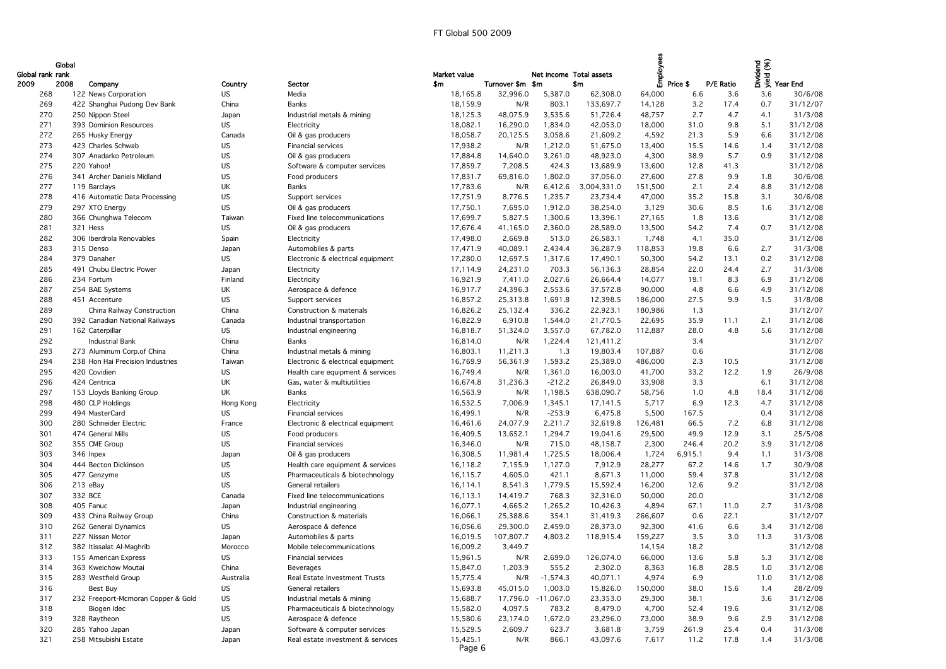| Global rank rank | Global |                                    |           |                                   | Market value |                  | Net income Total assets |             | Employees |             |           | Dividend<br>yield (%) |                 |
|------------------|--------|------------------------------------|-----------|-----------------------------------|--------------|------------------|-------------------------|-------------|-----------|-------------|-----------|-----------------------|-----------------|
| 2009             | 2008   | Company                            | Country   | Sector                            | \$m          | Turnover \$m \$m |                         | \$m\$       |           | Price \$    | P/E Ratio |                       | <b>Year End</b> |
| 268              |        | 122 News Corporation               | <b>US</b> | Media                             | 18,165.8     | 32,996.0         | 5,387.0                 | 62,308.0    | 64,000    | 6.6         | 3.6       | 3.6                   | 30/6/08         |
| 269              |        | 422 Shanghai Pudong Dev Bank       | China     | <b>Banks</b>                      | 18,159.9     | N/R              | 803.1                   | 133,697.7   | 14,128    | 3.2         | 17.4      | 0.7                   | 31/12/07        |
| 270              |        | 250 Nippon Steel                   | Japan     | Industrial metals & mining        | 18,125.3     | 48,075.9         | 3,535.6                 | 51,726.4    | 48,757    | 2.7         | 4.7       | 4.1                   | 31/3/08         |
| 271              |        | 393 Dominion Resources             | US.       | Electricity                       | 18,082.1     | 16,290.0         | 1,834.0                 | 42,053.0    | 18,000    | 31.0        | 9.8       | 5.1                   | 31/12/08        |
| 272              |        | 265 Husky Energy                   | Canada    | Oil & gas producers               | 18,058.7     | 20,125.5         | 3,058.6                 | 21,609.2    | 4,592     | 21.3        | 5.9       | 6.6                   | 31/12/08        |
| 273              |        | 423 Charles Schwab                 | US        | <b>Financial services</b>         | 17,938.2     | N/R              | 1,212.0                 | 51,675.0    | 13,400    | 15.5        | 14.6      | 1.4                   | 31/12/08        |
| 274              |        | 307 Anadarko Petroleum             | US        | Oil & gas producers               | 17,884.8     | 14,640.0         | 3,261.0                 | 48,923.0    | 4,300     | 38.9        | 5.7       | 0.9                   | 31/12/08        |
| 275              |        | 220 Yahoo!                         | US        | Software & computer services      | 17,859.7     | 7,208.5          | 424.3                   | 13,689.9    | 13,600    | 12.8        | 41.3      |                       | 31/12/08        |
| 276              |        | 341 Archer Daniels Midland         | US        | Food producers                    | 17,831.7     | 69,816.0         | 1,802.0                 | 37,056.0    | 27,600    | 27.8        | 9.9       | 1.8                   | 30/6/08         |
| 277              |        | 119 Barclays                       | UK        | <b>Banks</b>                      | 17,783.6     | N/R              | 6,412.6                 | 3,004,331.0 | 151,500   | 2.1         | 2.4       | 8.8                   | 31/12/08        |
| 278              |        | 416 Automatic Data Processing      | US        | Support services                  | 17,751.9     | 8,776.5          | 1,235.7                 | 23,734.4    | 47,000    | 35.2        | 15.8      | 3.1                   | 30/6/08         |
| 279              |        | 297 XTO Energy                     | <b>US</b> | Oil & gas producers               | 17,750.1     | 7,695.0          | 1,912.0                 | 38,254.0    | 3,129     | 30.6        | 8.5       | 1.6                   | 31/12/08        |
| 280              |        | 366 Chunghwa Telecom               | Taiwan    | Fixed line telecommunications     | 17,699.7     | 5,827.5          | 1,300.6                 |             | 27,165    | 1.8         | 13.6      |                       | 31/12/08        |
|                  |        | 321 Hess                           |           |                                   |              |                  |                         | 13,396.1    |           |             | 7.4       | 0.7                   | 31/12/08        |
| 281<br>282       |        |                                    | US.       | Oil & gas producers               | 17,676.4     | 41,165.0         | 2,360.0<br>513.0        | 28,589.0    | 13,500    | 54.2<br>4.1 | 35.0      |                       | 31/12/08        |
|                  |        | 306 Iberdrola Renovables           | Spain     | Electricity                       | 17,498.0     | 2,669.8          |                         | 26,583.1    | 1,748     |             |           |                       |                 |
| 283              |        | 315 Denso                          | Japan     | Automobiles & parts               | 17,471.9     | 40,089.1         | 2,434.4                 | 36,287.9    | 118,853   | 19.8        | 6.6       | 2.7                   | 31/3/08         |
| 284              |        | 379 Danaher                        | US.       | Electronic & electrical equipment | 17,280.0     | 12,697.5         | 1,317.6                 | 17,490.1    | 50,300    | 54.2        | 13.1      | 0.2                   | 31/12/08        |
| 285              |        | 491 Chubu Electric Power           | Japan     | Electricity                       | 17,114.9     | 24,231.0         | 703.3                   | 56,136.3    | 28,854    | 22.0        | 24.4      | 2.7                   | 31/3/08         |
| 286              |        | 234 Fortum                         | Finland   | Electricity                       | 16,921.9     | 7,411.0          | 2,027.6                 | 26,664.4    | 14,077    | 19.1        | 8.3       | 6.9                   | 31/12/08        |
| 287              |        | 254 BAE Systems                    | UK        | Aerospace & defence               | 16,917.7     | 24,396.3         | 2,553.6                 | 37,572.8    | 90,000    | 4.8         | 6.6       | 4.9                   | 31/12/08        |
| 288              |        | 451 Accenture                      | <b>US</b> | Support services                  | 16,857.2     | 25,313.8         | 1,691.8                 | 12,398.5    | 186,000   | 27.5        | 9.9       | 1.5                   | 31/8/08         |
| 289              |        | China Railway Construction         | China     | Construction & materials          | 16,826.2     | 25,132.4         | 336.2                   | 22,923.1    | 180,986   | 1.3         |           |                       | 31/12/07        |
| 290              |        | 392 Canadian National Railways     | Canada    | Industrial transportation         | 16,822.9     | 6,910.8          | 1,544.0                 | 21,770.5    | 22,695    | 35.9        | 11.1      | 2.1                   | 31/12/08        |
| 291              |        | 162 Caterpillar                    | US.       | Industrial engineering            | 16,818.7     | 51,324.0         | 3,557.0                 | 67,782.0    | 112,887   | 28.0        | 4.8       | 5.6                   | 31/12/08        |
| 292              |        | <b>Industrial Bank</b>             | China     | <b>Banks</b>                      | 16,814.0     | N/R              | 1,224.4                 | 121,411.2   |           | 3.4         |           |                       | 31/12/07        |
| 293              |        | 273 Aluminum Corp.of China         | China     | Industrial metals & mining        | 16,803.1     | 11,211.3         | 1.3                     | 19,803.4    | 107,887   | 0.6         |           |                       | 31/12/08        |
| 294              |        | 238 Hon Hai Precision Industries   | Taiwan    | Electronic & electrical equipment | 16,769.9     | 56,361.9         | 1,593.2                 | 25,389.0    | 486,000   | 2.3         | 10.5      |                       | 31/12/08        |
| 295              |        | 420 Covidien                       | US        | Health care equipment & services  | 16,749.4     | N/R              | 1,361.0                 | 16,003.0    | 41,700    | 33.2        | 12.2      | 1.9                   | 26/9/08         |
| 296              |        | 424 Centrica                       | UK        | Gas, water & multiutilities       | 16,674.8     | 31,236.3         | $-212.2$                | 26,849.0    | 33,908    | 3.3         |           | 6.1                   | 31/12/08        |
| 297              |        | 153 Lloyds Banking Group           | UK        | Banks                             | 16,563.9     | N/R              | 1,198.5                 | 638,090.7   | 58,756    | 1.0         | 4.8       | 18.4                  | 31/12/08        |
| 298              |        | 480 CLP Holdings                   | Hong Kong | Electricity                       | 16,532.5     | 7,006.9          | 1,345.1                 | 17,141.5    | 5,717     | 6.9         | 12.3      | 4.7                   | 31/12/08        |
| 299              |        | 494 MasterCard                     | <b>US</b> | Financial services                | 16,499.1     | N/R              | $-253.9$                | 6,475.8     | 5,500     | 167.5       |           | 0.4                   | 31/12/08        |
| 300              |        | 280 Schneider Electric             | France    | Electronic & electrical equipment | 16,461.6     | 24,077.9         | 2,211.7                 | 32,619.8    | 126,481   | 66.5        | 7.2       | 6.8                   | 31/12/08        |
| 301              |        | 474 General Mills                  | US        | Food producers                    | 16,409.5     | 13,652.1         | 1,294.7                 | 19,041.6    | 29,500    | 49.9        | 12.9      | 3.1                   | 25/5/08         |
| 302              |        | 355 CME Group                      | <b>US</b> | Financial services                | 16,346.0     | N/R              | 715.0                   | 48,158.7    | 2,300     | 246.4       | 20.2      | 3.9                   | 31/12/08        |
| 303              |        | 346 Inpex                          | Japan     | Oil & gas producers               | 16,308.5     | 11,981.4         | 1,725.5                 | 18,006.4    | 1,724     | 6,915.1     | 9.4       | 1.1                   | 31/3/08         |
| 304              |        | 444 Becton Dickinson               | US        | Health care equipment & services  | 16,118.2     | 7,155.9          | 1,127.0                 | 7,912.9     | 28,277    | 67.2        | 14.6      | 1.7                   | 30/9/08         |
| 305              |        | 477 Genzyme                        | US        | Pharmaceuticals & biotechnology   | 16,115.7     | 4,605.0          | 421.1                   | 8,671.3     | 11,000    | 59.4        | 37.8      |                       | 31/12/08        |
| 306              |        | 213 eBay                           | <b>US</b> | General retailers                 | 16,114.1     | 8,541.3          | 1,779.5                 | 15,592.4    | 16,200    | 12.6        | 9.2       |                       | 31/12/08        |
| 307              |        | 332 BCE                            | Canada    | Fixed line telecommunications     | 16,113.1     | 14,419.7         | 768.3                   | 32,316.0    | 50,000    | 20.0        |           |                       | 31/12/08        |
| 308              |        | 405 Fanuc                          | Japan     | Industrial engineering            | 16,077.1     | 4,665.2          | 1,265.2                 | 10,426.3    | 4,894     | 67.1        | 11.0      | 2.7                   | 31/3/08         |
| 309              |        | 433 China Railway Group            | China     | Construction & materials          | 16,066.1     | 25,388.6         | 354.1                   | 31,419.3    | 266,607   | 0.6         | 22.1      |                       | 31/12/07        |
| 310              |        | 262 General Dynamics               | US.       | Aerospace & defence               | 16,056.6     | 29,300.0         | 2,459.0                 | 28,373.0    | 92,300    | 41.6        | 6.6       | 3.4                   | 31/12/08        |
| 311              |        | 227 Nissan Motor                   | Japan     | Automobiles & parts               | 16,019.5     | 107,807.7        | 4,803.2                 | 118,915.4   | 159,227   | 3.5         | 3.0       | 11.3                  | 31/3/08         |
| 312              |        | 382 Itissalat Al-Maghrib           | Morocco   | Mobile telecommunications         | 16,009.2     | 3,449.7          |                         |             | 14,154    | 18.2        |           |                       | 31/12/08        |
| 313              |        | 155 American Express               | <b>US</b> | Financial services                | 15,961.5     | N/R              | 2,699.0                 | 126,074.0   | 66,000    | 13.6        | 5.8       | 5.3                   | 31/12/08        |
| 314              |        | 363 Kweichow Moutai                | China     | Beverages                         | 15,847.0     | 1,203.9          | 555.2                   | 2,302.0     | 8,363     | 16.8        | 28.5      | 1.0                   | 31/12/08        |
| 315              |        | 283 Westfield Group                | Australia | Real Estate Investment Trusts     | 15,775.4     | N/R              | $-1,574.3$              | 40,071.1    | 4,974     | 6.9         |           | 11.0                  | 31/12/08        |
| 316              |        | Best Buy                           | US        | General retailers                 | 15,693.8     | 45,015.0         | 1,003.0                 | 15,826.0    | 150,000   | 38.0        | 15.6      | 1.4                   | 28/2/09         |
| 317              |        | 232 Freeport-Mcmoran Copper & Gold | <b>US</b> | Industrial metals & mining        | 15,688.7     | 17,796.0         | $-11,067.0$             | 23,353.0    | 29,300    | 38.1        |           | 3.6                   | 31/12/08        |
| 318              |        | Biogen Idec                        | US        | Pharmaceuticals & biotechnology   | 15,582.0     | 4,097.5          | 783.2                   | 8,479.0     | 4,700     | 52.4        | 19.6      |                       | 31/12/08        |
| 319              |        | 328 Raytheon                       | US.       | Aerospace & defence               | 15,580.6     | 23,174.0         | 1,672.0                 | 23,296.0    | 73,000    | 38.9        | 9.6       | 2.9                   | 31/12/08        |
| 320              |        | 285 Yahoo Japan                    | Japan     | Software & computer services      | 15,529.5     | 2,609.7          | 623.7                   | 3,681.8     | 3,759     | 261.9       | 25.4      | 0.4                   | 31/3/08         |
| 321              |        | 258 Mitsubishi Estate              | Japan     | Real estate investment & services | 15,425.1     | N/R              | 866.1                   | 43,097.6    | 7,617     | 11.2        | 17.8      | 1.4                   | 31/3/08         |
|                  |        |                                    |           |                                   | Page 6       |                  |                         |             |           |             |           |                       |                 |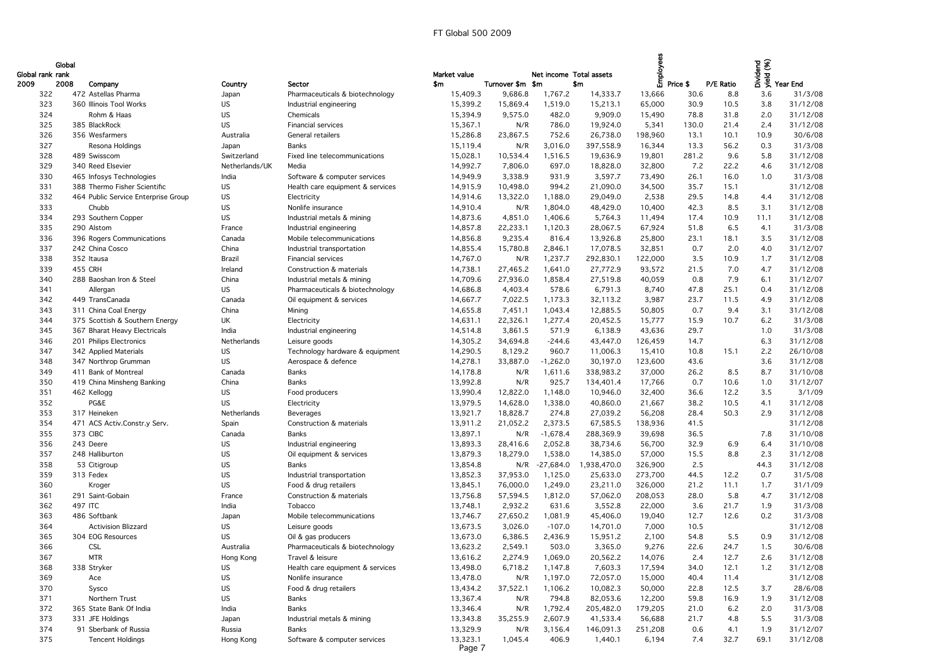|                  | Global |                                     |                |                                  |              |                  |                         |             | Employees |              |           |            |                                  |
|------------------|--------|-------------------------------------|----------------|----------------------------------|--------------|------------------|-------------------------|-------------|-----------|--------------|-----------|------------|----------------------------------|
| Global rank rank |        |                                     |                |                                  | Market value |                  | Net income Total assets |             |           |              |           |            | sidend<br>Sidend<br>The Year End |
| 2009             | 2008   | Company                             | Country        | Sector                           | \$m          | Turnover \$m \$m |                         | \$m\$       |           | Price \$     | P/E Ratio |            |                                  |
| 322              |        | 472 Astellas Pharma                 | Japan          | Pharmaceuticals & biotechnology  | 15,409.3     | 9,686.8          | 1,767.2                 | 14,333.7    | 13,666    | 30.6         | 8.8       | 3.6        | 31/3/08                          |
| 323              |        | 360 Illinois Tool Works             | US.            | Industrial engineering           | 15,399.2     | 15,869.4         | 1,519.0                 | 15,213.1    | 65,000    | 30.9         | 10.5      | 3.8        | 31/12/08                         |
| 324              |        | Rohm & Haas                         | US.            | Chemicals                        | 15,394.9     | 9,575.0          | 482.0                   | 9,909.0     | 15,490    | 78.8         | 31.8      | 2.0        | 31/12/08                         |
| 325              |        | 385 BlackRock                       | <b>US</b>      | <b>Financial services</b>        | 15,367.1     | N/R              | 786.0                   | 19,924.0    | 5,341     | 130.0        | 21.4      | 2.4        | 31/12/08                         |
| 326              |        | 356 Wesfarmers                      | Australia      | General retailers                | 15,286.8     | 23,867.5         | 752.6                   | 26,738.0    | 198,960   | 13.1         | 10.1      | 10.9       | 30/6/08                          |
| 327              |        | Resona Holdings                     | Japan          | <b>Banks</b>                     | 15,119.4     | N/R              | 3,016.0                 | 397,558.9   | 16,344    | 13.3         | 56.2      | 0.3        | 31/3/08                          |
| 328              |        | 489 Swisscom                        | Switzerland    | Fixed line telecommunications    | 15,028.1     | 10,534.4         | 1,516.5                 | 19,636.9    | 19,801    | 281.2        | 9.6       | 5.8        | 31/12/08                         |
| 329              |        | 340 Reed Elsevier                   | Netherlands/UK | Media                            | 14,992.7     | 7,806.0          | 697.0                   | 18,828.0    | 32,800    | 7.2          | 22.2      | 4.6        | 31/12/08                         |
| 330              |        | 465 Infosys Technologies            | India          | Software & computer services     | 14,949.9     | 3,338.9          | 931.9                   | 3,597.7     | 73,490    | 26.1         | 16.0      | 1.0        | 31/3/08                          |
| 331              |        | 388 Thermo Fisher Scientific        | US             | Health care equipment & services | 14,915.9     | 10,498.0         | 994.2                   | 21,090.0    | 34,500    | 35.7         | 15.1      |            | 31/12/08                         |
| 332              |        | 464 Public Service Enterprise Group | <b>US</b>      | Electricity                      | 14,914.6     | 13,322.0         | 1,188.0                 | 29,049.0    | 2,538     | 29.5         | 14.8      | 4.4        | 31/12/08                         |
| 333              |        | Chubb                               | <b>US</b>      | Nonlife insurance                | 14,910.4     | N/R              | 1,804.0                 | 48,429.0    | 10,400    | 42.3         | 8.5       | 3.1        | 31/12/08                         |
| 334              |        | 293 Southern Copper                 | <b>US</b>      | Industrial metals & mining       | 14,873.6     | 4,851.0          | 1,406.6                 | 5,764.3     | 11,494    | 17.4         | 10.9      | 11.1       | 31/12/08                         |
| 335              |        | 290 Alstom                          | France         | Industrial engineering           | 14,857.8     | 22,233.1         | 1,120.3                 | 28,067.5    | 67,924    | 51.8         | 6.5       | 4.1        | 31/3/08                          |
| 336              |        | 396 Rogers Communications           | Canada         | Mobile telecommunications        | 14,856.8     | 9,235.4          | 816.4                   | 13,926.8    | 25,800    | 23.1         | 18.1      | 3.5        | 31/12/08                         |
| 337              |        | 242 China Cosco                     | China          | Industrial transportation        | 14,855.4     | 15,780.8         | 2,846.1                 | 17,078.5    | 32,851    | 0.7          | 2.0       | 4.0        | 31/12/07                         |
| 338              |        | 352 Itausa                          | Brazil         | <b>Financial services</b>        | 14,767.0     | N/R              | 1,237.7                 | 292,830.1   | 122,000   | 3.5          | 10.9      | 1.7        | 31/12/08                         |
| 339              |        | 455 CRH                             | Ireland        | Construction & materials         | 14,738.1     | 27,465.2         | 1,641.0                 | 27,772.9    | 93,572    | 21.5         | 7.0       | 4.7        | 31/12/08                         |
| 340              |        | 288 Baoshan Iron & Steel            | China          | Industrial metals & mining       | 14,709.6     | 27,936.0         | 1,858.4                 | 27,519.8    | 40,059    | 0.8          | 7.9       | 6.1        | 31/12/07                         |
| 341              |        | Allergan                            | <b>US</b>      | Pharmaceuticals & biotechnology  | 14,686.8     | 4,403.4          | 578.6                   | 6,791.3     | 8,740     | 47.8         | 25.1      | 0.4        | 31/12/08                         |
| 342              |        | 449 TransCanada                     | Canada         | Oil equipment & services         | 14,667.7     | 7,022.5          | 1,173.3                 | 32,113.2    | 3,987     | 23.7         | 11.5      | 4.9        | 31/12/08                         |
| 343              |        | 311 China Coal Energy               | China          | Mining                           | 14,655.8     | 7,451.1          | 1,043.4                 | 12,885.5    | 50,805    | 0.7          | 9.4       | 3.1        | 31/12/08                         |
|                  |        | 375 Scottish & Southern Energy      | UK             |                                  | 14,631.1     | 22,326.1         | 1,277.4                 | 20,452.5    |           |              |           |            | 31/3/08                          |
| 344<br>345       |        |                                     | India          | Electricity                      |              | 3,861.5          | 571.9                   |             | 15,777    | 15.9<br>29.7 | 10.7      | 6.2<br>1.0 | 31/3/08                          |
|                  |        | 367 Bharat Heavy Electricals        |                | Industrial engineering           | 14,514.8     |                  |                         | 6,138.9     | 43,636    |              |           |            |                                  |
| 346              |        | 201 Philips Electronics             | Netherlands    | Leisure goods                    | 14,305.2     | 34,694.8         | $-244.6$                | 43,447.0    | 126,459   | 14.7         |           | 6.3        | 31/12/08                         |
| 347              |        | 342 Applied Materials               | US.            | Technology hardware & equipment  | 14,290.5     | 8,129.2          | 960.7                   | 11,006.3    | 15,410    | 10.8         | 15.1      | 2.2        | 26/10/08                         |
| 348              |        | 347 Northrop Grumman                | <b>US</b>      | Aerospace & defence              | 14,278.1     | 33,887.0         | $-1,262.0$              | 30,197.0    | 123,600   | 43.6         |           | 3.6        | 31/12/08                         |
| 349              |        | 411 Bank of Montreal                | Canada         | <b>Banks</b>                     | 14,178.8     | N/R              | 1,611.6                 | 338,983.2   | 37,000    | 26.2         | 8.5       | 8.7        | 31/10/08                         |
| 350              |        | 419 China Minsheng Banking          | China          | <b>Banks</b>                     | 13,992.8     | N/R              | 925.7                   | 134,401.4   | 17,766    | 0.7          | 10.6      | 1.0        | 31/12/07                         |
| 351              |        | 462 Kellogg                         | US             | Food producers                   | 13,990.4     | 12,822.0         | 1,148.0                 | 10,946.0    | 32,400    | 36.6         | 12.2      | 3.5        | 3/1/09                           |
| 352              |        | PG&E                                | <b>US</b>      | Electricity                      | 13,979.5     | 14,628.0         | 1,338.0                 | 40,860.0    | 21,667    | 38.2         | 10.5      | 4.1        | 31/12/08                         |
| 353              |        | 317 Heineken                        | Netherlands    | Beverages                        | 13,921.7     | 18,828.7         | 274.8                   | 27,039.2    | 56,208    | 28.4         | 50.3      | 2.9        | 31/12/08                         |
| 354              |        | 471 ACS Activ.Constr.y Serv.        | Spain          | Construction & materials         | 13,911.2     | 21,052.2         | 2,373.5                 | 67,585.5    | 138,936   | 41.5         |           |            | 31/12/08                         |
| 355              |        | 373 CIBC                            | Canada         | <b>Banks</b>                     | 13,897.1     | N/R              | $-1,678.4$              | 288,369.9   | 39,698    | 36.5         |           | 7.8        | 31/10/08                         |
| 356              |        | 243 Deere                           | US.            | Industrial engineering           | 13,893.3     | 28,416.6         | 2,052.8                 | 38,734.6    | 56,700    | 32.9         | 6.9       | 6.4        | 31/10/08                         |
| 357              |        | 248 Halliburton                     | <b>US</b>      | Oil equipment & services         | 13,879.3     | 18,279.0         | 1,538.0                 | 14,385.0    | 57,000    | 15.5         | 8.8       | 2.3        | 31/12/08                         |
| 358              |        | 53 Citigroup                        | US             | <b>Banks</b>                     | 13,854.8     | N/R              | $-27,684.0$             | 1,938,470.0 | 326,900   | 2.5          |           | 44.3       | 31/12/08                         |
| 359              |        | 313 Fedex                           | <b>US</b>      | Industrial transportation        | 13,852.3     | 37,953.0         | 1,125.0                 | 25,633.0    | 273,700   | 44.5         | 12.2      | 0.7        | 31/5/08                          |
| 360              |        | Kroger                              | <b>US</b>      | Food & drug retailers            | 13,845.1     | 76,000.0         | 1,249.0                 | 23,211.0    | 326,000   | 21.2         | 11.1      | 1.7        | 31/1/09                          |
| 361              |        | 291 Saint-Gobain                    | France         | Construction & materials         | 13,756.8     | 57,594.5         | 1,812.0                 | 57,062.0    | 208,053   | 28.0         | 5.8       | 4.7        | 31/12/08                         |
| 362              |        | 497 ITC                             | India          | Tobacco                          | 13,748.1     | 2,932.2          | 631.6                   | 3,552.8     | 22,000    | 3.6          | 21.7      | 1.9        | 31/3/08                          |
| 363              |        | 486 Softbank                        | Japan          | Mobile telecommunications        | 13,746.7     | 27,650.2         | 1,081.9                 | 45,406.0    | 19,040    | 12.7         | 12.6      | 0.2        | 31/3/08                          |
| 364              |        | <b>Activision Blizzard</b>          | <b>US</b>      | Leisure goods                    | 13,673.5     | 3,026.0          | $-107.0$                | 14,701.0    | 7,000     | 10.5         |           |            | 31/12/08                         |
| 365              |        | 304 EOG Resources                   | <b>US</b>      | Oil & gas producers              | 13,673.0     | 6,386.5          | 2,436.9                 | 15,951.2    | 2,100     | 54.8         | 5.5       | 0.9        | 31/12/08                         |
| 366              |        | <b>CSL</b>                          | Australia      | Pharmaceuticals & biotechnology  | 13,623.2     | 2,549.1          | 503.0                   | 3,365.0     | 9,276     | 22.6         | 24.7      | 1.5        | 30/6/08                          |
| 367              |        | <b>MTR</b>                          | Hong Kong      | Travel & leisure                 | 13,616.2     | 2,274.9          | 1,069.0                 | 20,562.2    | 14,076    | 2.4          | 12.7      | 2.6        | 31/12/08                         |
| 368              |        | 338 Stryker                         | US             | Health care equipment & services | 13,498.0     | 6,718.2          | 1,147.8                 | 7,603.3     | 17,594    | 34.0         | 12.1      | 1.2        | 31/12/08                         |
| 369              |        | Ace                                 | <b>US</b>      | Nonlife insurance                | 13,478.0     | N/R              | 1,197.0                 | 72,057.0    | 15,000    | 40.4         | 11.4      |            | 31/12/08                         |
| 370              |        | Sysco                               | <b>US</b>      | Food & drug retailers            | 13,434.2     | 37,522.1         | 1,106.2                 | 10,082.3    | 50,000    | 22.8         | 12.5      | 3.7        | 28/6/08                          |
| 371              |        | Northern Trust                      | <b>US</b>      | Banks                            | 13,367.4     | N/R              | 794.8                   | 82,053.6    | 12,200    | 59.8         | 16.9      | 1.9        | 31/12/08                         |
| 372              |        | 365 State Bank Of India             | India          | <b>Banks</b>                     | 13,346.4     | N/R              | 1,792.4                 | 205,482.0   | 179,205   | 21.0         | 6.2       | 2.0        | 31/3/08                          |
| 373              |        | 331 JFE Holdings                    | Japan          | Industrial metals & mining       | 13,343.8     | 35,255.9         | 2,607.9                 | 41,533.4    | 56,688    | 21.7         | 4.8       | 5.5        | 31/3/08                          |
| 374              |        | 91 Sberbank of Russia               | Russia         | <b>Banks</b>                     | 13,329.9     | N/R              | 3,156.4                 | 146,091.3   | 251,208   | 0.6          | 4.1       | 1.9        | 31/12/07                         |
| 375              |        | <b>Tencent Holdings</b>             | Hong Kong      | Software & computer services     | 13,323.1     | 1,045.4          | 406.9                   | 1,440.1     | 6,194     | 7.4          | 32.7      | 69.1       | 31/12/08                         |
|                  |        |                                     |                |                                  | Page 7       |                  |                         |             |           |              |           |            |                                  |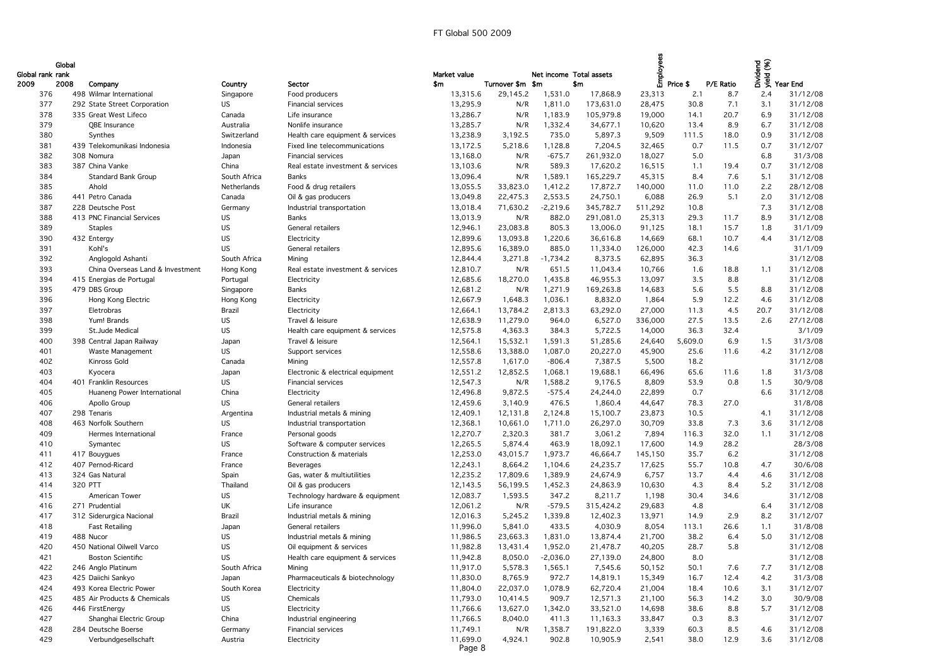|                  | Global |                                  |              |                                   |                    |                  |                         |           | <u>sola</u> |          |           |      | bidend<br>Sidend<br>The Year End |
|------------------|--------|----------------------------------|--------------|-----------------------------------|--------------------|------------------|-------------------------|-----------|-------------|----------|-----------|------|----------------------------------|
| Global rank rank |        |                                  |              |                                   | Market value       |                  | Net income Total assets |           |             |          |           |      |                                  |
| 2009             | 2008   | Company                          | Country      | Sector                            | \$m                | Turnover \$m \$m |                         | \$m       | 巴           | Price \$ | P/E Ratio |      |                                  |
| 376              |        | 498 Wilmar International         | Singapore    | Food producers                    | 13,315.6           | 29,145.2         | 1,531.0                 | 17,868.9  | 23,313      | 2.1      | 8.7       | 2.4  | 31/12/08                         |
| 377              |        | 292 State Street Corporation     | <b>US</b>    | Financial services                | 13,295.9           | N/R              | 1,811.0                 | 173,631.0 | 28,475      | 30.8     | 7.1       | 3.1  | 31/12/08                         |
| 378              |        | 335 Great West Lifeco            | Canada       | Life insurance                    | 13,286.7           | N/R              | 1,183.9                 | 105,979.8 | 19,000      | 14.1     | 20.7      | 6.9  | 31/12/08                         |
| 379              |        | QBE Insurance                    | Australia    | Nonlife insurance                 | 13,285.7           | N/R              | 1,332.4                 | 34,677.1  | 10,620      | 13.4     | 8.9       | 6.7  | 31/12/08                         |
| 380              |        | Synthes                          | Switzerland  | Health care equipment & services  | 13,238.9           | 3,192.5          | 735.0                   | 5,897.3   | 9,509       | 111.5    | 18.0      | 0.9  | 31/12/08                         |
| 381              |        | 439 Telekomunikasi Indonesia     | Indonesia    | Fixed line telecommunications     | 13,172.5           | 5,218.6          | 1,128.8                 | 7,204.5   | 32,465      | 0.7      | 11.5      | 0.7  | 31/12/07                         |
| 382              |        | 308 Nomura                       | Japan        | Financial services                | 13,168.0           | N/R              | $-675.7$                | 261,932.0 | 18,027      | 5.0      |           | 6.8  | 31/3/08                          |
| 383              |        | 387 China Vanke                  | China        | Real estate investment & services | 13,103.6           | N/R              | 589.3                   | 17,620.2  | 16,515      | 1.1      | 19.4      | 0.7  | 31/12/08                         |
| 384              |        | <b>Standard Bank Group</b>       | South Africa | <b>Banks</b>                      | 13,096.4           | N/R              | 1,589.1                 | 165,229.7 | 45,315      | 8.4      | 7.6       | 5.1  | 31/12/08                         |
| 385              |        | Ahold                            | Netherlands  | Food & drug retailers             | 13,055.5           | 33,823.0         | 1,412.2                 | 17,872.7  | 140,000     | 11.0     | 11.0      | 2.2  | 28/12/08                         |
| 386              |        | 441 Petro Canada                 | Canada       | Oil & gas producers               | 13,049.8           | 22,475.3         | 2,553.5                 | 24,750.1  | 6,088       | 26.9     | 5.1       | 2.0  | 31/12/08                         |
| 387              |        | 228 Deutsche Post                | Germany      | Industrial transportation         | 13,018.4           | 71,630.2         | $-2,219.6$              | 345,782.7 | 511,292     | 10.8     |           | 7.3  | 31/12/08                         |
| 388              |        | 413 PNC Financial Services       | <b>US</b>    | <b>Banks</b>                      | 13,013.9           | N/R              | 882.0                   | 291,081.0 | 25,313      | 29.3     | 11.7      | 8.9  | 31/12/08                         |
| 389              |        | <b>Staples</b>                   | <b>US</b>    | <b>General retailers</b>          | 12,946.1           | 23,083.8         | 805.3                   | 13,006.0  | 91,125      | 18.1     | 15.7      | 1.8  | 31/1/09                          |
| 390              |        | 432 Entergy                      | <b>US</b>    | Electricity                       | 12,899.6           | 13,093.8         | 1,220.6                 | 36,616.8  | 14,669      | 68.1     | 10.7      | 4.4  | 31/12/08                         |
| 391              |        | Kohl's                           | <b>US</b>    | General retailers                 | 12,895.6           | 16,389.0         | 885.0                   | 11,334.0  | 126,000     | 42.3     | 14.6      |      | 31/1/09                          |
| 392              |        | Anglogold Ashanti                | South Africa | Mining                            | 12,844.4           | 3,271.8          | $-1,734.2$              | 8,373.5   | 62,895      | 36.3     |           |      | 31/12/08                         |
| 393              |        | China Overseas Land & Investment | Hong Kong    | Real estate investment & services | 12,810.7           | N/R              | 651.5                   | 11,043.4  | 10,766      | 1.6      | 18.8      | 1.1  | 31/12/08                         |
| 394              |        | 415 Energias de Portugal         | Portugal     | Electricity                       | 12,685.6           | 18,270.0         | 1,435.8                 | 46,955.3  | 13,097      | 3.5      | 8.8       |      | 31/12/08                         |
| 395              |        | 479 DBS Group                    | Singapore    | Banks                             | 12,681.2           | N/R              | 1,271.9                 | 169,263.8 | 14,683      | 5.6      | 5.5       | 8.8  | 31/12/08                         |
| 396              |        | Hong Kong Electric               | Hong Kong    | Electricity                       | 12,667.9           | 1,648.3          | 1,036.1                 | 8,832.0   | 1,864       | 5.9      | 12.2      | 4.6  | 31/12/08                         |
| 397              |        | Eletrobras                       | Brazil       | Electricity                       | 12,664.1           | 13,784.2         | 2,813.3                 | 63,292.0  | 27,000      | 11.3     | 4.5       | 20.7 | 31/12/08                         |
| 398              |        | Yum! Brands                      | <b>US</b>    | Travel & leisure                  | 12,638.9           | 11,279.0         | 964.0                   | 6,527.0   | 336,000     | 27.5     | 13.5      | 2.6  | 27/12/08                         |
| 399              |        | St.Jude Medical                  | <b>US</b>    | Health care equipment & services  | 12,575.8           | 4,363.3          | 384.3                   | 5,722.5   | 14,000      | 36.3     | 32.4      |      | 3/1/09                           |
| 400              |        | 398 Central Japan Railway        | Japan        | Travel & leisure                  | 12,564.1           | 15,532.1         | 1,591.3                 | 51,285.6  | 24,640      | 5,609.0  | 6.9       | 1.5  | 31/3/08                          |
| 401              |        | Waste Management                 | <b>US</b>    | Support services                  | 12,558.6           | 13,388.0         | 1,087.0                 | 20,227.0  | 45,900      | 25.6     | 11.6      | 4.2  | 31/12/08                         |
| 402              |        | Kinross Gold                     | Canada       | Mining                            | 12,557.8           | 1,617.0          | $-806.4$                | 7,387.5   | 5,500       | 18.2     |           |      | 31/12/08                         |
| 403              |        | Kyocera                          | Japan        | Electronic & electrical equipment | 12,551.2           | 12,852.5         | 1,068.1                 | 19,688.1  | 66,496      | 65.6     | 11.6      | 1.8  | 31/3/08                          |
| 404              |        | 401 Franklin Resources           | <b>US</b>    | Financial services                | 12,547.3           | N/R              | 1,588.2                 | 9,176.5   | 8,809       | 53.9     | 0.8       | 1.5  | 30/9/08                          |
| 405              |        | Huaneng Power International      | China        | Electricity                       | 12,496.8           | 9,872.5          | $-575.4$                | 24,244.0  | 22,899      | 0.7      |           | 6.6  | 31/12/08                         |
| 406              |        | Apollo Group                     | <b>US</b>    | <b>General retailers</b>          | 12,459.6           | 3,140.9          | 476.5                   | 1,860.4   | 44,647      | 78.3     | 27.0      |      | 31/8/08                          |
| 407              |        | 298 Tenaris                      | Argentina    | Industrial metals & mining        | 12,409.1           | 12,131.8         | 2,124.8                 | 15,100.7  | 23,873      | 10.5     |           | 4.1  | 31/12/08                         |
| 408              |        | 463 Norfolk Southern             | <b>US</b>    | Industrial transportation         | 12,368.1           | 10,661.0         | 1,711.0                 | 26,297.0  | 30,709      | 33.8     | 7.3       | 3.6  | 31/12/08                         |
| 409              |        | Hermes International             | France       | Personal goods                    | 12,270.7           | 2,320.3          | 381.7                   | 3,061.2   | 7,894       | 116.3    | 32.0      | 1.1  | 31/12/08                         |
| 410              |        | Symantec                         | <b>US</b>    | Software & computer services      | 12,265.5           | 5,874.4          | 463.9                   | 18,092.1  | 17,600      | 14.9     | 28.2      |      | 28/3/08                          |
| 411              |        | 417 Bouygues                     | France       | Construction & materials          | 12,253.0           | 43,015.7         | 1,973.7                 | 46,664.7  | 145,150     | 35.7     | 6.2       |      | 31/12/08                         |
| 412              |        | 407 Pernod-Ricard                | France       | Beverages                         | 12,243.1           | 8,664.2          | 1,104.6                 | 24,235.7  | 17,625      | 55.7     | 10.8      | 4.7  | 30/6/08                          |
| 413              |        | 324 Gas Natural                  | Spain        | Gas, water & multiutilities       | 12,235.2           | 17,809.6         | 1,389.9                 | 24,674.9  | 6,757       | 13.7     | 4.4       | 4.6  | 31/12/08                         |
| 414              |        | 320 PTT                          | Thailand     | Oil & gas producers               | 12,143.5           | 56,199.5         | 1,452.3                 | 24,863.9  | 10,630      | 4.3      | 8.4       | 5.2  | 31/12/08                         |
| 415              |        | American Tower                   | <b>US</b>    | Technology hardware & equipment   | 12,083.7           | 1,593.5          | 347.2                   | 8,211.7   | 1,198       | 30.4     | 34.6      |      | 31/12/08                         |
| 416              |        | 271 Prudential                   | UK           | Life insurance                    | 12,061.2           | N/R              | $-579.5$                | 315,424.2 | 29,683      | 4.8      |           | 6.4  | 31/12/08                         |
| 417              |        | 312 Siderurgica Nacional         | Brazil       | Industrial metals & mining        | 12,016.3           | 5,245.2          | 1,339.8                 | 12,402.3  | 13,971      | 14.9     | 2.9       | 8.2  | 31/12/07                         |
| 418              |        | <b>Fast Retailing</b>            | Japan        | General retailers                 | 11,996.0           | 5,841.0          | 433.5                   | 4,030.9   | 8,054       | 113.1    | 26.6      | 1.1  | 31/8/08                          |
| 419              |        | 488 Nucor                        | <b>US</b>    | Industrial metals & mining        | 11,986.5           | 23,663.3         | 1,831.0                 | 13,874.4  | 21,700      | 38.2     | 6.4       | 5.0  | 31/12/08                         |
| 420              |        | 450 National Oilwell Varco       | <b>US</b>    | Oil equipment & services          | 11,982.8           | 13,431.4         | 1,952.0                 | 21,478.7  | 40,205      | 28.7     | 5.8       |      | 31/12/08                         |
| 421              |        | <b>Boston Scientific</b>         | <b>US</b>    | Health care equipment & services  | 11,942.8           | 8,050.0          | $-2,036.0$              | 27,139.0  | 24,800      | 8.0      |           |      | 31/12/08                         |
| 422              |        | 246 Anglo Platinum               | South Africa | Mining                            | 11,917.0           | 5,578.3          | 1,565.1                 | 7,545.6   | 50,152      | 50.1     | 7.6       | 7.7  | 31/12/08                         |
| 423              |        | 425 Daiichi Sankyo               |              |                                   | 11,830.0           | 8,765.9          | 972.7                   |           |             | 16.7     | 12.4      | 4.2  | 31/3/08                          |
|                  |        |                                  | Japan        | Pharmaceuticals & biotechnology   |                    |                  |                         | 14,819.1  | 15,349      |          |           |      |                                  |
| 424              |        | 493 Korea Electric Power         | South Korea  | Electricity                       | 11,804.0           | 22,037.0         | 1,078.9                 | 62,720.4  | 21,004      | 18.4     | 10.6      | 3.1  | 31/12/07                         |
| 425              |        | 485 Air Products & Chemicals     | US           | Chemicals                         | 11,793.0           | 10,414.5         | 909.7                   | 12,571.3  | 21,100      | 56.3     | 14.2      | 3.0  | 30/9/08                          |
| 426              |        | 446 FirstEnergy                  | <b>US</b>    | Electricity                       | 11,766.6           | 13,627.0         | 1,342.0                 | 33,521.0  | 14,698      | 38.6     | 8.8       | 5.7  | 31/12/08                         |
| 427              |        | Shanghai Electric Group          | China        | Industrial engineering            | 11,766.5           | 8,040.0          | 411.3                   | 11,163.3  | 33,847      | 0.3      | 8.3       |      | 31/12/07                         |
| 428              |        | 284 Deutsche Boerse              | Germany      | Financial services                | 11,749.1           | N/R              | 1,358.7                 | 191,822.0 | 3,339       | 60.3     | 8.5       | 4.6  | 31/12/08                         |
| 429              |        | Verbundgesellschaft              | Austria      | Electricity                       | 11,699.0<br>Page 8 | 4,924.1          | 902.8                   | 10,905.9  | 2,541       | 38.0     | 12.9      | 3.6  | 31/12/08                         |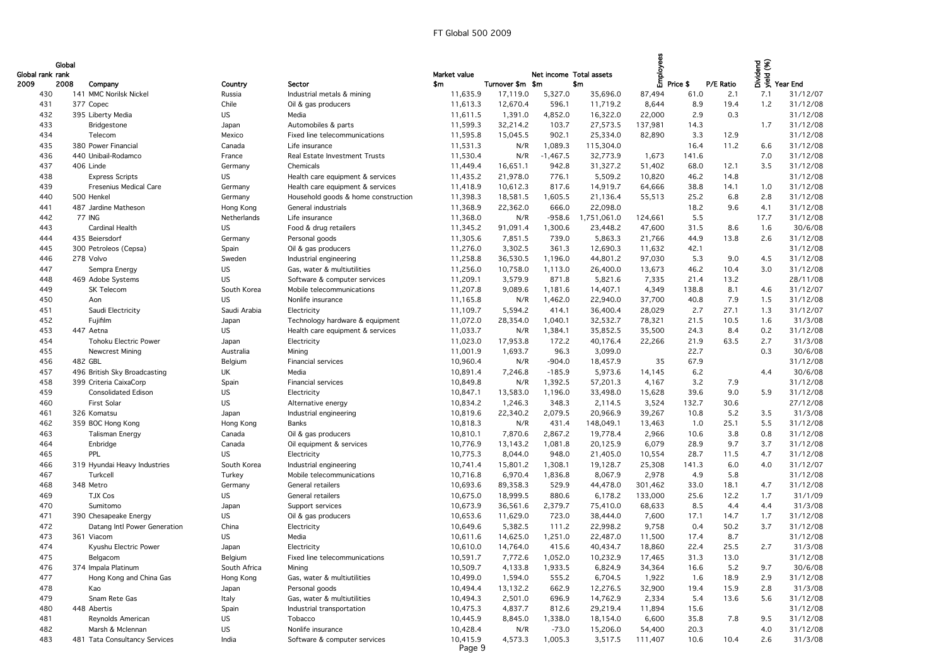| Global rank rank | Global |                               |              |                                     | Market value       |                  | Net income Total assets |             | Employ  |          |           |      | bidend<br>Sidend<br>Digital Year End |
|------------------|--------|-------------------------------|--------------|-------------------------------------|--------------------|------------------|-------------------------|-------------|---------|----------|-----------|------|--------------------------------------|
| 2009             | 2008   | Company                       | Country      | Sector                              | \$m                | Turnover \$m \$m |                         | \$m         |         | Price \$ | P/E Ratio |      |                                      |
| 430              |        | 141 MMC Norilsk Nickel        | Russia       | Industrial metals & mining          | 11,635.9           | 17,119.0         | 5,327.0                 | 35,696.0    | 87,494  | 61.0     | 2.1       | 7.1  | 31/12/07                             |
| 431              |        | 377 Copec                     | Chile        | Oil & gas producers                 | 11,613.3           | 12,670.4         | 596.1                   | 11,719.2    | 8,644   | 8.9      | 19.4      | 1.2  | 31/12/08                             |
| 432              |        | 395 Liberty Media             | <b>US</b>    | Media                               | 11,611.5           | 1,391.0          | 4,852.0                 | 16,322.0    | 22,000  | 2.9      | 0.3       |      | 31/12/08                             |
| 433              |        | Bridgestone                   | Japan        | Automobiles & parts                 | 11,599.3           | 32,214.2         | 103.7                   | 27,573.5    | 137,981 | 14.3     |           | 1.7  | 31/12/08                             |
| 434              |        | Telecom                       | Mexico       | Fixed line telecommunications       | 11,595.8           | 15,045.5         | 902.1                   | 25,334.0    | 82,890  | 3.3      | 12.9      |      | 31/12/08                             |
| 435              |        | 380 Power Financial           | Canada       | Life insurance                      | 11,531.3           | N/R              | 1,089.3                 | 115,304.0   |         | 16.4     | 11.2      | 6.6  | 31/12/08                             |
| 436              |        | 440 Unibail-Rodamco           | France       | Real Estate Investment Trusts       | 11,530.4           | N/R              | $-1,467.5$              | 32,773.9    | 1,673   | 141.6    |           | 7.0  | 31/12/08                             |
| 437              |        | 406 Linde                     | Germany      | Chemicals                           | 11,449.4           | 16,651.1         | 942.8                   | 31,327.2    | 51,402  | 68.0     | 12.1      | 3.5  | 31/12/08                             |
| 438              |        | <b>Express Scripts</b>        | <b>US</b>    | Health care equipment & services    | 11,435.2           | 21,978.0         | 776.1                   | 5,509.2     | 10,820  | 46.2     | 14.8      |      | 31/12/08                             |
| 439              |        | Fresenius Medical Care        | Germany      | Health care equipment & services    | 11,418.9           | 10,612.3         | 817.6                   | 14,919.7    | 64,666  | 38.8     | 14.1      | 1.0  | 31/12/08                             |
| 440              |        | 500 Henkel                    | Germany      | Household goods & home construction | 11,398.3           | 18,581.5         | 1,605.5                 | 21,136.4    | 55,513  | 25.2     | 6.8       | 2.8  | 31/12/08                             |
| 441              |        | 487 Jardine Matheson          | Hong Kong    | General industrials                 | 11,368.9           | 22,362.0         | 666.0                   | 22,098.0    |         | 18.2     | 9.6       | 4.1  | 31/12/08                             |
| 442              |        | 77 ING                        | Netherlands  | Life insurance                      | 11,368.0           | N/R              | $-958.6$                | 1,751,061.0 | 124,661 | 5.5      |           | 17.7 | 31/12/08                             |
| 443              |        | <b>Cardinal Health</b>        | <b>US</b>    | Food & drug retailers               | 11,345.2           | 91,091.4         | 1,300.6                 | 23,448.2    | 47,600  | 31.5     | 8.6       | 1.6  | 30/6/08                              |
| 444              |        | 435 Beiersdorf                | Germany      | Personal goods                      | 11,305.6           | 7,851.5          | 739.0                   | 5,863.3     | 21,766  | 44.9     | 13.8      | 2.6  | 31/12/08                             |
| 445              |        | 300 Petroleos (Cepsa)         | Spain        | Oil & gas producers                 | 11,276.0           | 3,302.5          | 361.3                   | 12,690.3    | 11,632  | 42.1     |           |      | 31/12/08                             |
| 446              |        | 278 Volvo                     | Sweden       | Industrial engineering              | 11,258.8           | 36,530.5         | 1,196.0                 | 44,801.2    | 97,030  | 5.3      | 9.0       | 4.5  | 31/12/08                             |
| 447              |        | Sempra Energy                 | US           | Gas, water & multiutilities         | 11,256.0           | 10,758.0         | 1,113.0                 | 26,400.0    | 13,673  | 46.2     | 10.4      | 3.0  | 31/12/08                             |
| 448              |        | 469 Adobe Systems             | US           | Software & computer services        | 11,209.1           | 3,579.9          | 871.8                   | 5,821.6     | 7,335   | 21.4     | 13.2      |      | 28/11/08                             |
| 449              |        | SK Telecom                    | South Korea  | Mobile telecommunications           | 11,207.8           | 9,089.6          | 1,181.6                 | 14,407.1    | 4,349   | 138.8    | 8.1       | 4.6  | 31/12/07                             |
| 450              |        | Aon                           | <b>US</b>    | Nonlife insurance                   | 11,165.8           | N/R              | 1,462.0                 | 22,940.0    | 37,700  | 40.8     | 7.9       | 1.5  | 31/12/08                             |
| 451              |        | Saudi Electricity             | Saudi Arabia | Electricity                         | 11,109.7           | 5,594.2          | 414.1                   | 36,400.4    | 28,029  | 2.7      | 27.1      | 1.3  | 31/12/07                             |
| 452              |        | Fujifilm                      | Japan        | Technology hardware & equipment     | 11,072.0           | 28,354.0         | 1,040.1                 | 32,532.7    | 78,321  | 21.5     | 10.5      | 1.6  | 31/3/08                              |
| 453              |        | 447 Aetna                     | <b>US</b>    | Health care equipment & services    | 11,033.7           | N/R              | 1,384.1                 | 35,852.5    | 35,500  | 24.3     | 8.4       | 0.2  | 31/12/08                             |
| 454              |        | <b>Tohoku Electric Power</b>  | Japan        | Electricity                         | 11,023.0           | 17,953.8         | 172.2                   | 40,176.4    | 22,266  | 21.9     | 63.5      | 2.7  | 31/3/08                              |
| 455              |        | Newcrest Mining               | Australia    | Mining                              | 11,001.9           | 1,693.7          | 96.3                    | 3,099.0     |         | 22.7     |           | 0.3  | 30/6/08                              |
| 456              |        | 482 GBL                       | Belgium      | Financial services                  | 10,960.4           | N/R              | $-904.0$                | 18,457.9    | 35      | 67.9     |           |      | 31/12/08                             |
| 457              |        | 496 British Sky Broadcasting  | UK           | Media                               | 10,891.4           | 7,246.8          | $-185.9$                | 5,973.6     | 14,145  | 6.2      |           | 4.4  | 30/6/08                              |
| 458              |        | 399 Criteria CaixaCorp        | Spain        | Financial services                  | 10,849.8           | N/R              | 1,392.5                 | 57,201.3    | 4,167   | 3.2      | 7.9       |      | 31/12/08                             |
| 459              |        | <b>Consolidated Edison</b>    | US           | Electricity                         | 10,847.1           | 13,583.0         | 1,196.0                 | 33,498.0    | 15,628  | 39.6     | 9.0       | 5.9  | 31/12/08                             |
| 460              |        | First Solar                   | <b>US</b>    | Alternative energy                  | 10,834.2           | 1,246.3          | 348.3                   | 2,114.5     | 3,524   | 132.7    | 30.6      |      | 27/12/08                             |
| 461              |        | 326 Komatsu                   | Japan        | Industrial engineering              | 10,819.6           | 22,340.2         | 2,079.5                 | 20,966.9    | 39,267  | 10.8     | 5.2       | 3.5  | 31/3/08                              |
| 462              |        | 359 BOC Hong Kong             | Hong Kong    | Banks                               | 10,818.3           | N/R              | 431.4                   | 148,049.1   | 13,463  | 1.0      | 25.1      | 5.5  | 31/12/08                             |
| 463              |        | <b>Talisman Energy</b>        | Canada       | Oil & gas producers                 | 10,810.1           | 7,870.6          | 2,867.2                 | 19,778.4    | 2,966   | 10.6     | 3.8       | 0.8  | 31/12/08                             |
| 464              |        | Enbridge                      | Canada       | Oil equipment & services            | 10,776.9           | 13,143.2         | 1,081.8                 | 20,125.9    | 6,079   | 28.9     | 9.7       | 3.7  | 31/12/08                             |
| 465              |        | PPL                           | US.          | Electricity                         | 10,775.3           | 8,044.0          | 948.0                   | 21,405.0    | 10,554  | 28.7     | 11.5      | 4.7  | 31/12/08                             |
| 466              |        | 319 Hyundai Heavy Industries  | South Korea  | Industrial engineering              | 10,741.4           | 15,801.2         | 1,308.1                 | 19,128.7    | 25,308  | 141.3    | 6.0       | 4.0  | 31/12/07                             |
| 467              |        | Turkcell                      | Turkey       | Mobile telecommunications           | 10,716.8           | 6,970.4          | 1,836.8                 | 8,067.9     | 2,978   | 4.9      | 5.8       |      | 31/12/08                             |
| 468              |        | 348 Metro                     | Germany      | General retailers                   | 10,693.6           | 89,358.3         | 529.9                   | 44,478.0    | 301,462 | 33.0     | 18.1      | 4.7  | 31/12/08                             |
| 469              |        | TJX Cos                       | US           | General retailers                   | 10,675.0           | 18,999.5         | 880.6                   | 6,178.2     | 133,000 | 25.6     | 12.2      | 1.7  | 31/1/09                              |
| 470              |        | Sumitomo                      | Japan        | Support services                    | 10,673.9           | 36,561.6         | 2,379.7                 | 75,410.0    | 68,633  | 8.5      | 4.4       | 4.4  | 31/3/08                              |
| 471              |        | 390 Chesapeake Energy         | US           | Oil & gas producers                 | 10,653.6           | 11,629.0         | 723.0                   | 38,444.0    | 7,600   | 17.1     | 14.7      | 1.7  | 31/12/08                             |
| 472              |        | Datang Intl Power Generation  | China        | Electricity                         | 10,649.6           | 5,382.5          | 111.2                   | 22,998.2    | 9,758   | 0.4      | 50.2      | 3.7  | 31/12/08                             |
| 473              |        | 361 Viacom                    | <b>US</b>    | Media                               | 10,611.6           | 14,625.0         | 1,251.0                 | 22,487.0    | 11,500  | 17.4     | 8.7       |      | 31/12/08                             |
| 474              |        | Kyushu Electric Power         | Japan        | Electricity                         | 10,610.0           | 14,764.0         | 415.6                   | 40,434.7    | 18,860  | 22.4     | 25.5      | 2.7  | 31/3/08                              |
| 475              |        | Belgacom                      | Belgium      | Fixed line telecommunications       | 10,591.7           | 7,772.6          | 1,052.0                 | 10,232.9    | 17,465  | 31.3     | 13.0      |      | 31/12/08                             |
| 476              |        | 374 Impala Platinum           | South Africa | Mining                              | 10,509.7           | 4,133.8          | 1,933.5                 | 6,824.9     | 34,364  | 16.6     | 5.2       | 9.7  | 30/6/08                              |
| 477              |        | Hong Kong and China Gas       | Hong Kong    | Gas, water & multiutilities         | 10,499.0           | 1,594.0          | 555.2                   | 6,704.5     | 1,922   | 1.6      | 18.9      | 2.9  | 31/12/08                             |
| 478              |        | Kao                           | Japan        | Personal goods                      | 10,494.4           | 13,132.2         | 662.9                   | 12,276.5    | 32,900  | 19.4     | 15.9      | 2.8  | 31/3/08                              |
| 479              |        | Snam Rete Gas                 | Italy        | Gas, water & multiutilities         | 10,494.3           | 2,501.0          | 696.9                   | 14,762.9    | 2,334   | 5.4      | 13.6      | 5.6  | 31/12/08                             |
| 480              |        | 448 Abertis                   | Spain        | Industrial transportation           | 10,475.3           | 4,837.7          | 812.6                   | 29,219.4    | 11,894  | 15.6     |           |      | 31/12/08                             |
| 481              |        | Reynolds American             | <b>US</b>    | Tobacco                             | 10,445.9           | 8,845.0          | 1,338.0                 | 18,154.0    | 6,600   | 35.8     | 7.8       | 9.5  | 31/12/08                             |
| 482              |        | Marsh & Mclennan              | <b>US</b>    | Nonlife insurance                   | 10,428.4           | N/R              | $-73.0$                 | 15,206.0    | 54,400  | 20.3     |           | 4.0  | 31/12/08                             |
| 483              |        | 481 Tata Consultancy Services | India        | Software & computer services        | 10,415.9<br>Page 9 | 4,573.3          | 1,005.3                 | 3,517.5     | 111,407 | 10.6     | 10.4      | 2.6  | 31/3/08                              |